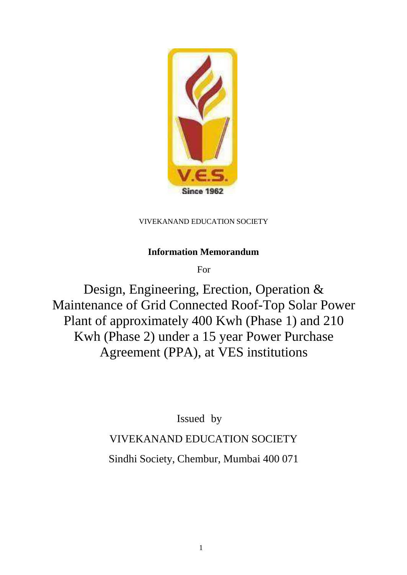

VIVEKANAND EDUCATION SOCIETY

# **Information Memorandum**

For

Design, Engineering, Erection, Operation & Maintenance of Grid Connected Roof-Top Solar Power Plant of approximately 400 Kwh (Phase 1) and 210 Kwh (Phase 2) under a 15 year Power Purchase Agreement (PPA), at VES institutions

Issued by

VIVEKANAND EDUCATION SOCIETY

Sindhi Society, Chembur, Mumbai 400 071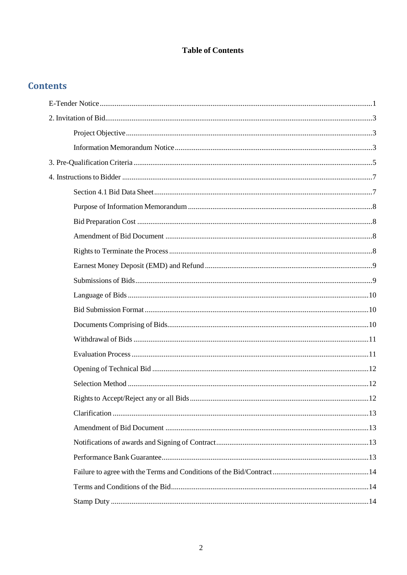### **Table of Contents**

# **Contents**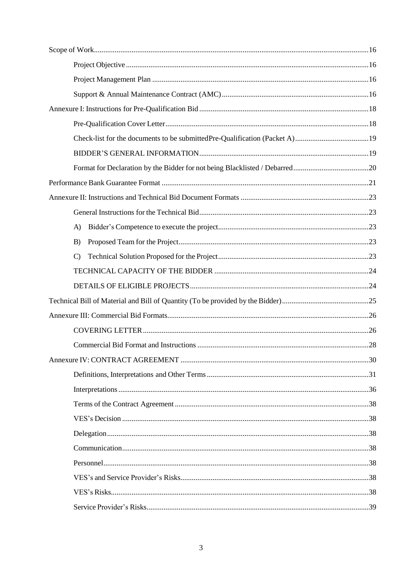| A)            |  |
|---------------|--|
| B)            |  |
| $\mathcal{C}$ |  |
|               |  |
|               |  |
|               |  |
|               |  |
|               |  |
|               |  |
|               |  |
|               |  |
|               |  |
|               |  |
|               |  |
|               |  |
|               |  |
|               |  |
|               |  |
|               |  |
|               |  |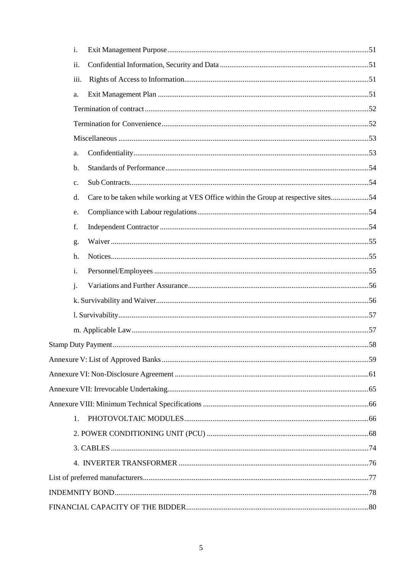| i.             |                                                                                     |  |
|----------------|-------------------------------------------------------------------------------------|--|
| ii.            |                                                                                     |  |
| iii.           |                                                                                     |  |
| a.             |                                                                                     |  |
|                |                                                                                     |  |
|                |                                                                                     |  |
|                |                                                                                     |  |
| a.             |                                                                                     |  |
| b.             |                                                                                     |  |
| c.             |                                                                                     |  |
| d.             | Care to be taken while working at VES Office within the Group at respective sites54 |  |
| e.             |                                                                                     |  |
| f.             |                                                                                     |  |
| g.             |                                                                                     |  |
| h.             |                                                                                     |  |
| i.             |                                                                                     |  |
| $\mathbf{j}$ . |                                                                                     |  |
|                |                                                                                     |  |
|                |                                                                                     |  |
|                |                                                                                     |  |
|                |                                                                                     |  |
|                |                                                                                     |  |
|                |                                                                                     |  |
|                |                                                                                     |  |
|                |                                                                                     |  |
| 1.             |                                                                                     |  |
|                |                                                                                     |  |
|                |                                                                                     |  |
|                |                                                                                     |  |
|                |                                                                                     |  |
|                |                                                                                     |  |
|                |                                                                                     |  |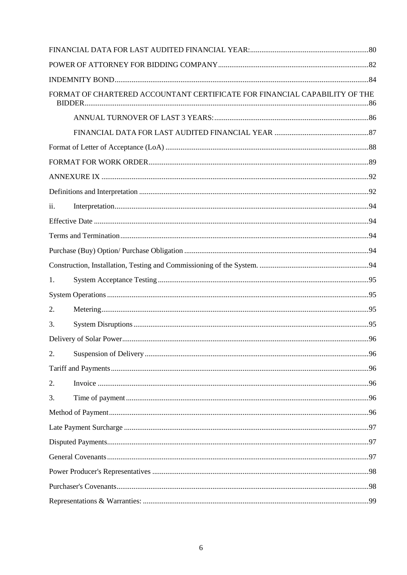|     | FORMAT OF CHARTERED ACCOUNTANT CERTIFICATE FOR FINANCIAL CAPABILITY OF THE |  |
|-----|----------------------------------------------------------------------------|--|
|     |                                                                            |  |
|     |                                                                            |  |
|     |                                                                            |  |
|     |                                                                            |  |
|     |                                                                            |  |
|     |                                                                            |  |
| ii. |                                                                            |  |
|     |                                                                            |  |
|     |                                                                            |  |
|     |                                                                            |  |
|     |                                                                            |  |
| 1.  |                                                                            |  |
|     |                                                                            |  |
| 2.  |                                                                            |  |
| 3.  |                                                                            |  |
|     |                                                                            |  |
| 2.  |                                                                            |  |
|     |                                                                            |  |
| 2.  |                                                                            |  |
| 3.  |                                                                            |  |
|     |                                                                            |  |
|     |                                                                            |  |
|     |                                                                            |  |
|     |                                                                            |  |
|     |                                                                            |  |
|     |                                                                            |  |
|     |                                                                            |  |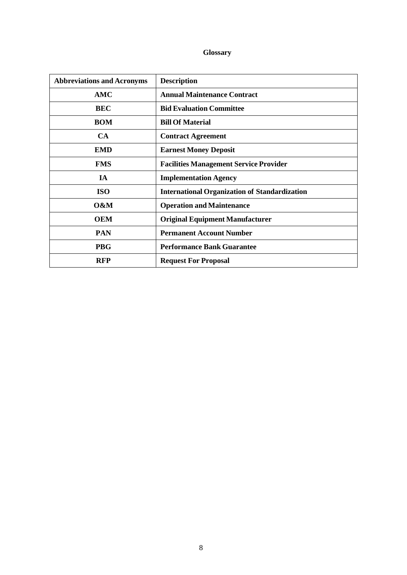### **Glossary**

| <b>Abbreviations and Acronyms</b> | <b>Description</b>                                   |
|-----------------------------------|------------------------------------------------------|
| AMC                               | <b>Annual Maintenance Contract</b>                   |
| <b>BEC</b>                        | <b>Bid Evaluation Committee</b>                      |
| <b>BOM</b>                        | <b>Bill Of Material</b>                              |
| <b>CA</b>                         | <b>Contract Agreement</b>                            |
| <b>EMD</b>                        | <b>Earnest Money Deposit</b>                         |
| <b>FMS</b>                        | <b>Facilities Management Service Provider</b>        |
| <b>IA</b>                         | <b>Implementation Agency</b>                         |
| <b>ISO</b>                        | <b>International Organization of Standardization</b> |
| 0&M                               | <b>Operation and Maintenance</b>                     |
| <b>OEM</b>                        | <b>Original Equipment Manufacturer</b>               |
| <b>PAN</b>                        | <b>Permanent Account Number</b>                      |
| <b>PBG</b>                        | <b>Performance Bank Guarantee</b>                    |
| <b>RFP</b>                        | <b>Request For Proposal</b>                          |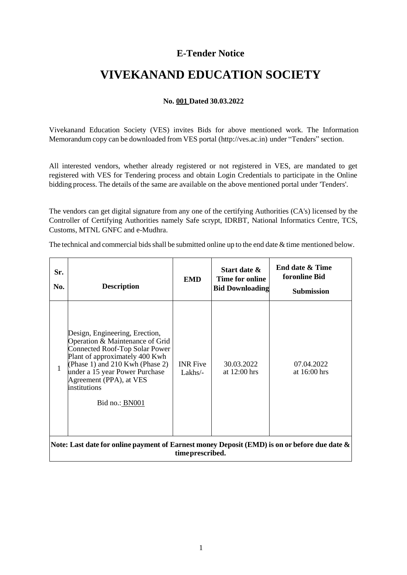### **E-Tender Notice**

# <span id="page-8-0"></span>**VIVEKANAND EDUCATION SOCIETY**

#### **No. 001 Dated 30.03.2022**

Vivekanand Education Society (VES) invites Bids for above mentioned work. The Information Memorandum copy can be downloaded from VES portal (http://ves.ac.in) under "Tenders" section.

All interested vendors, whether already registered or not registered in VES, are mandated to get registered with VES for Tendering process and obtain Login Credentials to participate in the Online bidding process. The details of the same are available on the above mentioned portal under 'Tenders'.

The vendors can get digital signature from any one of the certifying Authorities (CA's) licensed by the Controller of Certifying Authorities namely Safe scrypt, IDRBT, National Informatics Centre, TCS, Customs, MTNL GNFC and e-Mudhra.

The technical and commercial bids shall be submitted online up to the end date  $\&$  time mentioned below.

| Sr.<br>No.                                                                                                          | <b>Description</b>                                                                                                                                                                                                                                                      | <b>EMD</b>                   | Start date &<br>Time for online<br><b>Bid Downloading</b> | End date & Time<br>foronline Bid<br><b>Submission</b> |
|---------------------------------------------------------------------------------------------------------------------|-------------------------------------------------------------------------------------------------------------------------------------------------------------------------------------------------------------------------------------------------------------------------|------------------------------|-----------------------------------------------------------|-------------------------------------------------------|
| 1                                                                                                                   | Design, Engineering, Erection,<br>Operation & Maintenance of Grid<br>Connected Roof-Top Solar Power<br>Plant of approximately 400 Kwh<br>(Phase 1) and 210 Kwh (Phase 2)<br>under a 15 year Power Purchase<br>Agreement (PPA), at VES<br>institutions<br>Bid no.: BN001 | <b>INR</b> Five<br>$Lakhs/-$ | 30.03.2022<br>at $12:00$ hrs                              | 07.04.2022<br>at $16:00$ hrs                          |
| Note: Last date for online payment of Earnest money Deposit (EMD) is on or before due date $\&$<br>time prescribed. |                                                                                                                                                                                                                                                                         |                              |                                                           |                                                       |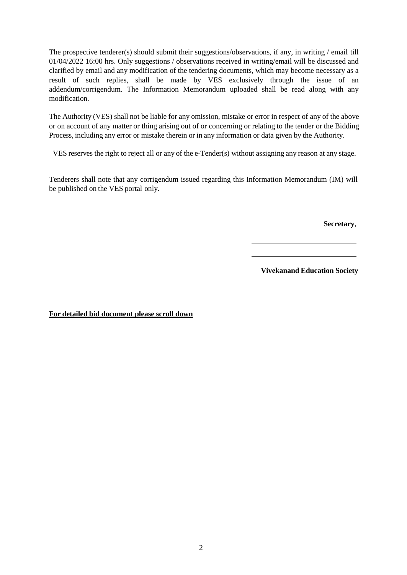The prospective tenderer(s) should submit their suggestions/observations, if any, in writing / email till 01/04/2022 16:00 hrs. Only suggestions / observations received in writing/email will be discussed and clarified by email and any modification of the tendering documents, which may become necessary as a result of such replies, shall be made by VES exclusively through the issue of an addendum/corrigendum. The Information Memorandum uploaded shall be read along with any modification.

The Authority (VES) shall not be liable for any omission, mistake or error in respect of any of the above or on account of any matter or thing arising out of or concerning or relating to the tender or the Bidding Process, including any error or mistake therein or in any information or data given by the Authority.

VES reserves the right to reject all or any of the e-Tender(s) without assigning any reason at any stage.

Tenderers shall note that any corrigendum issued regarding this Information Memorandum (IM) will be published on the VES portal only.

**Secretary**,

**Vivekanand Education Society**

**For detailed bid document please scroll down**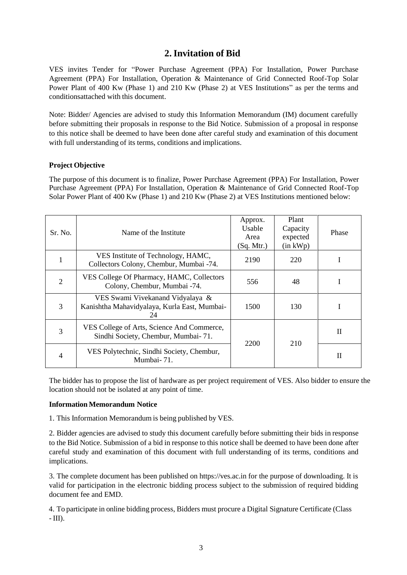### **2.Invitation of Bid**

<span id="page-10-0"></span>VES invites Tender for "Power Purchase Agreement (PPA) For Installation, Power Purchase Agreement (PPA) For Installation, Operation & Maintenance of Grid Connected Roof-Top Solar Power Plant of 400 Kw (Phase 1) and 210 Kw (Phase 2) at VES Institutions" as per the terms and conditionsattached with this document.

Note: Bidder/ Agencies are advised to study this Information Memorandum (IM) document carefully before submitting their proposals in response to the Bid Notice. Submission of a proposal in response to this notice shall be deemed to have been done after careful study and examination of this document with full understanding of its terms, conditions and implications.

#### <span id="page-10-1"></span>**Project Objective**

The purpose of this document is to finalize, Power Purchase Agreement (PPA) For Installation, Power Purchase Agreement (PPA) For Installation, Operation & Maintenance of Grid Connected Roof-Top Solar Power Plant of 400 Kw (Phase 1) and 210 Kw (Phase 2) at VES Institutions mentioned below:

| Sr. No.        | Name of the Institute                                                                  | Approx.<br>Usable<br>Area<br>(Sq. Mtr.) | Plant<br>Capacity<br>expected<br>$(in$ kWp $)$ | Phase        |
|----------------|----------------------------------------------------------------------------------------|-----------------------------------------|------------------------------------------------|--------------|
|                | VES Institute of Technology, HAMC,<br>Collectors Colony, Chembur, Mumbai -74.          | 2190                                    | 220                                            |              |
| $\overline{2}$ | VES College Of Pharmacy, HAMC, Collectors<br>Colony, Chembur, Mumbai -74.              | 556                                     | 48                                             |              |
| 3              | VES Swami Vivekanand Vidyalaya &<br>Kanishtha Mahavidyalaya, Kurla East, Mumbai-<br>24 | 1500                                    | 130                                            |              |
| 3              | VES College of Arts, Science And Commerce,<br>Sindhi Society, Chembur, Mumbai- 71.     | 2200                                    | 210                                            | $\mathbf{I}$ |
|                | VES Polytechnic, Sindhi Society, Chembur,<br>Mumbai-71.                                |                                         |                                                | П            |

The bidder has to propose the list of hardware as per project requirement of VES. Also bidder to ensure the location should not be isolated at any point of time.

#### <span id="page-10-2"></span>**Information Memorandum Notice**

1. This Information Memorandum is being published by VES.

2. Bidder agencies are advised to study this document carefully before submitting their bids in response to the Bid Notice. Submission of a bid in response to this notice shall be deemed to have been done after careful study and examination of this document with full understanding of its terms, conditions and implications.

3. The complete document has been published on https://ves.ac.in for the purpose of downloading. It is valid for participation in the electronic bidding process subject to the submission of required bidding document fee and EMD.

4. To participate in online bidding process, Bidders must procure a Digital Signature Certificate (Class  $-$  III).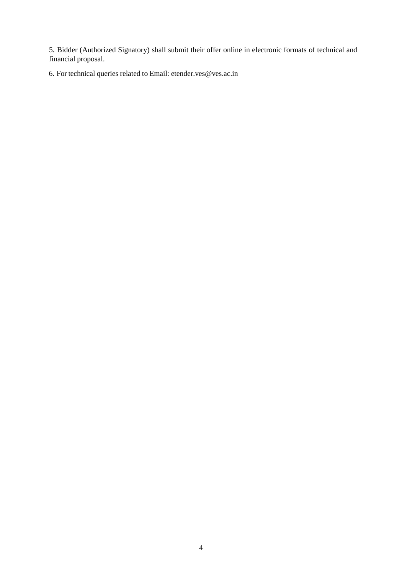5. Bidder (Authorized Signatory) shall submit their offer online in electronic formats of technical and financial proposal.

6. For technical queries related to Email: [etender.ves@ves.ac.in](mailto:etender.ves@ves.ac.in)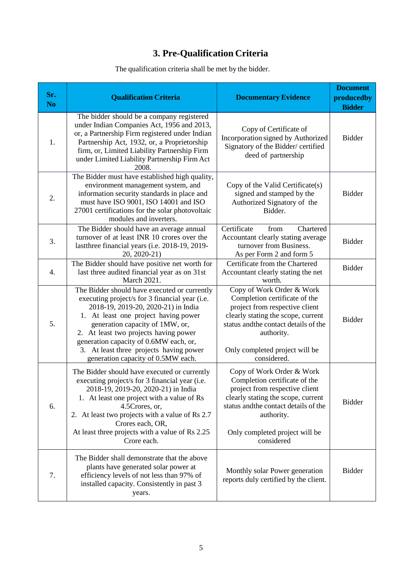# **3. Pre-Qualification Criteria**

| The qualification criteria shall be met by the bidder. |
|--------------------------------------------------------|
|--------------------------------------------------------|

<span id="page-12-0"></span>

| Sr.<br>N <sub>o</sub> | <b>Qualification Criteria</b>                                                                                                                                                                                                                                                                                                                                                        | <b>Documentary Evidence</b>                                                                                                                                                                                                                | <b>Document</b><br>producedby<br><b>Bidder</b> |
|-----------------------|--------------------------------------------------------------------------------------------------------------------------------------------------------------------------------------------------------------------------------------------------------------------------------------------------------------------------------------------------------------------------------------|--------------------------------------------------------------------------------------------------------------------------------------------------------------------------------------------------------------------------------------------|------------------------------------------------|
| 1.                    | The bidder should be a company registered<br>under Indian Companies Act, 1956 and 2013,<br>or, a Partnership Firm registered under Indian<br>Partnership Act, 1932, or, a Proprietorship<br>firm, or, Limited Liability Partnership Firm<br>under Limited Liability Partnership Firm Act<br>2008.                                                                                    | Copy of Certificate of<br>Incorporation signed by Authorized<br>Signatory of the Bidder/ certified<br>deed of partnership                                                                                                                  | <b>Bidder</b>                                  |
| 2.                    | The Bidder must have established high quality,<br>environment management system, and<br>information security standards in place and<br>must have ISO 9001, ISO 14001 and ISO<br>27001 certifications for the solar photovoltaic<br>modules and inverters.                                                                                                                            | Copy of the Valid Certificate(s)<br>signed and stamped by the<br>Authorized Signatory of the<br>Bidder.                                                                                                                                    | <b>Bidder</b>                                  |
| 3.                    | The Bidder should have an average annual<br>turnover of at least INR 10 crores over the<br>lastthree financial years (i.e. 2018-19, 2019-<br>20, 2020-21)                                                                                                                                                                                                                            | Certificate<br>Chartered<br>from<br>Accountant clearly stating average<br>turnover from Business.<br>As per Form 2 and form 5                                                                                                              | <b>Bidder</b>                                  |
| $\overline{4}$ .      | The Bidder should have positive net worth for<br>last three audited financial year as on 31st<br>March 2021.                                                                                                                                                                                                                                                                         | Certificate from the Chartered<br>Accountant clearly stating the net<br>worth.                                                                                                                                                             | <b>Bidder</b>                                  |
| 5.                    | The Bidder should have executed or currently<br>executing project/s for 3 financial year (i.e.<br>2018-19, 2019-20, 2020-21) in India<br>1. At least one project having power<br>generation capacity of 1MW, or,<br>2. At least two projects having power<br>generation capacity of 0.6MW each, or,<br>3. At least three projects having power<br>generation capacity of 0.5MW each. | Copy of Work Order & Work<br>Completion certificate of the<br>project from respective client<br>clearly stating the scope, current<br>status and the contact details of the<br>authority.<br>Only completed project will be<br>considered. | <b>Bidder</b>                                  |
| 6.                    | The Bidder should have executed or currently<br>executing project/s for 3 financial year (i.e.<br>2018-19, 2019-20, 2020-21) in India<br>1. At least one project with a value of Rs<br>4.5Crores, or,<br>2. At least two projects with a value of Rs 2.7<br>Crores each, OR,<br>At least three projects with a value of Rs 2.25<br>Crore each.                                       | Copy of Work Order & Work<br>Completion certificate of the<br>project from respective client<br>clearly stating the scope, current<br>status and the contact details of the<br>authority.<br>Only completed project will be<br>considered  | <b>Bidder</b>                                  |
| 7.                    | The Bidder shall demonstrate that the above<br>plants have generated solar power at<br>efficiency levels of not less than 97% of<br>installed capacity. Consistently in past 3<br>years.                                                                                                                                                                                             | Monthly solar Power generation<br>reports duly certified by the client.                                                                                                                                                                    | <b>Bidder</b>                                  |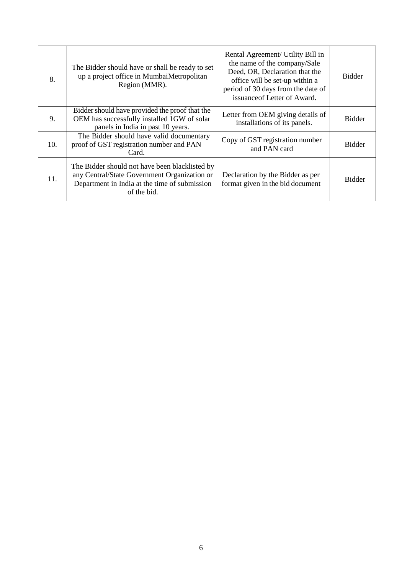| 8.  | The Bidder should have or shall be ready to set<br>up a project office in MumbaiMetropolitan<br>Region (MMR).                                                  | Rental Agreement/ Utility Bill in<br>the name of the company/Sale<br>Deed, OR, Declaration that the<br>office will be set-up within a<br>period of 30 days from the date of<br>issuance of Letter of Award. | <b>Bidder</b> |
|-----|----------------------------------------------------------------------------------------------------------------------------------------------------------------|-------------------------------------------------------------------------------------------------------------------------------------------------------------------------------------------------------------|---------------|
| 9.  | Bidder should have provided the proof that the<br>OEM has successfully installed 1GW of solar<br>panels in India in past 10 years.                             | Letter from OEM giving details of<br>installations of its panels.                                                                                                                                           | <b>Bidder</b> |
| 10. | The Bidder should have valid documentary<br>proof of GST registration number and PAN<br>Card.                                                                  | Copy of GST registration number<br>and PAN card                                                                                                                                                             | <b>Bidder</b> |
| 11. | The Bidder should not have been blacklisted by<br>any Central/State Government Organization or<br>Department in India at the time of submission<br>of the bid. | Declaration by the Bidder as per<br>format given in the bid document                                                                                                                                        | <b>Bidder</b> |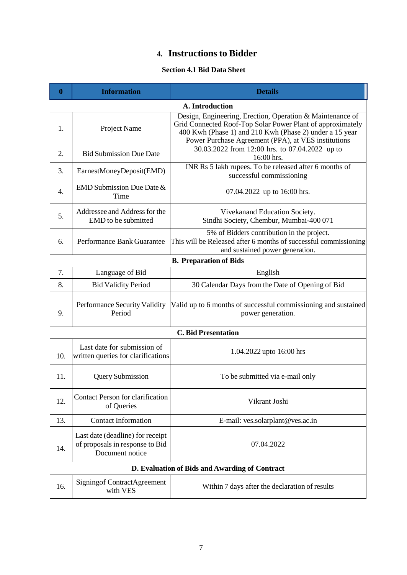# **4. Instructions to Bidder**

### **Section 4.1 Bid Data Sheet**

<span id="page-14-1"></span><span id="page-14-0"></span>

| $\boldsymbol{0}$ | <b>Information</b>                                                                                                                                                              | <b>Details</b>                                                                                                                                                                                                                            |  |  |  |  |
|------------------|---------------------------------------------------------------------------------------------------------------------------------------------------------------------------------|-------------------------------------------------------------------------------------------------------------------------------------------------------------------------------------------------------------------------------------------|--|--|--|--|
| A. Introduction  |                                                                                                                                                                                 |                                                                                                                                                                                                                                           |  |  |  |  |
| 1.               | Project Name                                                                                                                                                                    | Design, Engineering, Erection, Operation & Maintenance of<br>Grid Connected Roof-Top Solar Power Plant of approximately<br>400 Kwh (Phase 1) and 210 Kwh (Phase 2) under a 15 year<br>Power Purchase Agreement (PPA), at VES institutions |  |  |  |  |
| 2.               | <b>Bid Submission Due Date</b>                                                                                                                                                  | 30.03.2022 from 12:00 hrs. to 07.04.2022 up to<br>16:00 hrs.                                                                                                                                                                              |  |  |  |  |
| 3.               | EarnestMoneyDeposit(EMD)                                                                                                                                                        | INR Rs 5 lakh rupees. To be released after 6 months of<br>successful commissioning                                                                                                                                                        |  |  |  |  |
| 4.               | EMD Submission Due Date &<br>Time                                                                                                                                               | 07.04.2022 up to 16:00 hrs.                                                                                                                                                                                                               |  |  |  |  |
| 5.               | Addressee and Address for the<br>EMD to be submitted                                                                                                                            | Vivekanand Education Society.<br>Sindhi Society, Chembur, Mumbai-400 071                                                                                                                                                                  |  |  |  |  |
| 6.               | 5% of Bidders contribution in the project.<br>This will be Released after 6 months of successful commissioning<br>Performance Bank Guarantee<br>and sustained power generation. |                                                                                                                                                                                                                                           |  |  |  |  |
|                  |                                                                                                                                                                                 | <b>B. Preparation of Bids</b>                                                                                                                                                                                                             |  |  |  |  |
| 7.               | Language of Bid                                                                                                                                                                 | English                                                                                                                                                                                                                                   |  |  |  |  |
| 8.               | <b>Bid Validity Period</b>                                                                                                                                                      | 30 Calendar Days from the Date of Opening of Bid                                                                                                                                                                                          |  |  |  |  |
| 9.               | Performance Security Validity<br>Period                                                                                                                                         | Valid up to 6 months of successful commissioning and sustained<br>power generation.                                                                                                                                                       |  |  |  |  |
|                  |                                                                                                                                                                                 | <b>C. Bid Presentation</b>                                                                                                                                                                                                                |  |  |  |  |
| 10.              | Last date for submission of<br>written queries for clarifications                                                                                                               | 1.04.2022 upto 16:00 hrs                                                                                                                                                                                                                  |  |  |  |  |
| 11.              | <b>Query Submission</b>                                                                                                                                                         | To be submitted via e-mail only                                                                                                                                                                                                           |  |  |  |  |
| 12.              | <b>Contact Person for clarification</b><br>of Queries                                                                                                                           | Vikrant Joshi                                                                                                                                                                                                                             |  |  |  |  |
| 13.              | <b>Contact Information</b>                                                                                                                                                      | E-mail: ves.solarplant@ves.ac.in                                                                                                                                                                                                          |  |  |  |  |
| 14.              | Last date (deadline) for receipt<br>of proposals in response to Bid<br>Document notice                                                                                          | 07.04.2022                                                                                                                                                                                                                                |  |  |  |  |
|                  |                                                                                                                                                                                 | D. Evaluation of Bids and Awarding of Contract                                                                                                                                                                                            |  |  |  |  |
| 16.              | <b>Signingof ContractAgreement</b><br>with VES                                                                                                                                  | Within 7 days after the declaration of results                                                                                                                                                                                            |  |  |  |  |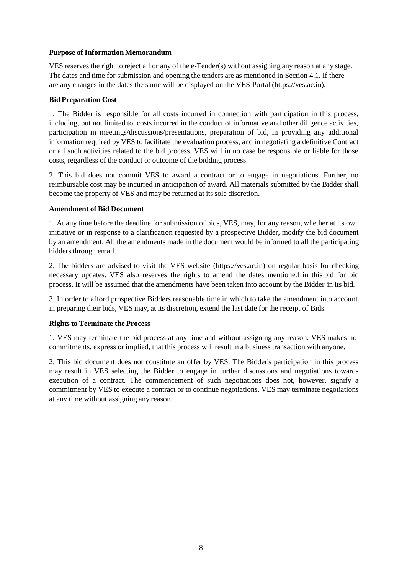#### <span id="page-15-0"></span>**Purpose of Information Memorandum**

VES reserves the right to reject all or any of the e-Tender(s) without assigning any reason at any stage. The dates and time for submission and opening the tenders are as mentioned in Section 4.1. If there are any changes in the dates the same will be displayed on the VES Portal (https://ves.ac.in).

#### <span id="page-15-1"></span>**BidPreparation Cost**

1. The Bidder is responsible for all costs incurred in connection with participation in this process, including, but not limited to, costs incurred in the conduct of informative and other diligence activities, participation in meetings/discussions/presentations, preparation of bid, in providing any additional information required by VES to facilitate the evaluation process, and in negotiating a definitive Contract or all such activities related to the bid process. VES will in no case be responsible or liable for those costs, regardless of the conduct or outcome of the bidding process.

2. This bid does not commit VES to award a contract or to engage in negotiations. Further, no reimbursable cost may be incurred in anticipation of award. All materials submitted by the Bidder shall become the property of VES and may be returned at its sole discretion.

#### <span id="page-15-2"></span>**Amendment of Bid Document**

1. At any time before the deadline for submission of bids, VES, may, for any reason, whether at its own initiative or in response to a clarification requested by a prospective Bidder, modify the bid document by an amendment. All the amendments made in the document would be informed to all the participating bidders through email.

2. The bidders are advised to visit the VES website (https://ves.ac.in) on regular basis for checking necessary updates. VES also reserves the rights to amend the dates mentioned in this bid for bid process. It will be assumed that the amendments have been taken into account by the Bidder in its bid.

3. In order to afford prospective Bidders reasonable time in which to take the amendment into account in preparing their bids, VES may, at its discretion, extend the last date for the receipt of Bids.

#### <span id="page-15-3"></span>**Rights to Terminate the Process**

1. VES may terminate the bid process at any time and without assigning any reason. VES makes no commitments, express or implied, that this process will result in a business transaction with anyone.

2. This bid document does not constitute an offer by VES. The Bidder's participation in this process may result in VES selecting the Bidder to engage in further discussions and negotiations towards execution of a contract. The commencement of such negotiations does not, however, signify a commitment by VES to execute a contract or to continue negotiations. VES may terminate negotiations at any time without assigning any reason.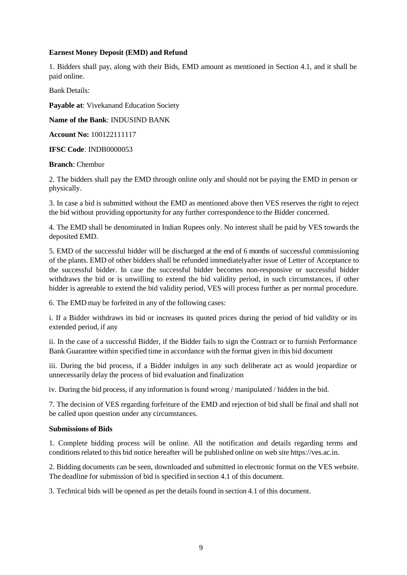#### <span id="page-16-0"></span>**Earnest Money Deposit (EMD) and Refund**

1. Bidders shall pay, along with their Bids, EMD amount as mentioned in Section 4.1, and it shall be paid online.

Bank Details:

**Payable at**: Vivekanand Education Society

**Name of the Bank**: INDUSIND BANK

**Account No:** 100122111117

**IFSC Code**: INDB0000053

#### **Branch**: Chembur

2. The bidders shall pay the EMD through online only and should not be paying the EMD in person or physically.

3. In case a bid is submitted without the EMD as mentioned above then VES reserves the right to reject the bid without providing opportunity for any further correspondence to the Bidder concerned.

4. The EMD shall be denominated in Indian Rupees only. No interest shall be paid by VES towards the deposited EMD.

5. EMD of the successful bidder will be discharged at the end of 6 months of successful commissioning of the plants. EMD of other bidders shall be refunded immediatelyafter issue of Letter of Acceptance to the successful bidder. In case the successful bidder becomes non-responsive or successful bidder withdraws the bid or is unwilling to extend the bid validity period, in such circumstances, if other bidder is agreeable to extend the bid validity period, VES will process further as per normal procedure.

6. The EMD may be forfeited in any of the following cases:

i. If a Bidder withdraws its bid or increases its quoted prices during the period of bid validity or its extended period, if any

ii. In the case of a successful Bidder, if the Bidder fails to sign the Contract or to furnish Performance Bank Guarantee within specified time in accordance with the format given in this bid document

iii. During the bid process, if a Bidder indulges in any such deliberate act as would jeopardize or unnecessarily delay the process of bid evaluation and finalization

iv. During the bid process, if any information is found wrong / manipulated / hidden in the bid.

7. The decision of VES regarding forfeiture of the EMD and rejection of bid shall be final and shall not be called upon question under any circumstances.

#### <span id="page-16-1"></span>**Submissions of Bids**

1. Complete bidding process will be online. All the notification and details regarding terms and conditions related to this bid notice hereafter will be published online on web site https://ves.ac.in.

2. Bidding documents can be seen, downloaded and submitted in electronic format on the VES website. The deadline for submission of bid is specified in section 4.1 of this document.

3. Technical bids will be opened as per the details found in section 4.1 of this document.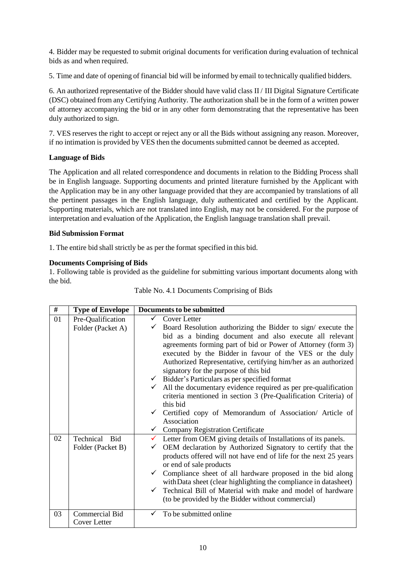4. Bidder may be requested to submit original documents for verification during evaluation of technical bids as and when required.

5. Time and date of opening of financial bid will be informed by email to technically qualified bidders.

6. An authorized representative of the Bidder should have valid class II / III Digital Signature Certificate (DSC) obtained from any Certifying Authority. The authorization shall be in the form of a written power of attorney accompanying the bid or in any other form demonstrating that the representative has been duly authorized to sign.

7. VES reserves the right to accept or reject any or all the Bids without assigning any reason. Moreover, if no intimation is provided by VES then the documents submitted cannot be deemed as accepted.

#### <span id="page-17-0"></span>**Language of Bids**

The Application and all related correspondence and documents in relation to the Bidding Process shall be in English language. Supporting documents and printed literature furnished by the Applicant with the Application may be in any other language provided that they are accompanied by translations of all the pertinent passages in the English language, duly authenticated and certified by the Applicant. Supporting materials, which are not translated into English, may not be considered. For the purpose of interpretation and evaluation of the Application, the English language translation shall prevail.

#### <span id="page-17-1"></span>**Bid Submission Format**

1. The entire bid shall strictly be as per the format specified in this bid.

#### <span id="page-17-2"></span>**Documents Comprising of Bids**

1. Following table is provided as the guideline for submitting various important documents along with the bid.

| #  | <b>Type of Envelope</b> | <b>Documents to be submitted</b>                                            |
|----|-------------------------|-----------------------------------------------------------------------------|
| 01 | Pre-Qualification       | Cover Letter<br>$\checkmark$                                                |
|    | Folder (Packet A)       | $\checkmark$ Board Resolution authorizing the Bidder to sign/ execute the   |
|    |                         | bid as a binding document and also execute all relevant                     |
|    |                         | agreements forming part of bid or Power of Attorney (form 3)                |
|    |                         | executed by the Bidder in favour of the VES or the duly                     |
|    |                         | Authorized Representative, certifying him/her as an authorized              |
|    |                         | signatory for the purpose of this bid                                       |
|    |                         | $\checkmark$ Bidder's Particulars as per specified format                   |
|    |                         | $\checkmark$ All the documentary evidence required as per pre-qualification |
|    |                         | criteria mentioned in section 3 (Pre-Qualification Criteria) of             |
|    |                         | this bid                                                                    |
|    |                         | $\checkmark$ Certified copy of Memorandum of Association/ Article of        |
|    |                         | Association                                                                 |
|    |                         | <b>Company Registration Certificate</b><br>$\checkmark$                     |
| 02 | Technical<br>Bid        | Letter from OEM giving details of Installations of its panels.              |
|    | Folder (Packet B)       | OEM declaration by Authorized Signatory to certify that the<br>✓            |
|    |                         | products offered will not have end of life for the next 25 years            |
|    |                         | or end of sale products                                                     |
|    |                         | Compliance sheet of all hardware proposed in the bid along<br>$\checkmark$  |
|    |                         | with Data sheet (clear highlighting the compliance in datasheet)            |
|    |                         | Technical Bill of Material with make and model of hardware<br>$\checkmark$  |
|    |                         | (to be provided by the Bidder without commercial)                           |
| 03 | <b>Commercial Bid</b>   | To be submitted online                                                      |
|    | Cover Letter            |                                                                             |

|  | Table No. 4.1 Documents Comprising of Bids |  |  |
|--|--------------------------------------------|--|--|
|  |                                            |  |  |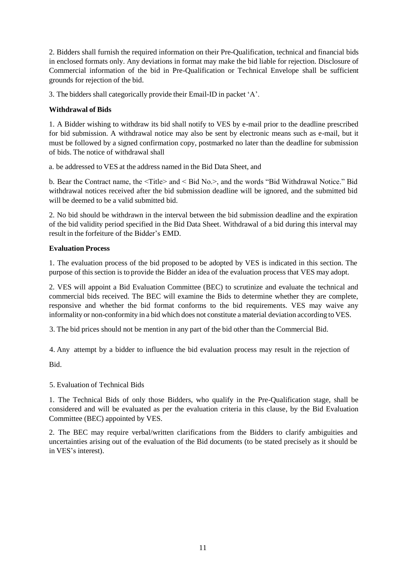2. Bidders shall furnish the required information on their Pre-Qualification, technical and financial bids in enclosed formats only. Any deviations in format may make the bid liable for rejection. Disclosure of Commercial information of the bid in Pre-Qualification or Technical Envelope shall be sufficient grounds for rejection of the bid.

3. The bidders shall categorically provide their Email-ID in packet 'A'.

#### <span id="page-18-0"></span>**Withdrawal of Bids**

1. A Bidder wishing to withdraw its bid shall notify to VES by e-mail prior to the deadline prescribed for bid submission. A withdrawal notice may also be sent by electronic means such as e-mail, but it must be followed by a signed confirmation copy, postmarked no later than the deadline for submission of bids. The notice of withdrawal shall

a. be addressed to VES at the address named in the Bid Data Sheet, and

b. Bear the Contract name, the <Title> and < Bid No.>, and the words "Bid Withdrawal Notice." Bid withdrawal notices received after the bid submission deadline will be ignored, and the submitted bid will be deemed to be a valid submitted bid.

2. No bid should be withdrawn in the interval between the bid submission deadline and the expiration of the bid validity period specified in the Bid Data Sheet. Withdrawal of a bid during this interval may result in the forfeiture of the Bidder's EMD.

#### <span id="page-18-1"></span>**Evaluation Process**

1. The evaluation process of the bid proposed to be adopted by VES is indicated in this section. The purpose of this section is to provide the Bidder an idea of the evaluation process that VES may adopt.

2. VES will appoint a Bid Evaluation Committee (BEC) to scrutinize and evaluate the technical and commercial bids received. The BEC will examine the Bids to determine whether they are complete, responsive and whether the bid format conforms to the bid requirements. VES may waive any informality or non-conformity in a bid which does not constitute a material deviation according to VES.

3. The bid prices should not be mention in any part of the bid other than the Commercial Bid.

4. Any attempt by a bidder to influence the bid evaluation process may result in the rejection of

Bid.

5. Evaluation of Technical Bids

1. The Technical Bids of only those Bidders, who qualify in the Pre-Qualification stage, shall be considered and will be evaluated as per the evaluation criteria in this clause, by the Bid Evaluation Committee (BEC) appointed by VES.

2. The BEC may require verbal/written clarifications from the Bidders to clarify ambiguities and uncertainties arising out of the evaluation of the Bid documents (to be stated precisely as it should be in VES's interest).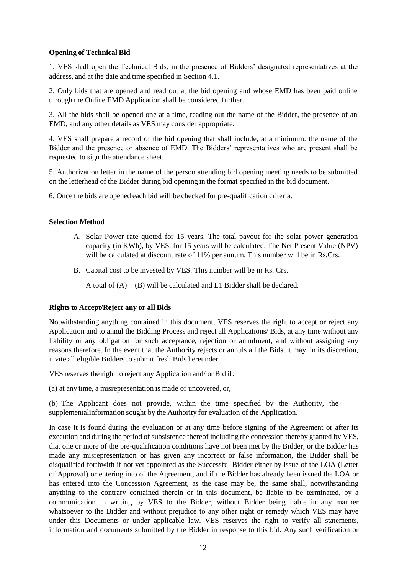#### <span id="page-19-0"></span>**Opening of Technical Bid**

1. VES shall open the Technical Bids, in the presence of Bidders' designated representatives at the address, and at the date and time specified in Section 4.1.

2. Only bids that are opened and read out at the bid opening and whose EMD has been paid online through the Online EMD Application shall be considered further.

3. All the bids shall be opened one at a time, reading out the name of the Bidder, the presence of an EMD, and any other details as VES may consider appropriate.

4. VES shall prepare a record of the bid opening that shall include, at a minimum: the name of the Bidder and the presence or absence of EMD. The Bidders' representatives who are present shall be requested to sign the attendance sheet.

5. Authorization letter in the name of the person attending bid opening meeting needs to be submitted on the letterhead of the Bidder during bid opening in the format specified in the bid document.

6. Once the bids are opened each bid will be checked for pre-qualification criteria.

#### <span id="page-19-1"></span>**Selection Method**

- A. Solar Power rate quoted for 15 years. The total payout for the solar power generation capacity (in KWh), by VES, for 15 years will be calculated. The Net Present Value (NPV) will be calculated at discount rate of 11% per annum. This number will be in Rs.Crs.
- B. Capital cost to be invested by VES. This number will be in Rs. Crs.

A total of  $(A) + (B)$  will be calculated and L1 Bidder shall be declared.

#### <span id="page-19-2"></span>**Rightsto Accept/Reject any or all Bids**

Notwithstanding anything contained in this document, VES reserves the right to accept or reject any Application and to annul the Bidding Process and reject all Applications/ Bids, at any time without any liability or any obligation for such acceptance, rejection or annulment, and without assigning any reasons therefore. In the event that the Authority rejects or annuls all the Bids, it may, in its discretion, invite all eligible Bidders to submit fresh Bids hereunder.

VES reserves the right to reject any Application and/ or Bid if:

(a) at any time, a misrepresentation is made or uncovered, or,

(b) The Applicant does not provide, within the time specified by the Authority, the supplementalinformation sought by the Authority for evaluation of the Application.

In case it is found during the evaluation or at any time before signing of the Agreement or after its execution and during the period of subsistence thereof including the concession thereby granted by VES, that one or more of the pre-qualification conditions have not been met by the Bidder, or the Bidder has made any misrepresentation or has given any incorrect or false information, the Bidder shall be disqualified forthwith if not yet appointed as the Successful Bidder either by issue of the LOA (Letter of Approval) or entering into of the Agreement, and if the Bidder has already been issued the LOA or has entered into the Concession Agreement, as the case may be, the same shall, notwithstanding anything to the contrary contained therein or in this document, be liable to be terminated, by a communication in writing by VES to the Bidder, without Bidder being liable in any manner whatsoever to the Bidder and without prejudice to any other right or remedy which VES may have under this Documents or under applicable law. VES reserves the right to verify all statements, information and documents submitted by the Bidder in response to this bid. Any such verification or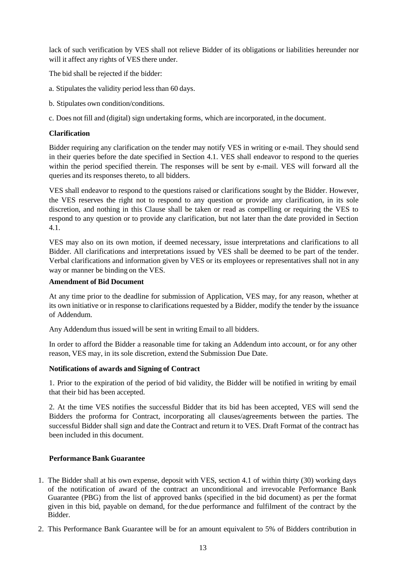lack of such verification by VES shall not relieve Bidder of its obligations or liabilities hereunder nor will it affect any rights of VES there under.

The bid shall be rejected if the bidder:

- a. Stipulates the validity period less than 60 days.
- b. Stipulates own condition/conditions.
- c. Does not fill and (digital) sign undertaking forms, which are incorporated, in the document.

#### <span id="page-20-0"></span>**Clarification**

Bidder requiring any clarification on the tender may notify VES in writing or e-mail. They should send in their queries before the date specified in Section 4.1. VES shall endeavor to respond to the queries within the period specified therein. The responses will be sent by e-mail. VES will forward all the queries and its responses thereto, to all bidders.

VES shall endeavor to respond to the questions raised or clarifications sought by the Bidder. However, the VES reserves the right not to respond to any question or provide any clarification, in its sole discretion, and nothing in this Clause shall be taken or read as compelling or requiring the VES to respond to any question or to provide any clarification, but not later than the date provided in Section 4.1.

VES may also on its own motion, if deemed necessary, issue interpretations and clarifications to all Bidder. All clarifications and interpretations issued by VES shall be deemed to be part of the tender. Verbal clarifications and information given by VES or its employees or representatives shall not in any way or manner be binding on the VES.

#### <span id="page-20-1"></span>**Amendment of Bid Document**

At any time prior to the deadline for submission of Application, VES may, for any reason, whether at its own initiative or in response to clarifications requested by a Bidder, modify the tender by the issuance of Addendum.

Any Addendum thus issued will be sent in writing Email to all bidders.

In order to afford the Bidder a reasonable time for taking an Addendum into account, or for any other reason, VES may, in its sole discretion, extend the Submission Due Date.

#### <span id="page-20-2"></span>**Notifications of awards and Signing of Contract**

1. Prior to the expiration of the period of bid validity, the Bidder will be notified in writing by email that their bid has been accepted.

2. At the time VES notifies the successful Bidder that its bid has been accepted, VES will send the Bidders the proforma for Contract, incorporating all clauses/agreements between the parties. The successful Bidder shall sign and date the Contract and return it to VES. Draft Format of the contract has been included in this document.

#### <span id="page-20-3"></span>**Performance Bank Guarantee**

- 1. The Bidder shall at his own expense, deposit with VES, section 4.1 of within thirty (30) working days of the notification of award of the contract an unconditional and irrevocable Performance Bank Guarantee (PBG) from the list of approved banks (specified in the bid document) as per the format given in this bid, payable on demand, for the due performance and fulfilment of the contract by the Bidder.
- 2. This Performance Bank Guarantee will be for an amount equivalent to 5% of Bidders contribution in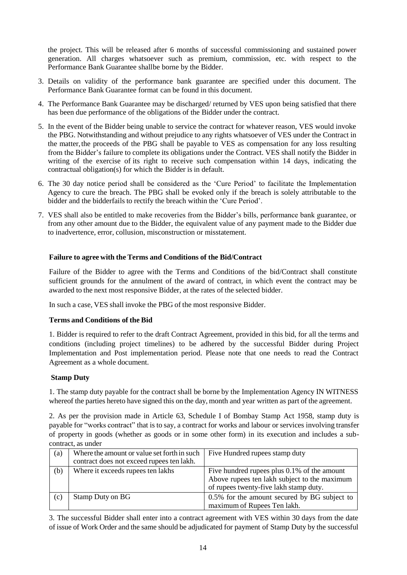the project. This will be released after 6 months of successful commissioning and sustained power generation. All charges whatsoever such as premium, commission, etc. with respect to the Performance Bank Guarantee shallbe borne by the Bidder.

- 3. Details on validity of the performance bank guarantee are specified under this document. The Performance Bank Guarantee format can be found in this document.
- 4. The Performance Bank Guarantee may be discharged/ returned by VES upon being satisfied that there has been due performance of the obligations of the Bidder under the contract.
- 5. In the event of the Bidder being unable to service the contract for whatever reason, VES would invoke the PBG. Notwithstanding and without prejudice to any rights whatsoever of VES under the Contract in the matter,the proceeds of the PBG shall be payable to VES as compensation for any loss resulting from the Bidder's failure to complete its obligations under the Contract. VES shall notify the Bidder in writing of the exercise of its right to receive such compensation within 14 days, indicating the contractual obligation(s) for which the Bidder is in default.
- 6. The 30 day notice period shall be considered as the 'Cure Period' to facilitate the Implementation Agency to cure the breach. The PBG shall be evoked only if the breach is solely attributable to the bidder and the bidderfails to rectify the breach within the 'Cure Period'.
- 7. VES shall also be entitled to make recoveries from the Bidder's bills, performance bank guarantee, or from any other amount due to the Bidder, the equivalent value of any payment made to the Bidder due to inadvertence, error, collusion, misconstruction or misstatement.

#### <span id="page-21-0"></span>**Failure to agree with the Terms and Conditions of the Bid/Contract**

Failure of the Bidder to agree with the Terms and Conditions of the bid/Contract shall constitute sufficient grounds for the annulment of the award of contract, in which event the contract may be awarded to the next most responsive Bidder, at the rates of the selected bidder.

In such a case, VES shall invoke the PBG of the most responsive Bidder.

#### <span id="page-21-1"></span>**Terms and Conditions of the Bid**

1. Bidder is required to refer to the draft Contract Agreement, provided in this bid, for all the terms and conditions (including project timelines) to be adhered by the successful Bidder during Project Implementation and Post implementation period. Please note that one needs to read the Contract Agreement as a whole document.

#### <span id="page-21-2"></span>**Stamp Duty**

1. The stamp duty payable for the contract shall be borne by the Implementation Agency IN WITNESS whereof the parties hereto have signed this on the day, month and year written as part of the agreement.

2. As per the provision made in Article 63, Schedule I of Bombay Stamp Act 1958, stamp duty is payable for "works contract" that is to say, a contract for works and labour or services involving transfer of property in goods (whether as goods or in some other form) in its execution and includes a subcontract, as under

| (a) | Where the amount or value set forth in such<br>contract does not exceed rupees ten lakh. | Five Hundred rupees stamp duty                                                                                                        |
|-----|------------------------------------------------------------------------------------------|---------------------------------------------------------------------------------------------------------------------------------------|
| (b) | Where it exceeds rupees ten lakhs                                                        | Five hundred rupees plus 0.1% of the amount<br>Above rupees ten lakh subject to the maximum<br>of rupees twenty-five lakh stamp duty. |
| (c) | Stamp Duty on BG                                                                         | 0.5% for the amount secured by BG subject to<br>maximum of Rupees Ten lakh.                                                           |

3. The successful Bidder shall enter into a contract agreement with VES within 30 days from the date of issue of Work Order and the same should be adjudicated for payment of Stamp Duty by the successful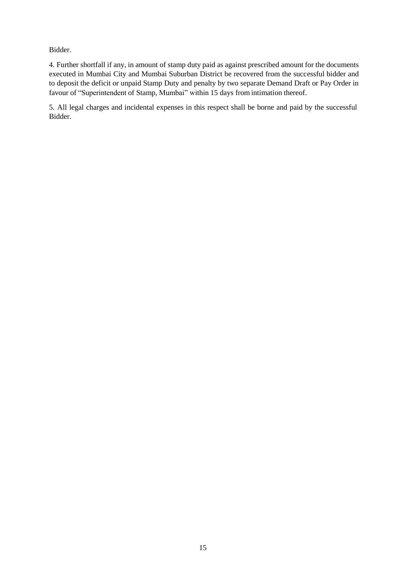Bidder.

4. Further shortfall if any, in amount of stamp duty paid as against prescribed amount for the documents executed in Mumbai City and Mumbai Suburban District be recovered from the successful bidder and to deposit the deficit or unpaid Stamp Duty and penalty by two separate Demand Draft or Pay Order in favour of "Superintendent of Stamp, Mumbai" within 15 days from intimation thereof.

5. All legal charges and incidental expenses in this respect shall be borne and paid by the successful Bidder.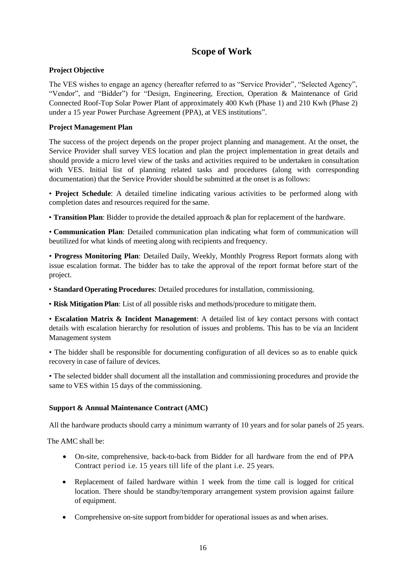### **Scope of Work**

#### <span id="page-23-1"></span><span id="page-23-0"></span>**Project Objective**

The VES wishes to engage an agency (hereafter referred to as "Service Provider", "Selected Agency", "Vendor", and "Bidder") for "Design, Engineering, Erection, Operation & Maintenance of Grid Connected Roof-Top Solar Power Plant of approximately 400 Kwh (Phase 1) and 210 Kwh (Phase 2) under a 15 year Power Purchase Agreement (PPA), at VES institutions".

#### <span id="page-23-2"></span>**Project Management Plan**

The success of the project depends on the proper project planning and management. At the onset, the Service Provider shall survey VES location and plan the project implementation in great details and should provide a micro level view of the tasks and activities required to be undertaken in consultation with VES. Initial list of planning related tasks and procedures (along with corresponding documentation) that the Service Provider should be submitted at the onset is as follows:

• **Project Schedule**: A detailed timeline indicating various activities to be performed along with completion dates and resources required for the same.

• **Transition Plan**: Bidder to provide the detailed approach & plan for replacement of the hardware.

• **Communication Plan**: Detailed communication plan indicating what form of communication will beutilized for what kinds of meeting along with recipients and frequency.

• **Progress Monitoring Plan**: Detailed Daily, Weekly, Monthly Progress Report formats along with issue escalation format. The bidder has to take the approval of the report format before start of the project.

• **Standard Operating Procedures**: Detailed procedures for installation, commissioning.

• **Risk Mitigation Plan**: List of all possible risks and methods/procedure to mitigate them.

• **Escalation Matrix & Incident Management**: A detailed list of key contact persons with contact details with escalation hierarchy for resolution of issues and problems. This has to be via an Incident Management system

• The bidder shall be responsible for documenting configuration of all devices so as to enable quick recovery in case of failure of devices.

• The selected bidder shall document all the installation and commissioning procedures and provide the same to VES within 15 days of the commissioning.

#### <span id="page-23-3"></span>**Support & Annual Maintenance Contract (AMC)**

All the hardware products should carry a minimum warranty of 10 years and for solar panels of 25 years.

The AMC shall be:

- On-site, comprehensive, back-to-back from Bidder for all hardware from the end of PPA Contract period i.e. 15 years till life of the plant i.e. 25 years.
- Replacement of failed hardware within 1 week from the time call is logged for critical location. There should be standby/temporary arrangement system provision against failure of equipment.
- Comprehensive on-site support frombidder for operational issues as and when arises.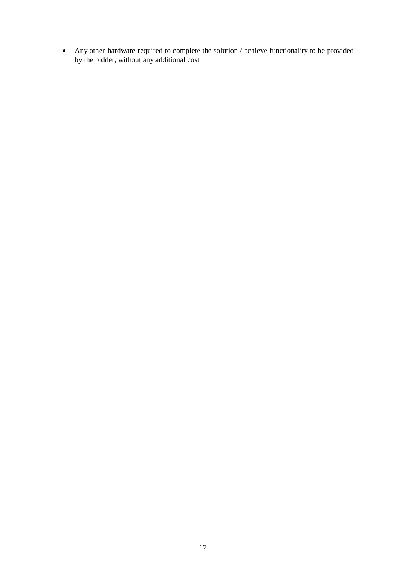Any other hardware required to complete the solution / achieve functionality to be provided by the bidder, without any additional cost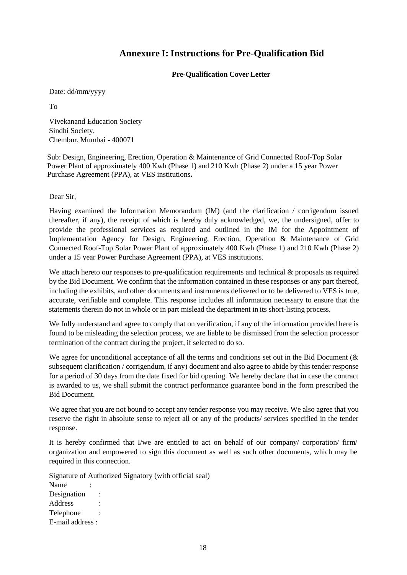### **Annexure I: Instructions for Pre-Qualification Bid**

#### **Pre-Qualification Cover Letter**

<span id="page-25-1"></span><span id="page-25-0"></span>Date: dd/mm/yyyy

To

Vivekanand Education Society Sindhi Society, Chembur, Mumbai - 400071

Sub: Design, Engineering, Erection, Operation & Maintenance of Grid Connected Roof-Top Solar Power Plant of approximately 400 Kwh (Phase 1) and 210 Kwh (Phase 2) under a 15 year Power Purchase Agreement (PPA), at VES institutions**.**

Dear Sir,

Having examined the Information Memorandum (IM) (and the clarification / corrigendum issued thereafter, if any), the receipt of which is hereby duly acknowledged, we, the undersigned, offer to provide the professional services as required and outlined in the IM for the Appointment of Implementation Agency for Design, Engineering, Erection, Operation & Maintenance of Grid Connected Roof-Top Solar Power Plant of approximately 400 Kwh (Phase 1) and 210 Kwh (Phase 2) under a 15 year Power Purchase Agreement (PPA), at VES institutions.

We attach hereto our responses to pre-qualification requirements and technical & proposals as required by the Bid Document. We confirm that the information contained in these responses or any part thereof, including the exhibits, and other documents and instruments delivered or to be delivered to VES is true, accurate, verifiable and complete. This response includes all information necessary to ensure that the statements therein do not in whole or in part mislead the department in its short-listing process.

We fully understand and agree to comply that on verification, if any of the information provided here is found to be misleading the selection process, we are liable to be dismissed from the selection processor termination of the contract during the project, if selected to do so.

We agree for unconditional acceptance of all the terms and conditions set out in the Bid Document ( $\&$ subsequent clarification / corrigendum, if any) document and also agree to abide by this tender response for a period of 30 days from the date fixed for bid opening. We hereby declare that in case the contract is awarded to us, we shall submit the contract performance guarantee bond in the form prescribed the Bid Document.

We agree that you are not bound to accept any tender response you may receive. We also agree that you reserve the right in absolute sense to reject all or any of the products/ services specified in the tender response.

It is hereby confirmed that I/we are entitled to act on behalf of our company/ corporation/ firm/ organization and empowered to sign this document as well as such other documents, which may be required in this connection.

Signature of Authorized Signatory (with official seal)

Name Designation Address : Telephone : E-mail address :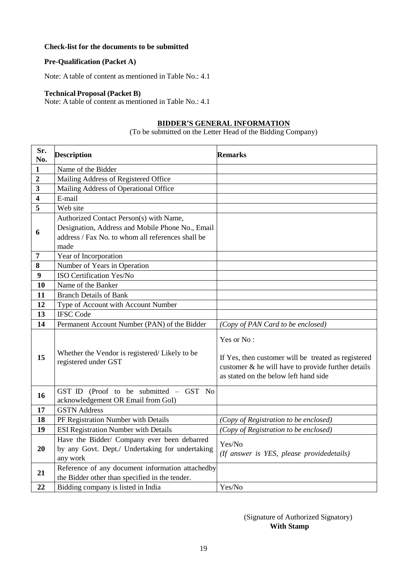#### <span id="page-26-0"></span>**Check-list for the documents to be submitted**

#### **Pre-Qualification (Packet A)**

Note: A table of content as mentioned in Table No.: 4.1

#### **Technical Proposal (Packet B)**

<span id="page-26-1"></span>Note: A table of content as mentioned in Table No.: 4.1

#### **BIDDER'S GENERAL INFORMATION**

(To be submitted on the Letter Head of the Bidding Company)

| Sr.<br>No.              | <b>Description</b>                                                           | <b>Remarks</b>                                                                                                                                                   |
|-------------------------|------------------------------------------------------------------------------|------------------------------------------------------------------------------------------------------------------------------------------------------------------|
| $\mathbf{1}$            | Name of the Bidder                                                           |                                                                                                                                                                  |
| $\boldsymbol{2}$        | Mailing Address of Registered Office                                         |                                                                                                                                                                  |
| 3                       | Mailing Address of Operational Office                                        |                                                                                                                                                                  |
| $\overline{\mathbf{4}}$ | E-mail                                                                       |                                                                                                                                                                  |
| 5                       | Web site                                                                     |                                                                                                                                                                  |
|                         | Authorized Contact Person(s) with Name,                                      |                                                                                                                                                                  |
| 6                       | Designation, Address and Mobile Phone No., Email                             |                                                                                                                                                                  |
|                         | address / Fax No. to whom all references shall be                            |                                                                                                                                                                  |
|                         | made                                                                         |                                                                                                                                                                  |
| $\overline{7}$          | Year of Incorporation                                                        |                                                                                                                                                                  |
| 8                       | Number of Years in Operation                                                 |                                                                                                                                                                  |
| 9                       | ISO Certification Yes/No                                                     |                                                                                                                                                                  |
| 10                      | Name of the Banker                                                           |                                                                                                                                                                  |
| 11                      | <b>Branch Details of Bank</b>                                                |                                                                                                                                                                  |
| 12                      | Type of Account with Account Number                                          |                                                                                                                                                                  |
| 13                      | <b>IFSC Code</b>                                                             |                                                                                                                                                                  |
| 14                      | Permanent Account Number (PAN) of the Bidder                                 | (Copy of PAN Card to be enclosed)                                                                                                                                |
| 15                      | Whether the Vendor is registered/Likely to be<br>registered under GST        | Yes or No:<br>If Yes, then customer will be treated as registered<br>customer & he will have to provide further details<br>as stated on the below left hand side |
| 16                      | GST ID (Proof to be submitted - GST No<br>acknowledgement OR Email from GoI) |                                                                                                                                                                  |
| 17                      | <b>GSTN Address</b>                                                          |                                                                                                                                                                  |
| 18                      | PF Registration Number with Details                                          | (Copy of Registration to be enclosed)                                                                                                                            |
| 19                      | <b>ESI Registration Number with Details</b>                                  | (Copy of Registration to be enclosed)                                                                                                                            |
|                         | Have the Bidder/ Company ever been debarred                                  | Yes/No                                                                                                                                                           |
| 20                      | by any Govt. Dept./ Undertaking for undertaking                              | (If answer is YES, please providedetails)                                                                                                                        |
|                         | any work                                                                     |                                                                                                                                                                  |
| 21                      | Reference of any document information attachedby                             |                                                                                                                                                                  |
|                         | the Bidder other than specified in the tender.                               |                                                                                                                                                                  |
| 22                      | Bidding company is listed in India                                           | Yes/No                                                                                                                                                           |

#### (Signature of Authorized Signatory) **With Stamp**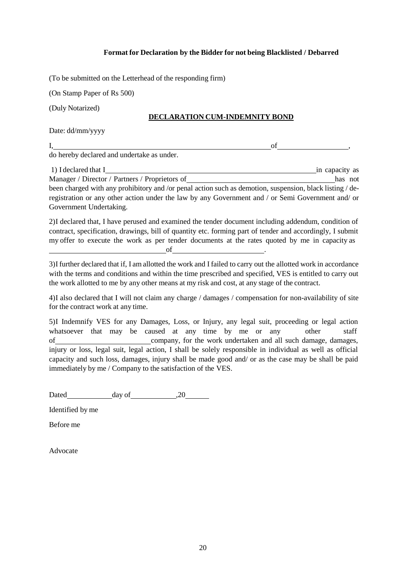#### **Format for Declaration by the Bidder for not being Blacklisted / Debarred**

<span id="page-27-0"></span>(To be submitted on the Letterhead of the responding firm)

(On Stamp Paper of Rs 500)

(Duly Notarized)

#### **DECLARATION CUM-INDEMNITY BOND**

Date: dd/mm/yyyy

 $I,$  of  $I$ do hereby declared and undertake as under.

1) I declared that I in capacity as Manager / Director / Partners / Proprietors of has not has not been charged with any prohibitory and /or penal action such as demotion, suspension, black listing / deregistration or any other action under the law by any Government and / or Semi Government and/ or Government Undertaking.

2)I declared that, I have perused and examined the tender document including addendum, condition of contract, specification, drawings, bill of quantity etc. forming part of tender and accordingly, I submit my offer to execute the work as per tender documents at the rates quoted by me in capacity as **of**  $\overline{\phantom{a}}$ 

3)I further declared that if, I am allotted the work and I failed to carry out the allotted work in accordance with the terms and conditions and within the time prescribed and specified, VES is entitled to carry out the work allotted to me by any other means at my risk and cost, at any stage of the contract.

4)I also declared that I will not claim any charge / damages / compensation for non-availability of site for the contract work at any time.

5)I Indemnify VES for any Damages, Loss, or Injury, any legal suit, proceeding or legal action whatsoever that may be caused at any time by me or any other staff of company, for the work undertaken and all such damage, damages, injury or loss, legal suit, legal action, I shall be solely responsible in individual as well as official capacity and such loss, damages, injury shall be made good and/ or as the case may be shall be paid immediately by me / Company to the satisfaction of the VES.

Dated day of 20

Identified by me

Before me

Advocate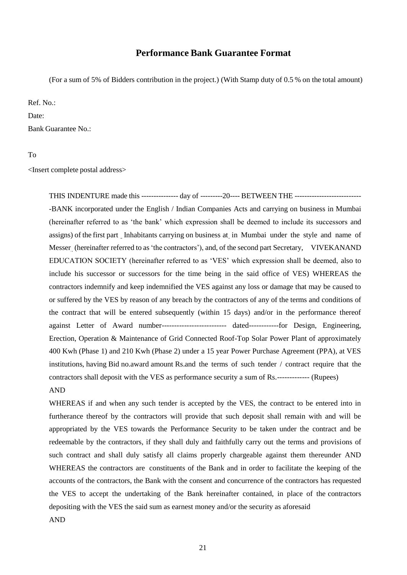#### **Performance Bank Guarantee Format**

<span id="page-28-0"></span>(For a sum of 5% of Bidders contribution in the project.) (With Stamp duty of 0.5 % on the total amount)

Ref. No.:

Date:

Bank Guarantee No.:

To

<Insert complete postal address>

THIS INDENTURE made this --------------- day of ---------20---- BETWEEN THE --------------------------- -BANK incorporated under the English / Indian Companies Acts and carrying on business in Mumbai (hereinafter referred to as 'the bank' which expression shall be deemed to include its successors and assigns) of the first part Inhabitants carrying on business at in Mumbai under the style and name of Messer (hereinafter referred to as'the contractors'), and, of the second part Secretary, VIVEKANAND EDUCATION SOCIETY (hereinafter referred to as 'VES' which expression shall be deemed, also to include his successor or successors for the time being in the said office of VES) WHEREAS the contractors indemnify and keep indemnified the VES against any loss or damage that may be caused to or suffered by the VES by reason of any breach by the contractors of any of the terms and conditions of the contract that will be entered subsequently (within 15 days) and/or in the performance thereof against Letter of Award number-------------------------- dated------------for Design, Engineering, Erection, Operation & Maintenance of Grid Connected Roof-Top Solar Power Plant of approximately 400 Kwh (Phase 1) and 210 Kwh (Phase 2) under a 15 year Power Purchase Agreement (PPA), at VES institutions, having Bid no.award amount Rs.and the terms of such tender / contract require that the contractors shall deposit with the VES as performance security a sum of Rs.------------- (Rupees) AND

WHEREAS if and when any such tender is accepted by the VES, the contract to be entered into in furtherance thereof by the contractors will provide that such deposit shall remain with and will be appropriated by the VES towards the Performance Security to be taken under the contract and be redeemable by the contractors, if they shall duly and faithfully carry out the terms and provisions of such contract and shall duly satisfy all claims properly chargeable against them thereunder AND WHEREAS the contractors are constituents of the Bank and in order to facilitate the keeping of the accounts of the contractors, the Bank with the consent and concurrence of the contractors has requested the VES to accept the undertaking of the Bank hereinafter contained, in place of the contractors depositing with the VES the said sum as earnest money and/or the security as aforesaid

AND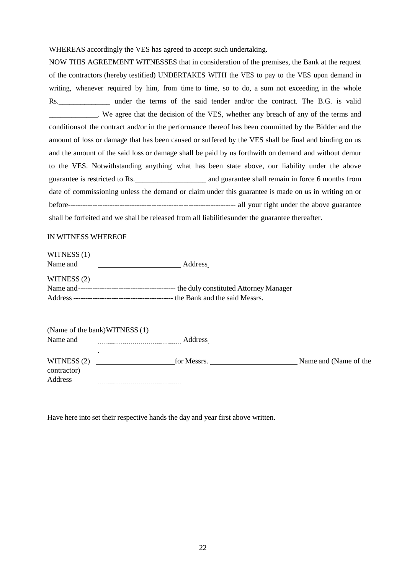WHEREAS accordingly the VES has agreed to accept such undertaking.

NOW THIS AGREEMENT WITNESSES that in consideration of the premises, the Bank at the request of the contractors (hereby testified) UNDERTAKES WITH the VES to pay to the VES upon demand in writing, whenever required by him, from time to time, so to do, a sum not exceeding in the whole Rs. under the terms of the said tender and/or the contract. The B.G. is valid \_\_\_\_\_\_\_\_\_\_\_\_\_. We agree that the decision of the VES, whether any breach of any of the terms and conditionsof the contract and/or in the performance thereof has been committed by the Bidder and the amount of loss or damage that has been caused or suffered by the VES shall be final and binding on us and the amount of the said loss or damage shall be paid by us forthwith on demand and without demur to the VES. Notwithstanding anything what has been state above, our liability under the above guarantee is restricted to Rs.  $\qquad \qquad$  and guarantee shall remain in force 6 months from date of commissioning unless the demand or claim under this guarantee is made on us in writing on or before-------------------------------------------------------------------- all your right under the above guarantee shall be forfeited and we shall be released from all liabilitiesunder the guarantee thereafter.

#### IN WITNESS WHEREOF

| WITNESS (1) |         |
|-------------|---------|
| Name and    | Address |
| WITNESS (2) |         |
|             |         |
|             |         |
|             |         |

(Name of the bank)WITNESS (1) Name and **Address** Address WITNESS (2) for Messrs. Name and (Name of the contractor) Address 

Have here into set their respective hands the day and year first above written.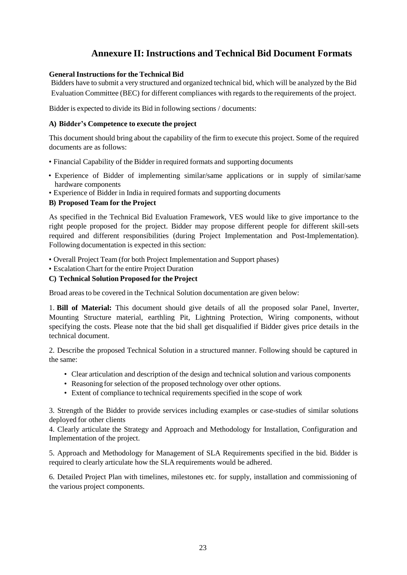## **Annexure II: Instructions and Technical Bid Document Formats**

#### <span id="page-30-1"></span><span id="page-30-0"></span>**General Instructions for the Technical Bid**

Bidders have to submit a very structured and organized technical bid, which will be analyzed by the Bid Evaluation Committee (BEC) for different compliances with regards to the requirements of the project.

Bidder is expected to divide its Bid in following sections / documents:

#### <span id="page-30-2"></span>**A) Bidder's Competence to execute the project**

This document should bring about the capability of the firm to execute this project. Some of the required documents are as follows:

- Financial Capability of the Bidder in required formats and supporting documents
- Experience of Bidder of implementing similar/same applications or in supply of similar/same hardware components
- Experience of Bidder in India in required formats and supporting documents

#### <span id="page-30-3"></span>**B) Proposed Team for the Project**

As specified in the Technical Bid Evaluation Framework, VES would like to give importance to the right people proposed for the project. Bidder may propose different people for different skill-sets required and different responsibilities (during Project Implementation and Post-Implementation). Following documentation is expected in this section:

• Overall Project Team (for both Project Implementation and Support phases)

• Escalation Chart for the entire Project Duration

#### <span id="page-30-4"></span>**C) Technical Solution Proposed for the Project**

Broad areas to be covered in the Technical Solution documentation are given below:

1. **Bill of Material:** This document should give details of all the proposed solar Panel, Inverter, Mounting Structure material, earthling Pit, Lightning Protection, Wiring components, without specifying the costs. Please note that the bid shall get disqualified if Bidder gives price details in the technical document.

2. Describe the proposed Technical Solution in a structured manner. Following should be captured in the same:

- Clear articulation and description of the design and technical solution and various components
- Reasoning for selection of the proposed technology over other options.
- Extent of compliance to technical requirements specified in the scope of work

3. Strength of the Bidder to provide services including examples or case-studies of similar solutions deployed for other clients

4. Clearly articulate the Strategy and Approach and Methodology for Installation, Configuration and Implementation of the project.

5. Approach and Methodology for Management of SLA Requirements specified in the bid. Bidder is required to clearly articulate how the SLA requirements would be adhered.

6. Detailed Project Plan with timelines, milestones etc. for supply, installation and commissioning of the various project components.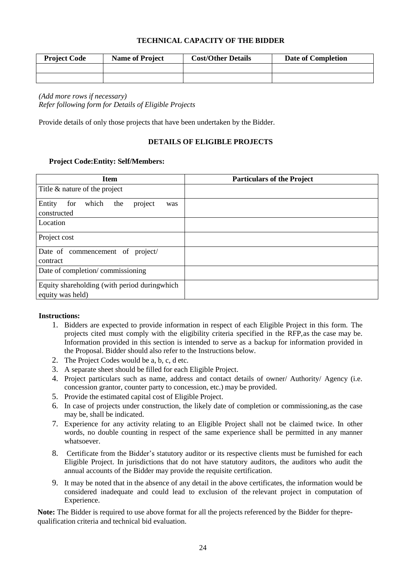#### **TECHNICAL CAPACITY OF THE BIDDER**

<span id="page-31-0"></span>

| <b>Project Code</b> | <b>Name of Project</b> | <b>Cost/Other Details</b> | Date of Completion |
|---------------------|------------------------|---------------------------|--------------------|
|                     |                        |                           |                    |
|                     |                        |                           |                    |

*(Add more rows if necessary) Refer following form for Details of Eligible Projects*

<span id="page-31-1"></span>Provide details of only those projects that have been undertaken by the Bidder.

#### **DETAILS OF ELIGIBLE PROJECTS**

#### **Project Code:Entity: Self/Members:**

| <b>Item</b>                                                       | <b>Particulars of the Project</b> |
|-------------------------------------------------------------------|-----------------------------------|
| Title & nature of the project                                     |                                   |
| Entity<br>for<br>which<br>the<br>project<br>was<br>constructed    |                                   |
| Location                                                          |                                   |
| Project cost                                                      |                                   |
| Date of commencement of project/<br>contract                      |                                   |
| Date of completion/commissioning                                  |                                   |
| Equity shareholding (with period during which<br>equity was held) |                                   |

#### **Instructions:**

- 1. Bidders are expected to provide information in respect of each Eligible Project in this form. The projects cited must comply with the eligibility criteria specified in the RFP,as the case may be. Information provided in this section is intended to serve as a backup for information provided in the Proposal. Bidder should also refer to the Instructions below.
- 2. The Project Codes would be a, b, c, d etc.
- 3. A separate sheet should be filled for each Eligible Project.
- 4. Project particulars such as name, address and contact details of owner/ Authority/ Agency (i.e. concession grantor, counter party to concession, etc.) may be provided.
- 5. Provide the estimated capital cost of Eligible Project.
- 6. In case of projects under construction, the likely date of completion or commissioning,as the case may be, shall be indicated.
- 7. Experience for any activity relating to an Eligible Project shall not be claimed twice. In other words, no double counting in respect of the same experience shall be permitted in any manner whatsoever.
- 8. Certificate from the Bidder's statutory auditor or its respective clients must be furnished for each Eligible Project. In jurisdictions that do not have statutory auditors, the auditors who audit the annual accounts of the Bidder may provide the requisite certification.
- 9. It may be noted that in the absence of any detail in the above certificates, the information would be considered inadequate and could lead to exclusion of the relevant project in computation of Experience.

**Note:** The Bidder is required to use above format for all the projects referenced by the Bidder for theprequalification criteria and technical bid evaluation.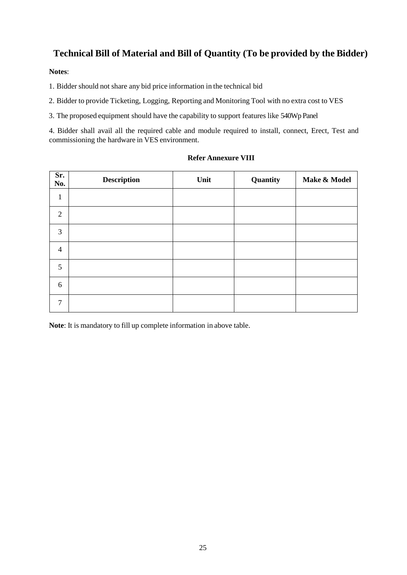# <span id="page-32-0"></span>**Technical Bill of Material and Bill of Quantity (To be provided by the Bidder)**

#### **Notes**:

1. Bidder should not share any bid price information in the technical bid

2. Bidder to provide Ticketing, Logging, Reporting and Monitoring Tool with no extra cost to VES

3. The proposed equipment should have the capability to support features like 540Wp Panel

4. Bidder shall avail all the required cable and module required to install, connect, Erect, Test and commissioning the hardware in VES environment.

| Sr.<br>No.     | <b>Description</b> | Unit | Quantity | Make & Model |
|----------------|--------------------|------|----------|--------------|
| $\mathbf{1}$   |                    |      |          |              |
| $\overline{2}$ |                    |      |          |              |
| 3              |                    |      |          |              |
| $\overline{4}$ |                    |      |          |              |
| 5              |                    |      |          |              |
| 6              |                    |      |          |              |
| $\overline{7}$ |                    |      |          |              |

#### **Refer Annexure VIII**

**Note**: It is mandatory to fill up complete information in above table.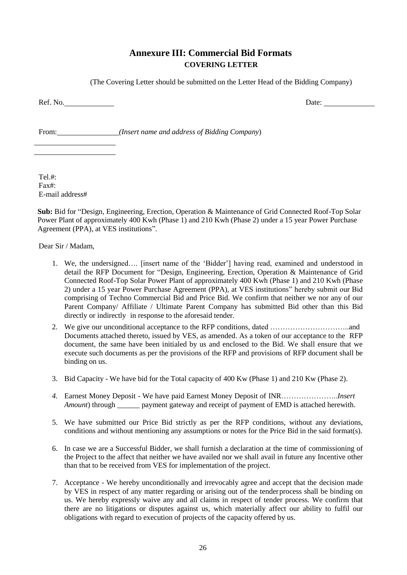# **Annexure III: Commercial Bid Formats COVERING LETTER**

(The Covering Letter should be submitted on the Letter Head of the Bidding Company)

<span id="page-33-1"></span><span id="page-33-0"></span>Ref. No. Date: <u>Date:</u>

From: *(Insert name and address of Bidding Company*)

Tel  $\#$ Fax#: E-mail address#

**Sub:** Bid for "Design, Engineering, Erection, Operation & Maintenance of Grid Connected Roof-Top Solar Power Plant of approximately 400 Kwh (Phase 1) and 210 Kwh (Phase 2) under a 15 year Power Purchase Agreement (PPA), at VES institutions".

Dear Sir / Madam,

- 1. We, the undersigned…. [insert name of the 'Bidder'] having read, examined and understood in detail the RFP Document for "Design, Engineering, Erection, Operation & Maintenance of Grid Connected Roof-Top Solar Power Plant of approximately 400 Kwh (Phase 1) and 210 Kwh (Phase 2) under a 15 year Power Purchase Agreement (PPA), at VES institutions" hereby submit our Bid comprising of Techno Commercial Bid and Price Bid. We confirm that neither we nor any of our Parent Company/ Affiliate / Ultimate Parent Company has submitted Bid other than this Bid directly or indirectly in response to the aforesaid tender.
- 2. We give our unconditional acceptance to the RFP conditions, dated …………………………..and Documents attached thereto, issued by VES, as amended. As a token of our acceptance to the RFP document, the same have been initialed by us and enclosed to the Bid. We shall ensure that we execute such documents as per the provisions of the RFP and provisions of RFP document shall be binding on us.
- 3. Bid Capacity We have bid for the Total capacity of 400 Kw (Phase 1) and 210 Kw (Phase 2).
- *4.* Earnest Money Deposit We have paid Earnest Money Deposit of INR…………………..*Insert Amount*) through \_\_\_\_\_\_ payment gateway and receipt of payment of EMD is attached herewith.
- 5. We have submitted our Price Bid strictly as per the RFP conditions, without any deviations, conditions and without mentioning any assumptions or notes for the Price Bid in the said format(s).
- 6. In case we are a Successful Bidder, we shall furnish a declaration at the time of commissioning of the Project to the affect that neither we have availed nor we shall avail in future any Incentive other than that to be received from VES for implementation of the project.
- 7. Acceptance We hereby unconditionally and irrevocably agree and accept that the decision made by VES in respect of any matter regarding or arising out of the tenderprocess shall be binding on us. We hereby expressly waive any and all claims in respect of tender process. We confirm that there are no litigations or disputes against us, which materially affect our ability to fulfil our obligations with regard to execution of projects of the capacity offered by us.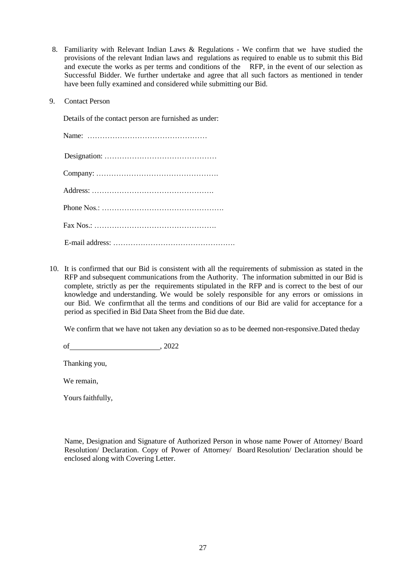- 8. Familiarity with Relevant Indian Laws & Regulations We confirm that we have studied the provisions of the relevant Indian laws and regulations as required to enable us to submit this Bid and execute the works as per terms and conditions of the RFP, in the event of our selection as Successful Bidder. We further undertake and agree that all such factors as mentioned in tender have been fully examined and considered while submitting our Bid.
- 9. Contact Person

Details of the contact person are furnished as under:

10. It is confirmed that our Bid is consistent with all the requirements of submission as stated in the RFP and subsequent communications from the Authority. The information submitted in our Bid is complete, strictly as per the requirements stipulated in the RFP and is correct to the best of our knowledge and understanding. We would be solely responsible for any errors or omissions in our Bid. We confirmthat all the terms and conditions of our Bid are valid for acceptance for a period as specified in Bid Data Sheet from the Bid due date.

We confirm that we have not taken any deviation so as to be deemed non-responsive.Dated theday

of , 2022

Thanking you,

We remain,

Yours faithfully,

Name, Designation and Signature of Authorized Person in whose name Power of Attorney/ Board Resolution/ Declaration. Copy of Power of Attorney/ Board Resolution/ Declaration should be enclosed along with Covering Letter.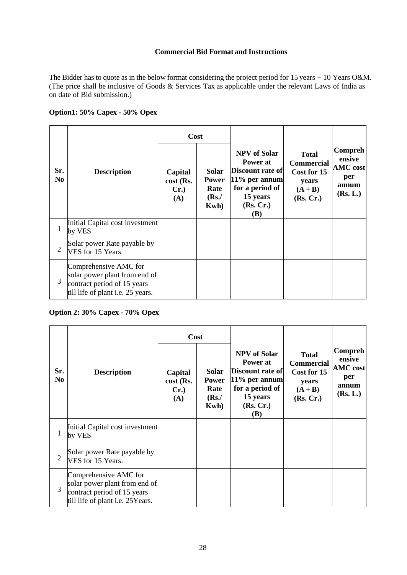#### **Commercial Bid Format and Instructions**

<span id="page-35-0"></span>The Bidder has to quote as in the below format considering the project period for 15 years  $+10$  Years O&M. (The price shall be inclusive of Goods & Services Tax as applicable under the relevant Laws of India as on date of Bid submission.)

#### **Option1: 50% Capex - 50% Opex**

|                       |                                                                                                                                   | Cost                                   |                                                   |                                                                                                                              |                                                                                     |                                                                         |
|-----------------------|-----------------------------------------------------------------------------------------------------------------------------------|----------------------------------------|---------------------------------------------------|------------------------------------------------------------------------------------------------------------------------------|-------------------------------------------------------------------------------------|-------------------------------------------------------------------------|
| Sr.<br>N <sub>0</sub> | <b>Description</b>                                                                                                                | Capital<br>cost (Rs.<br>$Cr.$ )<br>(A) | Solar<br><b>Power</b><br>Rate<br>$(Rs$ ./<br>Kwh) | <b>NPV</b> of Solar<br>Power at<br> Discount rate of <br>$11\%$ per annum<br>for a period of<br>15 years<br>(Rs, Cr.)<br>(B) | <b>Total</b><br><b>Commercial</b><br>Cost for 15<br>years<br>$(A + B)$<br>(Rs, Cr.) | <b>Compreh</b><br>ensive<br><b>AMC</b> cost<br>per<br>annum<br>(Rs. L.) |
| 1                     | Initial Capital cost investment<br>by VES                                                                                         |                                        |                                                   |                                                                                                                              |                                                                                     |                                                                         |
| $\overline{2}$        | Solar power Rate payable by<br>VES for 15 Years                                                                                   |                                        |                                                   |                                                                                                                              |                                                                                     |                                                                         |
| 3                     | Comprehensive AMC for<br>solar power plant from end of<br>contract period of 15 years<br>till life of plant <i>i.e.</i> 25 years. |                                        |                                                   |                                                                                                                              |                                                                                     |                                                                         |

#### **Option 2: 30% Capex - 70% Opex**

|                       |                                                                                                                                  | <b>Cost</b>                        |                                                   |                                                                                                                                   |                                                                                     |                                                                  |
|-----------------------|----------------------------------------------------------------------------------------------------------------------------------|------------------------------------|---------------------------------------------------|-----------------------------------------------------------------------------------------------------------------------------------|-------------------------------------------------------------------------------------|------------------------------------------------------------------|
| Sr.<br>N <sub>0</sub> | <b>Description</b>                                                                                                               | Capital<br>cost (Rs.<br>Cr.<br>(A) | Solar<br><b>Power</b><br>Rate<br>$(Rs$ ./<br>Kwh) | <b>NPV</b> of Solar<br>Power at<br>Discount rate of<br>$11\%$ per annum<br>for a period of<br>15 years<br>(Rs, Cr.)<br><b>(B)</b> | <b>Total</b><br><b>Commercial</b><br>Cost for 15<br>years<br>$(A + B)$<br>(Rs, Cr.) | Compreh<br>ensive<br><b>AMC</b> cost<br>per<br>annum<br>(Rs. L.) |
| 1                     | Initial Capital cost investment<br>by VES                                                                                        |                                    |                                                   |                                                                                                                                   |                                                                                     |                                                                  |
| $\overline{2}$        | Solar power Rate payable by<br>VES for 15 Years.                                                                                 |                                    |                                                   |                                                                                                                                   |                                                                                     |                                                                  |
| 3                     | Comprehensive AMC for<br>solar power plant from end of<br>contract period of 15 years<br>till life of plant <i>i.e.</i> 25Years. |                                    |                                                   |                                                                                                                                   |                                                                                     |                                                                  |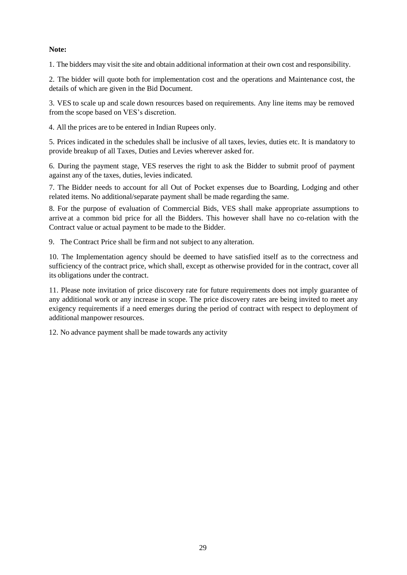## **Note:**

1. The bidders may visit the site and obtain additional information at their own cost and responsibility.

2. The bidder will quote both for implementation cost and the operations and Maintenance cost, the details of which are given in the Bid Document.

3. VES to scale up and scale down resources based on requirements. Any line items may be removed from the scope based on VES's discretion.

4. All the prices are to be entered in Indian Rupees only.

5. Prices indicated in the schedules shall be inclusive of all taxes, levies, duties etc. It is mandatory to provide breakup of all Taxes, Duties and Levies wherever asked for.

6. During the payment stage, VES reserves the right to ask the Bidder to submit proof of payment against any of the taxes, duties, levies indicated.

7. The Bidder needs to account for all Out of Pocket expenses due to Boarding, Lodging and other related items. No additional/separate payment shall be made regarding the same.

8. For the purpose of evaluation of Commercial Bids, VES shall make appropriate assumptions to arrive at a common bid price for all the Bidders. This however shall have no co-relation with the Contract value or actual payment to be made to the Bidder.

9. The Contract Price shall be firm and not subject to any alteration.

10. The Implementation agency should be deemed to have satisfied itself as to the correctness and sufficiency of the contract price, which shall, except as otherwise provided for in the contract, cover all its obligations under the contract.

11. Please note invitation of price discovery rate for future requirements does not imply guarantee of any additional work or any increase in scope. The price discovery rates are being invited to meet any exigency requirements if a need emerges during the period of contract with respect to deployment of additional manpower resources.

12. No advance payment shall be made towards any activity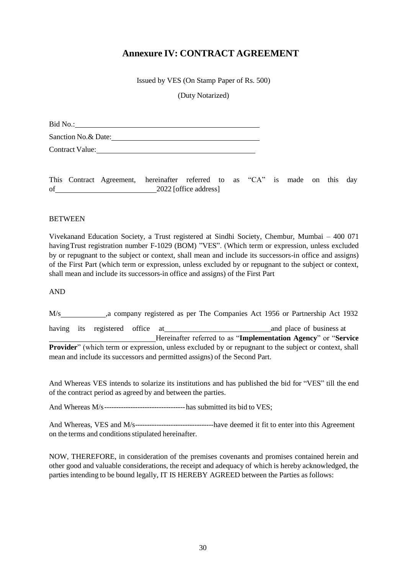# **Annexure IV: CONTRACT AGREEMENT**

Issued by VES (On Stamp Paper of Rs. 500)

(Duty Notarized)

Bid No.:

Sanction No. & Date: Campaign Contract Contract Contract Contract Contract Contract Contract Contract Contract Contract Contract Contract Contract Contract Contract Contract Contract Contract Contract Contract Contract Con

Contract Value:

This Contract Agreement, hereinafter referred to as "CA" is made on this day of 2022 [office address]

### **BETWEEN**

Vivekanand Education Society, a Trust registered at Sindhi Society, Chembur, Mumbai – 400 071 havingTrust registration number F-1029 (BOM) "VES". (Which term or expression, unless excluded by or repugnant to the subject or context, shall mean and include its successors-in office and assigns) of the First Part (which term or expression, unless excluded by or repugnant to the subject or context, shall mean and include its successors-in office and assigns) of the First Part

AND

M/s ,a company registered as per The Companies Act 1956 or Partnership Act 1932 having its registered office at and place of business at Hereinafter referred to as "**Implementation Agency**" or "**Service Provider**" (which term or expression, unless excluded by or repugnant to the subject or context, shall mean and include its successors and permitted assigns) of the Second Part.

And Whereas VES intends to solarize its institutions and has published the bid for "VES" till the end of the contract period as agreed by and between the parties.

And Whereas M/s----------------------------------has submitted its bid to VES;

And Whereas, VES and M/s---------------------------------have deemed it fit to enter into this Agreement on the terms and conditions stipulated hereinafter.

NOW, THEREFORE, in consideration of the premises covenants and promises contained herein and other good and valuable considerations, the receipt and adequacy of which is hereby acknowledged, the parties intending to be bound legally, IT IS HEREBY AGREED between the Parties as follows: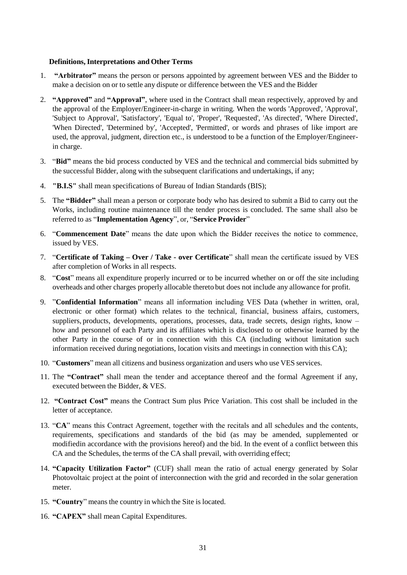#### **Definitions, Interpretations and Other Terms**

- 1. **"Arbitrator"** means the person or persons appointed by agreement between VES and the Bidder to make a decision on or to settle any dispute or difference between the VES and the Bidder
- 2. **"Approved"** and **"Approval"**, where used in the Contract shall mean respectively, approved by and the approval of the Employer/Engineer-in-charge in writing. When the words 'Approved', 'Approval', 'Subject to Approval', 'Satisfactory', 'Equal to', 'Proper', 'Requested', 'As directed', 'Where Directed', 'When Directed', 'Determined by', 'Accepted', 'Permitted', or words and phrases of like import are used, the approval, judgment, direction etc., is understood to be a function of the Employer/Engineerin charge.
- 3. "**Bid"** means the bid process conducted by VES and the technical and commercial bids submitted by the successful Bidder, along with the subsequent clarifications and undertakings, if any;
- 4. **"B.I.S"** shall mean specifications of Bureau of Indian Standards (BIS);
- 5. The **"Bidder"** shall mean a person or corporate body who has desired to submit a Bid to carry out the Works, including routine maintenance till the tender process is concluded. The same shall also be referred to as "**Implementation Agency**", or, "**Service Provider**"
- 6. "**Commencement Date**" means the date upon which the Bidder receives the notice to commence, issued by VES.
- 7. "**Certificate of Taking – Over / Take - over Certificate**" shall mean the certificate issued by VES after completion of Works in all respects.
- 8. "**Cost**" means all expenditure properly incurred or to be incurred whether on or off the site including overheads and other charges properly allocable thereto but does not include any allowance for profit.
- 9. "**Confidential Information**" means all information including VES Data (whether in written, oral, electronic or other format) which relates to the technical, financial, business affairs, customers, suppliers, products, developments, operations, processes, data, trade secrets, design rights, know – how and personnel of each Party and its affiliates which is disclosed to or otherwise learned by the other Party in the course of or in connection with this CA (including without limitation such information received during negotiations, location visits and meetings in connection with this CA);
- 10. "**Customers**" mean all citizens and business organization and users who use VES services.
- 11. The **"Contract"** shall mean the tender and acceptance thereof and the formal Agreement if any, executed between the Bidder, & VES.
- 12. **"Contract Cost"** means the Contract Sum plus Price Variation. This cost shall be included in the letter of acceptance.
- 13. "**CA**" means this Contract Agreement, together with the recitals and all schedules and the contents, requirements, specifications and standards of the bid (as may be amended, supplemented or modifiedin accordance with the provisions hereof) and the bid. In the event of a conflict between this CA and the Schedules, the terms of the CA shall prevail, with overriding effect;
- 14. **"Capacity Utilization Factor"** (CUF) shall mean the ratio of actual energy generated by Solar Photovoltaic project at the point of interconnection with the grid and recorded in the solar generation meter.
- 15. **"Country**" means the country in which the Site is located.
- 16. **"CAPEX"** shall mean Capital Expenditures.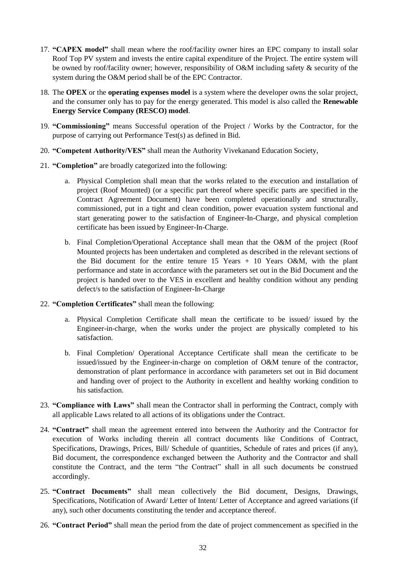- 17. **"CAPEX model"** shall mean where the roof/facility owner hires an EPC company to install solar Roof Top PV system and invests the entire capital expenditure of the Project. The entire system will be owned by roof/facility owner; however, responsibility of O&M including safety & security of the system during the O&M period shall be of the EPC Contractor.
- 18. The **OPEX** or the **operating expenses model** is a system where the developer owns the solar project, and the consumer only has to pay for the energy generated. This model is also called the **Renewable Energy Service Company (RESCO) model**.
- 19. **"Commissioning"** means Successful operation of the Project / Works by the Contractor, for the purpose of carrying out Performance Test(s) as defined in Bid.
- 20. **"Competent Authority/VES"** shall mean the Authority Vivekanand Education Society,
- 21. **"Completion"** are broadly categorized into the following:
	- a. Physical Completion shall mean that the works related to the execution and installation of project (Roof Mounted) (or a specific part thereof where specific parts are specified in the Contract Agreement Document) have been completed operationally and structurally, commissioned, put in a tight and clean condition, power evacuation system functional and start generating power to the satisfaction of Engineer-In-Charge, and physical completion certificate has been issued by Engineer-In-Charge.
	- b. Final Completion/Operational Acceptance shall mean that the O&M of the project (Roof Mounted projects has been undertaken and completed as described in the relevant sections of the Bid document for the entire tenure  $15$  Years + 10 Years O&M, with the plant performance and state in accordance with the parameters set out in the Bid Document and the project is handed over to the VES in excellent and healthy condition without any pending defect/s to the satisfaction of Engineer-In-Charge
- 22. **"Completion Certificates"** shall mean the following:
	- a. Physical Completion Certificate shall mean the certificate to be issued/ issued by the Engineer-in-charge, when the works under the project are physically completed to his satisfaction.
	- b. Final Completion/ Operational Acceptance Certificate shall mean the certificate to be issued/issued by the Engineer-in-charge on completion of O&M tenure of the contractor, demonstration of plant performance in accordance with parameters set out in Bid document and handing over of project to the Authority in excellent and healthy working condition to his satisfaction.
- 23. **"Compliance with Laws"** shall mean the Contractor shall in performing the Contract, comply with all applicable Laws related to all actions of its obligations under the Contract.
- 24. **"Contract"** shall mean the agreement entered into between the Authority and the Contractor for execution of Works including therein all contract documents like Conditions of Contract, Specifications, Drawings, Prices, Bill/ Schedule of quantities, Schedule of rates and prices (if any), Bid document, the correspondence exchanged between the Authority and the Contractor and shall constitute the Contract, and the term "the Contract" shall in all such documents be construed accordingly.
- 25. **"Contract Documents"** shall mean collectively the Bid document, Designs, Drawings, Specifications, Notification of Award/ Letter of Intent/ Letter of Acceptance and agreed variations (if any), such other documents constituting the tender and acceptance thereof.
- 26. **"Contract Period"** shall mean the period from the date of project commencement as specified in the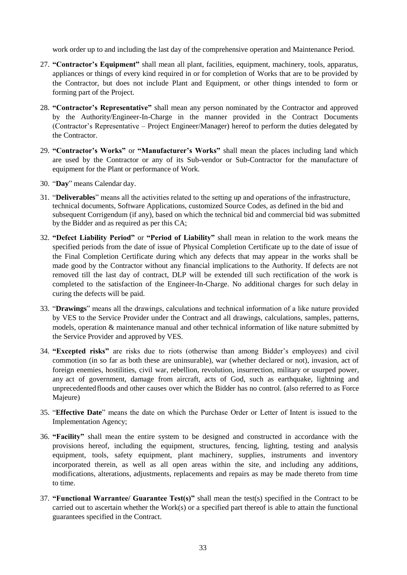work order up to and including the last day of the comprehensive operation and Maintenance Period.

- 27. **"Contractor's Equipment"** shall mean all plant, facilities, equipment, machinery, tools, apparatus, appliances or things of every kind required in or for completion of Works that are to be provided by the Contractor, but does not include Plant and Equipment, or other things intended to form or forming part of the Project.
- 28. **"Contractor's Representative"** shall mean any person nominated by the Contractor and approved by the Authority/Engineer-In-Charge in the manner provided in the Contract Documents (Contractor's Representative – Project Engineer/Manager) hereof to perform the duties delegated by the Contractor.
- 29. **"Contractor's Works"** or **"Manufacturer's Works"** shall mean the places including land which are used by the Contractor or any of its Sub-vendor or Sub-Contractor for the manufacture of equipment for the Plant or performance of Work.
- 30. "**Day**" means Calendar day.
- 31. "**Deliverables**" means all the activities related to the setting up and operations of the infrastructure, technical documents, Software Applications, customized Source Codes, as defined in the bid and subsequent Corrigendum (if any), based on which the technical bid and commercial bid was submitted by the Bidder and as required as per this CA;
- 32. **"Defect Liability Period"** or **"Period of Liability"** shall mean in relation to the work means the specified periods from the date of issue of Physical Completion Certificate up to the date of issue of the Final Completion Certificate during which any defects that may appear in the works shall be made good by the Contractor without any financial implications to the Authority. If defects are not removed till the last day of contract, DLP will be extended till such rectification of the work is completed to the satisfaction of the Engineer-In-Charge. No additional charges for such delay in curing the defects will be paid.
- 33. "**Drawings**" means all the drawings, calculations and technical information of a like nature provided by VES to the Service Provider under the Contract and all drawings, calculations, samples, patterns, models, operation & maintenance manual and other technical information of like nature submitted by the Service Provider and approved by VES.
- 34. **"Excepted risks"** are risks due to riots (otherwise than among Bidder's employees) and civil commotion (in so far as both these are uninsurable), war (whether declared or not), invasion, act of foreign enemies, hostilities, civil war, rebellion, revolution, insurrection, military or usurped power, any act of government, damage from aircraft, acts of God, such as earthquake, lightning and unprecedentedfloods and other causes over which the Bidder has no control. (also referred to as Force Majeure)
- 35. "**Effective Date**" means the date on which the Purchase Order or Letter of Intent is issued to the Implementation Agency;
- 36. **"Facility"** shall mean the entire system to be designed and constructed in accordance with the provisions hereof, including the equipment, structures, fencing, lighting, testing and analysis equipment, tools, safety equipment, plant machinery, supplies, instruments and inventory incorporated therein, as well as all open areas within the site, and including any additions, modifications, alterations, adjustments, replacements and repairs as may be made thereto from time to time.
- 37. **"Functional Warrantee/ Guarantee Test(s)"** shall mean the test(s) specified in the Contract to be carried out to ascertain whether the Work(s) or a specified part thereof is able to attain the functional guarantees specified in the Contract.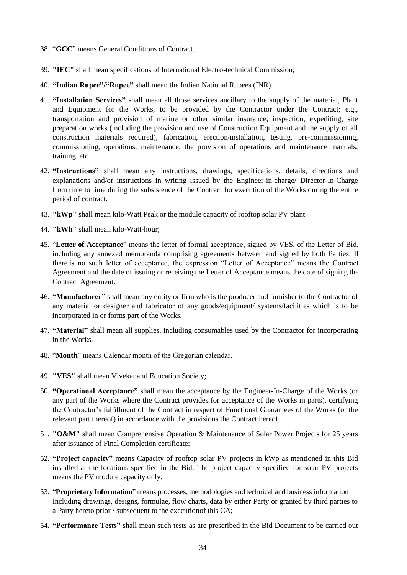- 38. "**GCC**" means General Conditions of Contract.
- 39. **"IEC"** shall mean specifications of International Electro-technical Commission;
- 40. **"Indian Rupee"/"Rupee"** shall mean the Indian National Rupees (INR).
- 41. **"Installation Services"** shall mean all those services ancillary to the supply of the material, Plant and Equipment for the Works, to be provided by the Contractor under the Contract; e.g., transportation and provision of marine or other similar insurance, inspection, expediting, site preparation works (including the provision and use of Construction Equipment and the supply of all construction materials required), fabrication, erection/installation, testing, pre-commissioning, commissioning, operations, maintenance, the provision of operations and maintenance manuals, training, etc.
- 42. **"Instructions"** shall mean any instructions, drawings, specifications, details, directions and explanations and/or instructions in writing issued by the Engineer-in-charge/ Director-In-Charge from time to time during the subsistence of the Contract for execution of the Works during the entire period of contract.
- 43. **"kWp"** shall mean kilo-Watt Peak or the module capacity of rooftop solar PV plant.
- 44. **"kWh"** shall mean kilo-Watt-hour;
- 45. "**Letter of Acceptance**" means the letter of formal acceptance, signed by VES, of the Letter of Bid, including any annexed memoranda comprising agreements between and signed by both Parties. If there is no such letter of acceptance, the expression "Letter of Acceptance" means the Contract Agreement and the date of issuing or receiving the Letter of Acceptance means the date of signing the Contract Agreement.
- 46. **"Manufacturer"** shall mean any entity or firm who is the producer and furnisher to the Contractor of any material or designer and fabricator of any goods/equipment/ systems/facilities which is to be incorporated in or forms part of the Works.
- 47. **"Material"** shall mean all supplies, including consumables used by the Contractor for incorporating in the Works.
- 48. "**Month**" means Calendar month of the Gregorian calendar.
- 49. **"VES"** shall mean Vivekanand Education Society;
- 50. **"Operational Acceptance"** shall mean the acceptance by the Engineer-In-Charge of the Works (or any part of the Works where the Contract provides for acceptance of the Works in parts), certifying the Contractor's fulfillment of the Contract in respect of Functional Guarantees of the Works (or the relevant part thereof) in accordance with the provisions the Contract hereof.
- 51. **"O&M"** shall mean Comprehensive Operation & Maintenance of Solar Power Projects for 25 years after issuance of Final Completion certificate;
- 52. **"Project capacity"** means Capacity of rooftop solar PV projects in kWp as mentioned in this Bid installed at the locations specified in the Bid. The project capacity specified for solar PV projects means the PV module capacity only.
- 53. "**Proprietary Information**" means processes, methodologies and technical and business information Including drawings, designs, formulae, flow charts, data by either Party or granted by third parties to a Party hereto prior / subsequent to the executionof this CA;
- 54. **"Performance Tests"** shall mean such tests as are prescribed in the Bid Document to be carried out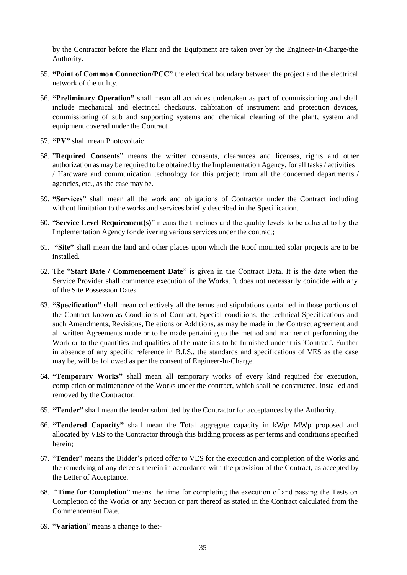by the Contractor before the Plant and the Equipment are taken over by the Engineer-In-Charge/the Authority.

- 55. **"Point of Common Connection/PCC"** the electrical boundary between the project and the electrical network of the utility.
- 56. **"Preliminary Operation"** shall mean all activities undertaken as part of commissioning and shall include mechanical and electrical checkouts, calibration of instrument and protection devices, commissioning of sub and supporting systems and chemical cleaning of the plant, system and equipment covered under the Contract.
- 57. **"PV"** shall mean Photovoltaic
- 58. "**Required Consents**" means the written consents, clearances and licenses, rights and other authorization as may be required to be obtained by the Implementation Agency, for all tasks / activities / Hardware and communication technology for this project; from all the concerned departments / agencies, etc., as the case may be.
- 59. **"Services"** shall mean all the work and obligations of Contractor under the Contract including without limitation to the works and services briefly described in the Specification.
- 60. "**Service Level Requirement(s)**" means the timelines and the quality levels to be adhered to by the Implementation Agency for delivering various services under the contract;
- 61. **"Site"** shall mean the land and other places upon which the Roof mounted solar projects are to be installed.
- 62. The "**Start Date / Commencement Date**" is given in the Contract Data. It is the date when the Service Provider shall commence execution of the Works. It does not necessarily coincide with any of the Site Possession Dates.
- 63. **"Specification"** shall mean collectively all the terms and stipulations contained in those portions of the Contract known as Conditions of Contract, Special conditions, the technical Specifications and such Amendments, Revisions, Deletions or Additions, as may be made in the Contract agreement and all written Agreements made or to be made pertaining to the method and manner of performing the Work or to the quantities and qualities of the materials to be furnished under this 'Contract'. Further in absence of any specific reference in B.I.S., the standards and specifications of VES as the case may be, will be followed as per the consent of Engineer-In-Charge.
- 64. **"Temporary Works"** shall mean all temporary works of every kind required for execution, completion or maintenance of the Works under the contract, which shall be constructed, installed and removed by the Contractor.
- 65. **"Tender"** shall mean the tender submitted by the Contractor for acceptances by the Authority.
- 66. **"Tendered Capacity"** shall mean the Total aggregate capacity in kWp/ MWp proposed and allocated by VES to the Contractor through this bidding process as per terms and conditions specified herein;
- 67. "**Tender**" means the Bidder's priced offer to VES for the execution and completion of the Works and the remedying of any defects therein in accordance with the provision of the Contract, as accepted by the Letter of Acceptance.
- 68. "**Time for Completion**" means the time for completing the execution of and passing the Tests on Completion of the Works or any Section or part thereof as stated in the Contract calculated from the Commencement Date.
- 69. "**Variation**" means a change to the:-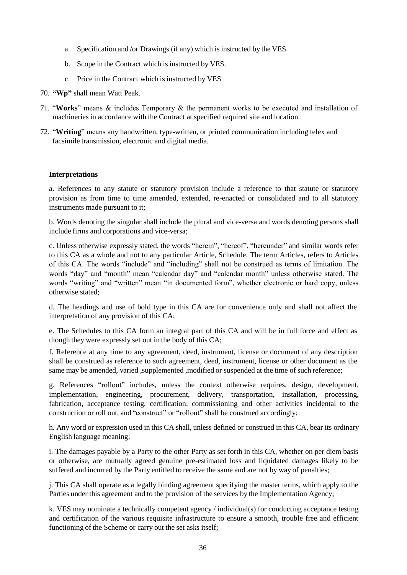- a. Specification and /or Drawings (if any) which is instructed by the VES.
- b. Scope in the Contract which is instructed by VES.
- c. Price in the Contract which is instructed by VES
- 70. **"Wp"** shall mean Watt Peak.
- 71. "**Works**" means & includes Temporary & the permanent works to be executed and installation of machineries in accordance with the Contract at specified required site and location.
- 72. "**Writing**" means any handwritten, type-written, or printed communication including telex and facsimile transmission, electronic and digital media.

### **Interpretations**

a. References to any statute or statutory provision include a reference to that statute or statutory provision as from time to time amended, extended, re-enacted or consolidated and to all statutory instruments made pursuant to it;

b. Words denoting the singular shall include the plural and vice-versa and words denoting persons shall include firms and corporations and vice-versa;

c. Unless otherwise expressly stated, the words "herein", "hereof", "hereunder" and similar words refer to this CA as a whole and not to any particular Article, Schedule. The term Articles, refers to Articles of this CA. The words "include" and "including" shall not be construed as terms of limitation. The words "day" and "month" mean "calendar day" and "calendar month" unless otherwise stated. The words "writing" and "written" mean "in documented form", whether electronic or hard copy, unless otherwise stated;

d. The headings and use of bold type in this CA are for convenience only and shall not affect the interpretation of any provision of this CA;

e. The Schedules to this CA form an integral part of this CA and will be in full force and effect as though they were expressly set out in the body of this CA;

f. Reference at any time to any agreement, deed, instrument, license or document of any description shall be construed as reference to such agreement, deed, instrument, license or other document as the same may be amended, varied, supplemented, modified or suspended at the time of such reference;

g. References "rollout" includes, unless the context otherwise requires, design, development, implementation, engineering, procurement, delivery, transportation, installation, processing, fabrication, acceptance testing, certification, commissioning and other activities incidental to the construction or roll out, and "construct" or "rollout" shall be construed accordingly;

h. Any word or expression used in this CA shall, unless defined or construed in this CA, bear its ordinary English language meaning;

i. The damages payable by a Party to the other Party as set forth in this CA, whether on per diem basis or otherwise, are mutually agreed genuine pre-estimated loss and liquidated damages likely to be suffered and incurred by the Party entitled to receive the same and are not by way of penalties;

j. This CA shall operate as a legally binding agreement specifying the master terms, which apply to the Parties under this agreement and to the provision of the services by the Implementation Agency;

k. VES may nominate a technically competent agency / individual(s) for conducting acceptance testing and certification of the various requisite infrastructure to ensure a smooth, trouble free and efficient functioning of the Scheme or carry out the set asks itself;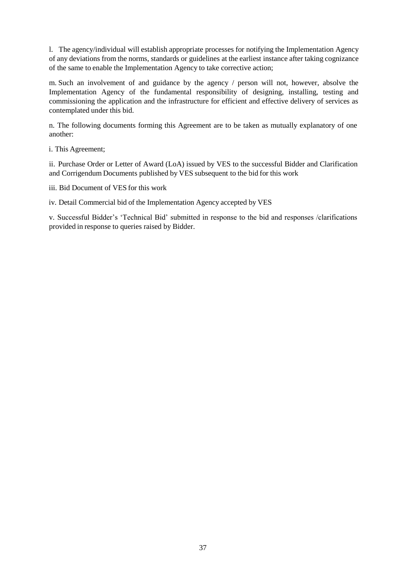l. The agency/individual will establish appropriate processes for notifying the Implementation Agency of any deviations from the norms, standards or guidelines at the earliest instance after taking cognizance of the same to enable the Implementation Agency to take corrective action;

m. Such an involvement of and guidance by the agency / person will not, however, absolve the Implementation Agency of the fundamental responsibility of designing, installing, testing and commissioning the application and the infrastructure for efficient and effective delivery of services as contemplated under this bid.

n. The following documents forming this Agreement are to be taken as mutually explanatory of one another:

i. This Agreement;

ii. Purchase Order or Letter of Award (LoA) issued by VES to the successful Bidder and Clarification and Corrigendum Documents published by VES subsequent to the bid for this work

iii. Bid Document of VES for this work

iv. Detail Commercial bid of the Implementation Agency accepted by VES

v. Successful Bidder's 'Technical Bid' submitted in response to the bid and responses /clarifications provided in response to queries raised by Bidder.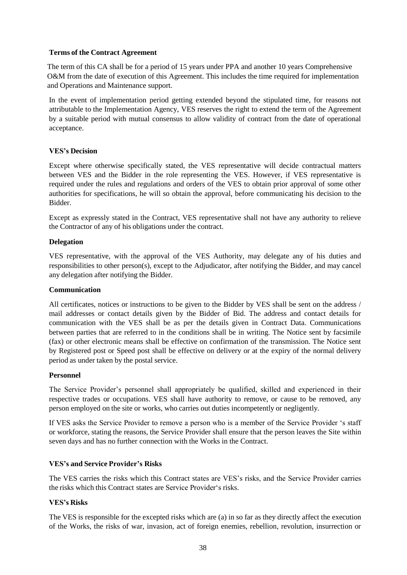#### **Terms of the Contract Agreement**

The term of this CA shall be for a period of 15 years under PPA and another 10 years Comprehensive O&M from the date of execution of this Agreement. This includes the time required for implementation and Operations and Maintenance support.

In the event of implementation period getting extended beyond the stipulated time, for reasons not attributable to the Implementation Agency, VES reserves the right to extend the term of the Agreement by a suitable period with mutual consensus to allow validity of contract from the date of operational acceptance.

## **VES's Decision**

Except where otherwise specifically stated, the VES representative will decide contractual matters between VES and the Bidder in the role representing the VES. However, if VES representative is required under the rules and regulations and orders of the VES to obtain prior approval of some other authorities for specifications, he will so obtain the approval, before communicating his decision to the Bidder.

Except as expressly stated in the Contract, VES representative shall not have any authority to relieve the Contractor of any of his obligations under the contract.

### **Delegation**

VES representative, with the approval of the VES Authority, may delegate any of his duties and responsibilities to other person(s), except to the Adjudicator, after notifying the Bidder, and may cancel any delegation after notifying the Bidder.

#### **Communication**

All certificates, notices or instructions to be given to the Bidder by VES shall be sent on the address / mail addresses or contact details given by the Bidder of Bid. The address and contact details for communication with the VES shall be as per the details given in Contract Data. Communications between parties that are referred to in the conditions shall be in writing. The Notice sent by facsimile (fax) or other electronic means shall be effective on confirmation of the transmission. The Notice sent by Registered post or Speed post shall be effective on delivery or at the expiry of the normal delivery period as under taken by the postal service.

#### **Personnel**

The Service Provider's personnel shall appropriately be qualified, skilled and experienced in their respective trades or occupations. VES shall have authority to remove, or cause to be removed, any person employed on the site or works, who carries out duties incompetently or negligently.

If VES asks the Service Provider to remove a person who is a member of the Service Provider 's staff or workforce, stating the reasons, the Service Provider shall ensure that the person leaves the Site within seven days and has no further connection with the Works in the Contract.

#### **VES's and Service Provider's Risks**

The VES carries the risks which this Contract states are VES's risks, and the Service Provider carries the risks which this Contract states are Service Provider's risks.

## **VES's Risks**

The VES is responsible for the excepted risks which are (a) in so far as they directly affect the execution of the Works, the risks of war, invasion, act of foreign enemies, rebellion, revolution, insurrection or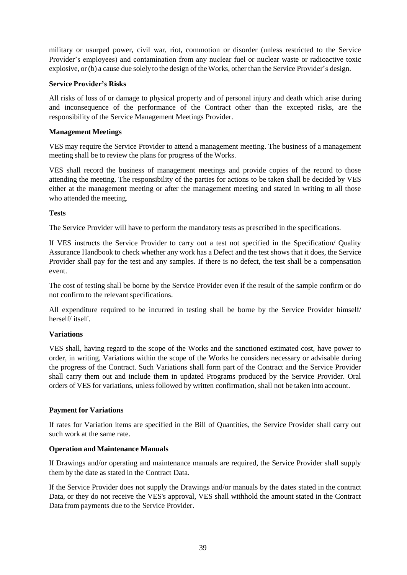military or usurped power, civil war, riot, commotion or disorder (unless restricted to the Service Provider's employees) and contamination from any nuclear fuel or nuclear waste or radioactive toxic explosive, or (b) a cause due solely to the design of theWorks, other than the Service Provider's design.

### **Service Provider's Risks**

All risks of loss of or damage to physical property and of personal injury and death which arise during and inconsequence of the performance of the Contract other than the excepted risks, are the responsibility of the Service Management Meetings Provider.

### **Management Meetings**

VES may require the Service Provider to attend a management meeting. The business of a management meeting shall be to review the plans for progress of the Works.

VES shall record the business of management meetings and provide copies of the record to those attending the meeting. The responsibility of the parties for actions to be taken shall be decided by VES either at the management meeting or after the management meeting and stated in writing to all those who attended the meeting.

### **Tests**

The Service Provider will have to perform the mandatory tests as prescribed in the specifications.

If VES instructs the Service Provider to carry out a test not specified in the Specification/ Quality Assurance Handbook to check whether any work has a Defect and the test shows that it does, the Service Provider shall pay for the test and any samples. If there is no defect, the test shall be a compensation event.

The cost of testing shall be borne by the Service Provider even if the result of the sample confirm or do not confirm to the relevant specifications.

All expenditure required to be incurred in testing shall be borne by the Service Provider himself/ herself/ itself.

#### **Variations**

VES shall, having regard to the scope of the Works and the sanctioned estimated cost, have power to order, in writing, Variations within the scope of the Works he considers necessary or advisable during the progress of the Contract. Such Variations shall form part of the Contract and the Service Provider shall carry them out and include them in updated Programs produced by the Service Provider. Oral orders of VES for variations, unless followed by written confirmation, shall not be taken into account.

## **Payment for Variations**

If rates for Variation items are specified in the Bill of Quantities, the Service Provider shall carry out such work at the same rate.

#### **Operation and Maintenance Manuals**

If Drawings and/or operating and maintenance manuals are required, the Service Provider shall supply them by the date as stated in the Contract Data.

If the Service Provider does not supply the Drawings and/or manuals by the dates stated in the contract Data, or they do not receive the VES's approval, VES shall withhold the amount stated in the Contract Data from payments due to the Service Provider.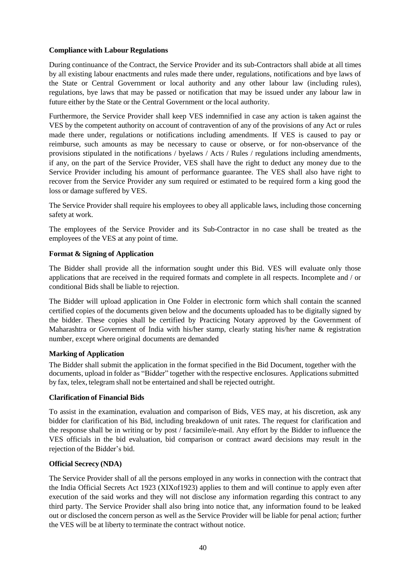## **Compliance with Labour Regulations**

During continuance of the Contract, the Service Provider and its sub-Contractors shall abide at all times by all existing labour enactments and rules made there under, regulations, notifications and bye laws of the State or Central Government or local authority and any other labour law (including rules), regulations, bye laws that may be passed or notification that may be issued under any labour law in future either by the State or the Central Government or the local authority.

Furthermore, the Service Provider shall keep VES indemnified in case any action is taken against the VES by the competent authority on account of contravention of any of the provisions of any Act or rules made there under, regulations or notifications including amendments. If VES is caused to pay or reimburse, such amounts as may be necessary to cause or observe, or for non-observance of the provisions stipulated in the notifications / byelaws / Acts / Rules / regulations including amendments, if any, on the part of the Service Provider, VES shall have the right to deduct any money due to the Service Provider including his amount of performance guarantee. The VES shall also have right to recover from the Service Provider any sum required or estimated to be required form a king good the loss or damage suffered by VES.

The Service Provider shall require his employees to obey all applicable laws, including those concerning safety at work.

The employees of the Service Provider and its Sub-Contractor in no case shall be treated as the employees of the VES at any point of time.

### **Format & Signing of Application**

The Bidder shall provide all the information sought under this Bid. VES will evaluate only those applications that are received in the required formats and complete in all respects. Incomplete and / or conditional Bids shall be liable to rejection.

The Bidder will upload application in One Folder in electronic form which shall contain the scanned certified copies of the documents given below and the documents uploaded has to be digitally signed by the bidder. These copies shall be certified by Practicing Notary approved by the Government of Maharashtra or Government of India with his/her stamp, clearly stating his/her name & registration number, except where original documents are demanded

#### **Marking of Application**

The Bidder shall submit the application in the format specified in the Bid Document, together with the documents, upload in folder as "Bidder" together with the respective enclosures. Applications submitted by fax, telex, telegram shall not be entertained and shall be rejected outright.

#### **Clarification of Financial Bids**

To assist in the examination, evaluation and comparison of Bids, VES may, at his discretion, ask any bidder for clarification of his Bid, including breakdown of unit rates. The request for clarification and the response shall be in writing or by post / facsimile/e-mail. Any effort by the Bidder to influence the VES officials in the bid evaluation, bid comparison or contract award decisions may result in the rejection of the Bidder's bid.

#### **Official Secrecy (NDA)**

The Service Provider shall of all the persons employed in any works in connection with the contract that the India Official Secrets Act 1923 (XIXof1923) applies to them and will continue to apply even after execution of the said works and they will not disclose any information regarding this contract to any third party. The Service Provider shall also bring into notice that, any information found to be leaked out or disclosed the concern person as well as the Service Provider will be liable for penal action; further the VES will be at liberty to terminate the contract without notice.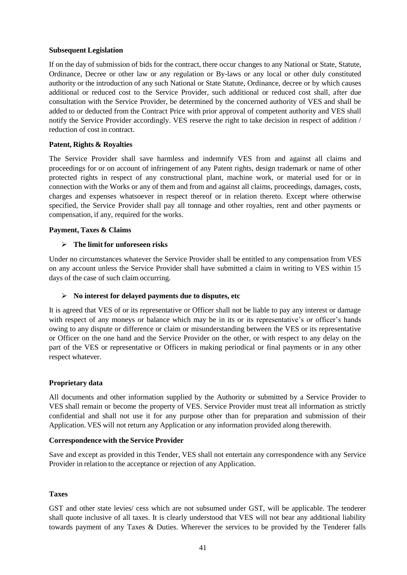#### **Subsequent Legislation**

If on the day of submission of bids for the contract, there occur changes to any National or State, Statute, Ordinance, Decree or other law or any regulation or By-laws or any local or other duly constituted authority or the introduction of any such National or State Statute, Ordinance, decree or by which causes additional or reduced cost to the Service Provider, such additional or reduced cost shall, after due consultation with the Service Provider, be determined by the concerned authority of VES and shall be added to or deducted from the Contract Price with prior approval of competent authority and VES shall notify the Service Provider accordingly. VES reserve the right to take decision in respect of addition / reduction of cost in contract.

### **Patent, Rights & Royalties**

The Service Provider shall save harmless and indemnify VES from and against all claims and proceedings for or on account of infringement of any Patent rights, design trademark or name of other protected rights in respect of any constructional plant, machine work, or material used for or in connection with the Works or any of them and from and against all claims, proceedings, damages, costs, charges and expenses whatsoever in respect thereof or in relation thereto. Except where otherwise specified, the Service Provider shall pay all tonnage and other royalties, rent and other payments or compensation, if any, required for the works.

### **Payment, Taxes & Claims**

### **The limit for unforeseen risks**

Under no circumstances whatever the Service Provider shall be entitled to any compensation from VES on any account unless the Service Provider shall have submitted a claim in writing to VES within 15 days of the case of such claim occurring.

#### **No interest for delayed payments due to disputes, etc**

It is agreed that VES of or its representative or Officer shall not be liable to pay any interest or damage with respect of any moneys or balance which may be in its or its representative's or officer's hands owing to any dispute or difference or claim or misunderstanding between the VES or its representative or Officer on the one hand and the Service Provider on the other, or with respect to any delay on the part of the VES or representative or Officers in making periodical or final payments or in any other respect whatever.

#### **Proprietary data**

All documents and other information supplied by the Authority or submitted by a Service Provider to VES shall remain or become the property of VES. Service Provider must treat all information as strictly confidential and shall not use it for any purpose other than for preparation and submission of their Application. VES will not return any Application or any information provided along therewith.

#### **Correspondence with the Service Provider**

Save and except as provided in this Tender, VES shall not entertain any correspondence with any Service Provider in relation to the acceptance or rejection of any Application.

#### **Taxes**

GST and other state levies/ cess which are not subsumed under GST, will be applicable. The tenderer shall quote inclusive of all taxes. It is clearly understood that VES will not bear any additional liability towards payment of any Taxes & Duties. Wherever the services to be provided by the Tenderer falls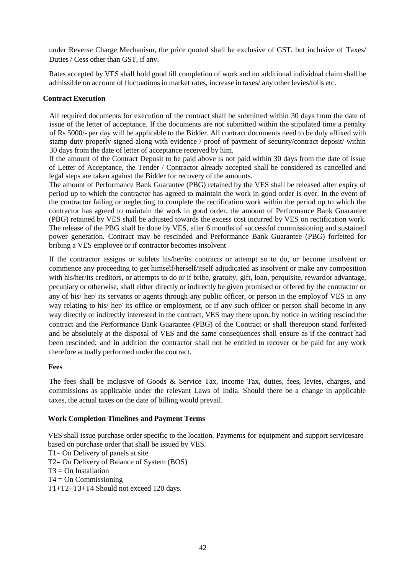under Reverse Charge Mechanism, the price quoted shall be exclusive of GST, but inclusive of Taxes/ Duties / Cess other than GST, if any.

Rates accepted by VES shall hold good till completion of work and no additional individual claim shall be admissible on account of fluctuations in market rates, increase in taxes/ any other levies/tolls etc.

#### **Contract Execution**

All required documents for execution of the contract shall be submitted within 30 days from the date of issue of the letter of acceptance. If the documents are not submitted within the stipulated time a penalty of Rs 5000/- per day will be applicable to the Bidder. All contract documents need to be duly affixed with stamp duty properly signed along with evidence / proof of payment of security/contract deposit/ within 30 days from the date of letter of acceptance received by him.

If the amount of the Contract Deposit to be paid above is not paid within 30 days from the date of issue of Letter of Acceptance, the Tender / Contractor already accepted shall be considered as cancelled and legal steps are taken against the Bidder for recovery of the amounts.

The amount of Performance Bank Guarantee (PBG) retained by the VES shall be released after expiry of period up to which the contractor has agreed to maintain the work in good order is over. In the event of the contractor failing or neglecting to complete the rectification work within the period up to which the contractor has agreed to maintain the work in good order, the amount of Performance Bank Guarantee (PBG) retained by VES shall be adjusted towards the excess cost incurred by VES on rectification work. The release of the PBG shall be done by VES, after 6 months of successful commissioning and sustained power generation. Contract may be rescinded and Performance Bank Guarantee (PBG) forfeited for bribing a VES employee or if contractor becomes insolvent

If the contractor assigns or sublets his/her/its contracts or attempt so to do, or become insolvent or commence any proceeding to get himself/herself/itself adjudicated as insolvent or make any composition with his/her/its creditors, or attempts to do or if bribe, gratuity, gift, loan, perquisite, rewardor advantage, pecuniary or otherwise, shall either directly or indirectly be given promised or offered by the contractor or any of his/ her/ its servants or agents through any public officer, or person in the employof VES in any way relating to his/ her/ its office or employment, or if any such officer or person shall become in any way directly or indirectly interested in the contract, VES may there upon, by notice in writing rescind the contract and the Performance Bank Guarantee (PBG) of the Contract or shall thereupon stand forfeited and be absolutely at the disposal of VES and the same consequences shall ensure as if the contract had been rescinded; and in addition the contractor shall not be entitled to recover or be paid for any work therefore actually performed under the contract.

#### **Fees**

The fees shall be inclusive of Goods & Service Tax, Income Tax, duties, fees, levies, charges, and commissions as applicable under the relevant Laws of India. Should there be a change in applicable taxes, the actual taxes on the date of billing would prevail.

#### **Work Completion Timelines and Payment Terms**

VES shall issue purchase order specific to the location. Payments for equipment and support servicesare based on purchase order that shall be issued by VES. T1= On Delivery of panels at site T2= On Delivery of Balance of System (BOS)  $T3 = On$  Installation  $T4 = On$  Commissioning T1+T2+T3+T4 Should not exceed 120 days.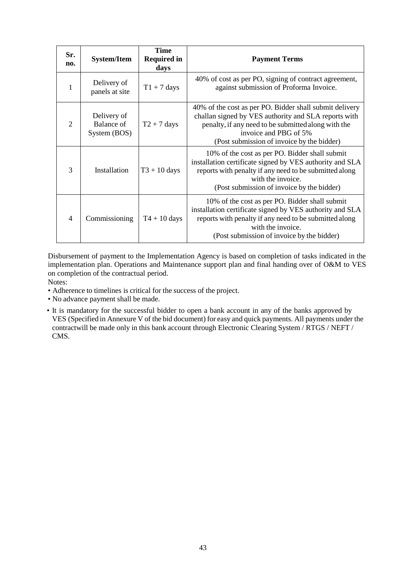| Sr.<br>no.     | <b>System/Item</b>                        | <b>Time</b><br><b>Required in</b><br>days | <b>Payment Terms</b>                                                                                                                                                                                                                          |
|----------------|-------------------------------------------|-------------------------------------------|-----------------------------------------------------------------------------------------------------------------------------------------------------------------------------------------------------------------------------------------------|
| 1              | Delivery of<br>panels at site             | $T1 + 7$ days                             | 40% of cost as per PO, signing of contract agreement,<br>against submission of Proforma Invoice.                                                                                                                                              |
| $\overline{2}$ | Delivery of<br>Balance of<br>System (BOS) | $T2 + 7$ days                             | 40% of the cost as per PO. Bidder shall submit delivery<br>challan signed by VES authority and SLA reports with<br>penalty, if any need to be submitted along with the<br>invoice and PBG of 5%<br>(Post submission of invoice by the bidder) |
| 3              | Installation                              | $T3 + 10$ days                            | 10% of the cost as per PO. Bidder shall submit<br>installation certificate signed by VES authority and SLA<br>reports with penalty if any need to be submitted along<br>with the invoice.<br>(Post submission of invoice by the bidder)       |
| $\overline{4}$ | Commissioning                             | $T4 + 10$ days                            | 10% of the cost as per PO. Bidder shall submit<br>installation certificate signed by VES authority and SLA<br>reports with penalty if any need to be submitted along<br>with the invoice.<br>(Post submission of invoice by the bidder)       |

Disbursement of payment to the Implementation Agency is based on completion of tasks indicated in the implementation plan. Operations and Maintenance support plan and final handing over of O&M to VES on completion of the contractual period.

Notes:

- Adherence to timelines is critical for the success of the project.
- No advance payment shall be made.
- It is mandatory for the successful bidder to open a bank account in any of the banks approved by VES (Specified in Annexure V of the bid document) for easy and quick payments. All payments under the contractwill be made only in this bank account through Electronic Clearing System / RTGS / NEFT / CMS.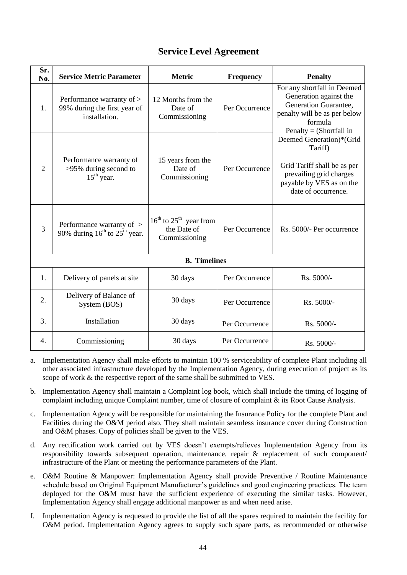| Sr.<br>No.          | <b>Service Metric Parameter</b>                                            | <b>Metric</b>                                              | <b>Frequency</b> | <b>Penalty</b>                                                                                                                                                                                                                                                                                           |  |
|---------------------|----------------------------------------------------------------------------|------------------------------------------------------------|------------------|----------------------------------------------------------------------------------------------------------------------------------------------------------------------------------------------------------------------------------------------------------------------------------------------------------|--|
| 1.                  | Performance warranty of ><br>99% during the first year of<br>installation. | 12 Months from the<br>Date of<br>Commissioning             | Per Occurrence   | For any shortfall in Deemed<br>Generation against the<br>Generation Guarantee,<br>penalty will be as per below<br>formula<br>Penalty = (Shortfall in<br>Deemed Generation)*(Grid<br>Tariff)<br>Grid Tariff shall be as per<br>prevailing grid charges<br>payable by VES as on the<br>date of occurrence. |  |
| $\overline{2}$      | Performance warranty of<br>>95% during second to<br>$15th$ year.           | 15 years from the<br>Date of<br>Commissioning              | Per Occurrence   |                                                                                                                                                                                                                                                                                                          |  |
| $\overline{3}$      | Performance warranty of ><br>90% during $16^{th}$ to $25^{th}$ year.       | $16th$ to $25th$ year from<br>the Date of<br>Commissioning | Per Occurrence   | Rs. 5000/- Per occurrence                                                                                                                                                                                                                                                                                |  |
| <b>B.</b> Timelines |                                                                            |                                                            |                  |                                                                                                                                                                                                                                                                                                          |  |
| 1.                  | Delivery of panels at site                                                 | 30 days                                                    | Per Occurrence   | Rs. 5000/-                                                                                                                                                                                                                                                                                               |  |
| 2.                  | Delivery of Balance of<br>System (BOS)                                     | 30 days                                                    | Per Occurrence   | Rs. 5000/-                                                                                                                                                                                                                                                                                               |  |
| 3.                  | Installation                                                               | 30 days                                                    | Per Occurrence   | Rs. 5000/-                                                                                                                                                                                                                                                                                               |  |
| 4.                  | Commissioning                                                              | 30 days                                                    | Per Occurrence   | Rs. 5000/-                                                                                                                                                                                                                                                                                               |  |

# **Service Level Agreement**

- a. Implementation Agency shall make efforts to maintain 100 % serviceability of complete Plant including all other associated infrastructure developed by the Implementation Agency, during execution of project as its scope of work & the respective report of the same shall be submitted to VES.
- b. Implementation Agency shall maintain a Complaint log book, which shall include the timing of logging of complaint including unique Complaint number, time of closure of complaint & its Root Cause Analysis.
- c. Implementation Agency will be responsible for maintaining the Insurance Policy for the complete Plant and Facilities during the O&M period also. They shall maintain seamless insurance cover during Construction and O&M phases. Copy of policies shall be given to the VES.
- d. Any rectification work carried out by VES doesn't exempts/relieves Implementation Agency from its responsibility towards subsequent operation, maintenance, repair & replacement of such component/ infrastructure of the Plant or meeting the performance parameters of the Plant.
- e. O&M Routine & Manpower: Implementation Agency shall provide Preventive / Routine Maintenance schedule based on Original Equipment Manufacturer's guidelines and good engineering practices. The team deployed for the O&M must have the sufficient experience of executing the similar tasks. However, Implementation Agency shall engage additional manpower as and when need arise.
- f. Implementation Agency is requested to provide the list of all the spares required to maintain the facility for O&M period. Implementation Agency agrees to supply such spare parts, as recommended or otherwise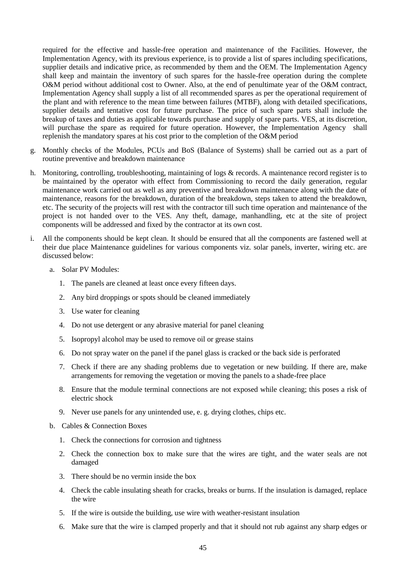required for the effective and hassle-free operation and maintenance of the Facilities. However, the Implementation Agency, with its previous experience, is to provide a list of spares including specifications, supplier details and indicative price, as recommended by them and the OEM. The Implementation Agency shall keep and maintain the inventory of such spares for the hassle-free operation during the complete O&M period without additional cost to Owner. Also, at the end of penultimate year of the O&M contract, Implementation Agency shall supply a list of all recommended spares as per the operational requirement of the plant and with reference to the mean time between failures (MTBF), along with detailed specifications, supplier details and tentative cost for future purchase. The price of such spare parts shall include the breakup of taxes and duties as applicable towards purchase and supply of spare parts. VES, at its discretion, will purchase the spare as required for future operation. However, the Implementation Agency shall replenish the mandatory spares at his cost prior to the completion of the O&M period

- g. Monthly checks of the Modules, PCUs and BoS (Balance of Systems) shall be carried out as a part of routine preventive and breakdown maintenance
- h. Monitoring, controlling, troubleshooting, maintaining of logs & records. A maintenance record register is to be maintained by the operator with effect from Commissioning to record the daily generation, regular maintenance work carried out as well as any preventive and breakdown maintenance along with the date of maintenance, reasons for the breakdown, duration of the breakdown, steps taken to attend the breakdown, etc. The security of the projects will rest with the contractor till such time operation and maintenance of the project is not handed over to the VES. Any theft, damage, manhandling, etc at the site of project components will be addressed and fixed by the contractor at its own cost.
- i. All the components should be kept clean. It should be ensured that all the components are fastened well at their due place Maintenance guidelines for various components viz. solar panels, inverter, wiring etc. are discussed below:
	- a. Solar PV Modules:
		- 1. The panels are cleaned at least once every fifteen days.
		- 2. Any bird droppings or spots should be cleaned immediately
		- 3. Use water for cleaning
		- 4. Do not use detergent or any abrasive material for panel cleaning
		- 5. Isopropyl alcohol may be used to remove oil or grease stains
		- 6. Do not spray water on the panel if the panel glass is cracked or the back side is perforated
		- 7. Check if there are any shading problems due to vegetation or new building. If there are, make arrangements for removing the vegetation or moving the panels to a shade-free place
		- 8. Ensure that the module terminal connections are not exposed while cleaning; this poses a risk of electric shock
		- 9. Never use panels for any unintended use, e. g. drying clothes, chips etc.
	- b. Cables & Connection Boxes
		- 1. Check the connections for corrosion and tightness
		- 2. Check the connection box to make sure that the wires are tight, and the water seals are not damaged
		- 3. There should be no vermin inside the box
		- 4. Check the cable insulating sheath for cracks, breaks or burns. If the insulation is damaged, replace the wire
		- 5. If the wire is outside the building, use wire with weather-resistant insulation
		- 6. Make sure that the wire is clamped properly and that it should not rub against any sharp edges or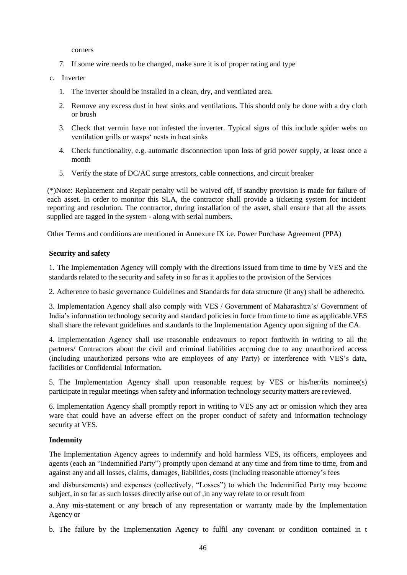corners

- 7. If some wire needs to be changed, make sure it is of proper rating and type
- c. Inverter
	- 1. The inverter should be installed in a clean, dry, and ventilated area.
	- 2. Remove any excess dust in heat sinks and ventilations. This should only be done with a dry cloth or brush
	- 3. Check that vermin have not infested the inverter. Typical signs of this include spider webs on ventilation grills or wasps' nests in heat sinks
	- 4. Check functionality, e.g. automatic disconnection upon loss of grid power supply, at least once a month
	- 5. Verify the state of DC/AC surge arrestors, cable connections, and circuit breaker

(\*)Note: Replacement and Repair penalty will be waived off, if standby provision is made for failure of each asset. In order to monitor this SLA, the contractor shall provide a ticketing system for incident reporting and resolution. The contractor, during installation of the asset, shall ensure that all the assets supplied are tagged in the system - along with serial numbers.

Other Terms and conditions are mentioned in Annexure IX i.e. Power Purchase Agreement (PPA)

#### **Security and safety**

1. The Implementation Agency will comply with the directions issued from time to time by VES and the standards related to the security and safety in so far as it applies to the provision of the Services

2. Adherence to basic governance Guidelines and Standards for data structure (if any) shall be adheredto.

3. Implementation Agency shall also comply with VES / Government of Maharashtra's/ Government of India's information technology security and standard policies in force from time to time as applicable.VES shall share the relevant guidelines and standards to the Implementation Agency upon signing of the CA.

4. Implementation Agency shall use reasonable endeavours to report forthwith in writing to all the partners/ Contractors about the civil and criminal liabilities accruing due to any unauthorized access (including unauthorized persons who are employees of any Party) or interference with VES's data, facilities or Confidential Information.

5. The Implementation Agency shall upon reasonable request by VES or his/her/its nominee(s) participate in regular meetings when safety and information technology security matters are reviewed.

6. Implementation Agency shall promptly report in writing to VES any act or omission which they area ware that could have an adverse effect on the proper conduct of safety and information technology security at VES.

#### **Indemnity**

The Implementation Agency agrees to indemnify and hold harmless VES, its officers, employees and agents (each an "Indemnified Party") promptly upon demand at any time and from time to time, from and against any and all losses, claims, damages, liabilities, costs (including reasonable attorney's fees

and disbursements) and expenses (collectively, "Losses") to which the Indemnified Party may become subject, in so far as such losses directly arise out of ,in any way relate to or result from

a. Any mis-statement or any breach of any representation or warranty made by the Implementation Agency or

b. The failure by the Implementation Agency to fulfil any covenant or condition contained in t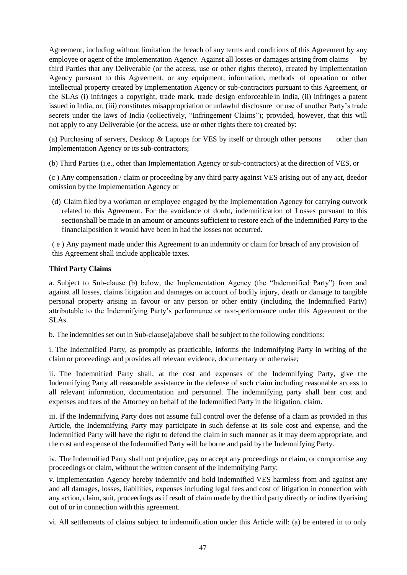Agreement, including without limitation the breach of any terms and conditions of this Agreement by any employee or agent of the Implementation Agency. Against all losses or damages arising from claims third Parties that any Deliverable (or the access, use or other rights thereto), created by Implementation Agency pursuant to this Agreement, or any equipment, information, methods of operation or other intellectual property created by Implementation Agency or sub-contractors pursuant to this Agreement, or the SLAs (i) infringes a copyright, trade mark, trade design enforceable in India, (ii) infringes a patent issued in India, or, (iii) constitutes misappropriation or unlawful disclosure or use of another Party's trade secrets under the laws of India (collectively, "Infringement Claims"); provided, however, that this will not apply to any Deliverable (or the access, use or other rights there to) created by:

(a) Purchasing of servers, Desktop  $&$  Laptops for VES by itself or through other persons other than Implementation Agency or its sub-contractors;

(b) Third Parties (i.e., other than Implementation Agency or sub-contractors) at the direction of VES, or

(c ) Any compensation / claim or proceeding by any third party against VES arising out of any act, deedor omission by the Implementation Agency or

(d) Claim filed by a workman or employee engaged by the Implementation Agency for carrying outwork related to this Agreement. For the avoidance of doubt, indemnification of Losses pursuant to this sectionshall be made in an amount or amounts sufficient to restore each of the Indemnified Party to the financialposition it would have been in had the losses not occurred.

( e ) Any payment made under this Agreement to an indemnity or claim for breach of any provision of this Agreement shall include applicable taxes.

### **Third Party Claims**

a. Subject to Sub-clause (b) below, the Implementation Agency (the "Indemnified Party") from and against all losses, claims litigation and damages on account of bodily injury, death or damage to tangible personal property arising in favour or any person or other entity (including the Indemnified Party) attributable to the Indemnifying Party's performance or non-performance under this Agreement or the SLAs.

b. The indemnities set out in Sub-clause(a)above shall be subject to the following conditions:

i. The Indemnified Party, as promptly as practicable, informs the Indemnifying Party in writing of the claimor proceedings and provides all relevant evidence, documentary or otherwise;

ii. The Indemnified Party shall, at the cost and expenses of the Indemnifying Party, give the Indemnifying Party all reasonable assistance in the defense of such claim including reasonable access to all relevant information, documentation and personnel. The indemnifying party shall bear cost and expenses and fees of the Attorney on behalf of the Indemnified Party in the litigation, claim.

iii. If the Indemnifying Party does not assume full control over the defense of a claim as provided in this Article, the Indemnifying Party may participate in such defense at its sole cost and expense, and the Indemnified Party will have the right to defend the claim in such manner as it may deem appropriate, and the cost and expense of the Indemnified Party will be borne and paid by the Indemnifying Party.

iv. The Indemnified Party shall not prejudice, pay or accept any proceedings or claim, or compromise any proceedings or claim, without the written consent of the Indemnifying Party;

v. Implementation Agency hereby indemnify and hold indemnified VES harmless from and against any and all damages, losses, liabilities, expenses including legal fees and cost of litigation in connection with any action, claim, suit, proceedings as if result of claim made by the third party directly or indirectlyarising out of or in connection with this agreement.

vi. All settlements of claims subject to indemnification under this Article will: (a) be entered in to only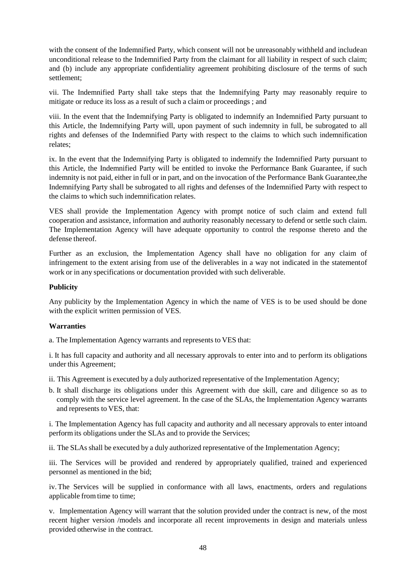with the consent of the Indemnified Party, which consent will not be unreasonably withheld and includean unconditional release to the Indemnified Party from the claimant for all liability in respect of such claim; and (b) include any appropriate confidentiality agreement prohibiting disclosure of the terms of such settlement;

vii. The Indemnified Party shall take steps that the Indemnifying Party may reasonably require to mitigate or reduce its loss as a result of such a claim or proceedings ; and

viii. In the event that the Indemnifying Party is obligated to indemnify an Indemnified Party pursuant to this Article, the Indemnifying Party will, upon payment of such indemnity in full, be subrogated to all rights and defenses of the Indemnified Party with respect to the claims to which such indemnification relates;

ix. In the event that the Indemnifying Party is obligated to indemnify the Indemnified Party pursuant to this Article, the Indemnified Party will be entitled to invoke the Performance Bank Guarantee, if such indemnity is not paid, either in full or in part, and on the invocation of the Performance Bank Guarantee,the Indemnifying Party shall be subrogated to all rights and defenses of the Indemnified Party with respect to the claims to which such indemnification relates.

VES shall provide the Implementation Agency with prompt notice of such claim and extend full cooperation and assistance, information and authority reasonably necessary to defend or settle such claim. The Implementation Agency will have adequate opportunity to control the response thereto and the defense thereof.

Further as an exclusion, the Implementation Agency shall have no obligation for any claim of infringement to the extent arising from use of the deliverables in a way not indicated in the statementof work or in any specifications or documentation provided with such deliverable.

#### **Publicity**

Any publicity by the Implementation Agency in which the name of VES is to be used should be done with the explicit written permission of VES.

#### **Warranties**

a. The Implementation Agency warrants and represents to VES that:

i. It has full capacity and authority and all necessary approvals to enter into and to perform its obligations under this Agreement;

- ii. This Agreement is executed by a duly authorized representative of the Implementation Agency;
- b. It shall discharge its obligations under this Agreement with due skill, care and diligence so as to comply with the service level agreement. In the case of the SLAs, the Implementation Agency warrants and represents to VES, that:

i. The Implementation Agency has full capacity and authority and all necessary approvals to enter intoand perform its obligations under the SLAs and to provide the Services;

ii. The SLAs shall be executed by a duly authorized representative of the Implementation Agency;

iii. The Services will be provided and rendered by appropriately qualified, trained and experienced personnel as mentioned in the bid;

iv. The Services will be supplied in conformance with all laws, enactments, orders and regulations applicable from time to time;

v. Implementation Agency will warrant that the solution provided under the contract is new, of the most recent higher version /models and incorporate all recent improvements in design and materials unless provided otherwise in the contract.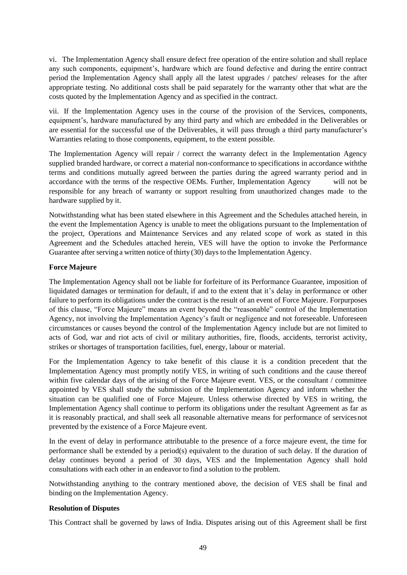vi. The Implementation Agency shall ensure defect free operation of the entire solution and shall replace any such components, equipment's, hardware which are found defective and during the entire contract period the Implementation Agency shall apply all the latest upgrades / patches/ releases for the after appropriate testing. No additional costs shall be paid separately for the warranty other that what are the costs quoted by the Implementation Agency and as specified in the contract.

vii. If the Implementation Agency uses in the course of the provision of the Services, components, equipment's, hardware manufactured by any third party and which are embedded in the Deliverables or are essential for the successful use of the Deliverables, it will pass through a third party manufacturer's Warranties relating to those components, equipment, to the extent possible.

The Implementation Agency will repair / correct the warranty defect in the Implementation Agency supplied branded hardware, or correct a material non-conformance to specifications in accordance withthe terms and conditions mutually agreed between the parties during the agreed warranty period and in accordance with the terms of the respective OEMs. Further, Implementation Agency will not be responsible for any breach of warranty or support resulting from unauthorized changes made to the hardware supplied by it.

Notwithstanding what has been stated elsewhere in this Agreement and the Schedules attached herein, in the event the Implementation Agency is unable to meet the obligations pursuant to the Implementation of the project, Operations and Maintenance Services and any related scope of work as stated in this Agreement and the Schedules attached herein, VES will have the option to invoke the Performance Guarantee after serving a written notice ofthirty (30) days to the Implementation Agency.

### **Force Majeure**

The Implementation Agency shall not be liable for forfeiture of its Performance Guarantee, imposition of liquidated damages or termination for default, if and to the extent that it's delay in performance or other failure to perform its obligations under the contract is the result of an event of Force Majeure. Forpurposes of this clause, "Force Majeure" means an event beyond the "reasonable" control of the Implementation Agency, not involving the Implementation Agency's fault or negligence and not foreseeable. Unforeseen circumstances or causes beyond the control of the Implementation Agency include but are not limited to acts of God, war and riot acts of civil or military authorities, fire, floods, accidents, terrorist activity, strikes or shortages of transportation facilities, fuel, energy, labour or material.

For the Implementation Agency to take benefit of this clause it is a condition precedent that the Implementation Agency must promptly notify VES, in writing of such conditions and the cause thereof within five calendar days of the arising of the Force Majeure event. VES, or the consultant / committee appointed by VES shall study the submission of the Implementation Agency and inform whether the situation can be qualified one of Force Majeure. Unless otherwise directed by VES in writing, the Implementation Agency shall continue to perform its obligations under the resultant Agreement as far as it is reasonably practical, and shall seek all reasonable alternative means for performance of servicesnot prevented by the existence of a Force Majeure event.

In the event of delay in performance attributable to the presence of a force majeure event, the time for performance shall be extended by a period(s) equivalent to the duration of such delay. If the duration of delay continues beyond a period of 30 days, VES and the Implementation Agency shall hold consultations with each other in an endeavor to find a solution to the problem.

Notwithstanding anything to the contrary mentioned above, the decision of VES shall be final and binding on the Implementation Agency.

#### **Resolution of Disputes**

This Contract shall be governed by laws of India. Disputes arising out of this Agreement shall be first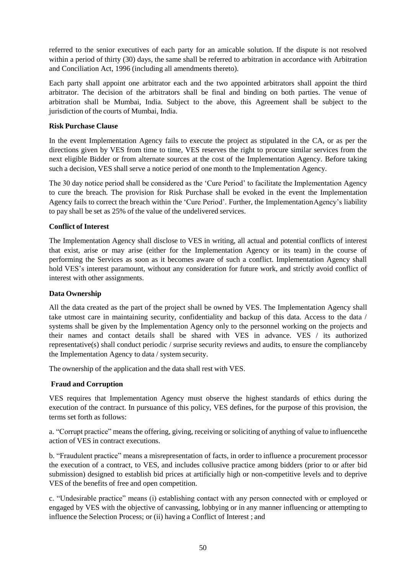referred to the senior executives of each party for an amicable solution. If the dispute is not resolved within a period of thirty (30) days, the same shall be referred to arbitration in accordance with Arbitration and Conciliation Act, 1996 (including all amendments thereto).

Each party shall appoint one arbitrator each and the two appointed arbitrators shall appoint the third arbitrator. The decision of the arbitrators shall be final and binding on both parties. The venue of arbitration shall be Mumbai, India. Subject to the above, this Agreement shall be subject to the jurisdiction of the courts of Mumbai, India.

## **Risk Purchase Clause**

In the event Implementation Agency fails to execute the project as stipulated in the CA, or as per the directions given by VES from time to time, VES reserves the right to procure similar services from the next eligible Bidder or from alternate sources at the cost of the Implementation Agency. Before taking such a decision, VES shall serve a notice period of one month to the Implementation Agency.

The 30 day notice period shall be considered as the 'Cure Period' to facilitate the Implementation Agency to cure the breach. The provision for Risk Purchase shall be evoked in the event the Implementation Agency fails to correct the breach within the 'Cure Period'. Further, the ImplementationAgency's liability to pay shall be set as 25% of the value of the undelivered services.

### **Conflict of Interest**

The Implementation Agency shall disclose to VES in writing, all actual and potential conflicts of interest that exist, arise or may arise (either for the Implementation Agency or its team) in the course of performing the Services as soon as it becomes aware of such a conflict. Implementation Agency shall hold VES's interest paramount, without any consideration for future work, and strictly avoid conflict of interest with other assignments.

#### **Data Ownership**

All the data created as the part of the project shall be owned by VES. The Implementation Agency shall take utmost care in maintaining security, confidentiality and backup of this data. Access to the data / systems shall be given by the Implementation Agency only to the personnel working on the projects and their names and contact details shall be shared with VES in advance. VES / its authorized representative(s) shall conduct periodic / surprise security reviews and audits, to ensure the complianceby the Implementation Agency to data / system security.

The ownership of the application and the data shall rest with VES.

## **Fraud and Corruption**

VES requires that Implementation Agency must observe the highest standards of ethics during the execution of the contract. In pursuance of this policy, VES defines, for the purpose of this provision, the terms set forth as follows:

a. "Corrupt practice" means the offering, giving, receiving or soliciting of anything of value to influencethe action of VES in contract executions.

b. "Fraudulent practice" means a misrepresentation of facts, in order to influence a procurement processor the execution of a contract, to VES, and includes collusive practice among bidders (prior to or after bid submission) designed to establish bid prices at artificially high or non-competitive levels and to deprive VES of the benefits of free and open competition.

c. "Undesirable practice" means (i) establishing contact with any person connected with or employed or engaged by VES with the objective of canvassing, lobbying or in any manner influencing or attempting to influence the Selection Process; or (ii) having a Conflict of Interest ; and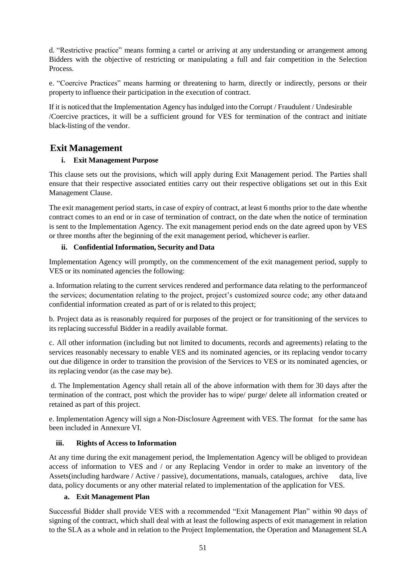d. "Restrictive practice" means forming a cartel or arriving at any understanding or arrangement among Bidders with the objective of restricting or manipulating a full and fair competition in the Selection Process.

e. "Coercive Practices" means harming or threatening to harm, directly or indirectly, persons or their property to influence their participation in the execution of contract.

If it is noticed that the Implementation Agency hasindulged into the Corrupt / Fraudulent / Undesirable /Coercive practices, it will be a sufficient ground for VES for termination of the contract and initiate black-listing of the vendor.

## **Exit Management**

## **i. Exit Management Purpose**

This clause sets out the provisions, which will apply during Exit Management period. The Parties shall ensure that their respective associated entities carry out their respective obligations set out in this Exit Management Clause.

The exit management period starts, in case of expiry of contract, at least 6 months prior to the date whenthe contract comes to an end or in case of termination of contract, on the date when the notice of termination is sent to the Implementation Agency. The exit management period ends on the date agreed upon by VES or three months after the beginning of the exit management period, whichever is earlier.

## **ii. Confidential Information, Security and Data**

Implementation Agency will promptly, on the commencement of the exit management period, supply to VES or its nominated agencies the following:

a. Information relating to the current services rendered and performance data relating to the performanceof the services; documentation relating to the project, project's customized source code; any other data and confidential information created as part of or is related to this project;

b. Project data as is reasonably required for purposes of the project or for transitioning of the services to its replacing successful Bidder in a readily available format.

c. All other information (including but not limited to documents, records and agreements) relating to the services reasonably necessary to enable VES and its nominated agencies, or its replacing vendor tocarry out due diligence in order to transition the provision of the Services to VES or its nominated agencies, or its replacing vendor (as the case may be).

d. The Implementation Agency shall retain all of the above information with them for 30 days after the termination of the contract, post which the provider has to wipe/ purge/ delete all information created or retained as part of this project.

e. Implementation Agency will sign a Non-Disclosure Agreement with VES. The format for the same has been included in Annexure VI.

## **iii. Rights of Access to Information**

At any time during the exit management period, the Implementation Agency will be obliged to providean access of information to VES and / or any Replacing Vendor in order to make an inventory of the Assets(including hardware / Active / passive), documentations, manuals, catalogues, archive data, live data, policy documents or any other material related to implementation of the application for VES.

## **a. Exit Management Plan**

Successful Bidder shall provide VES with a recommended "Exit Management Plan" within 90 days of signing of the contract, which shall deal with at least the following aspects of exit management in relation to the SLA as a whole and in relation to the Project Implementation, the Operation and Management SLA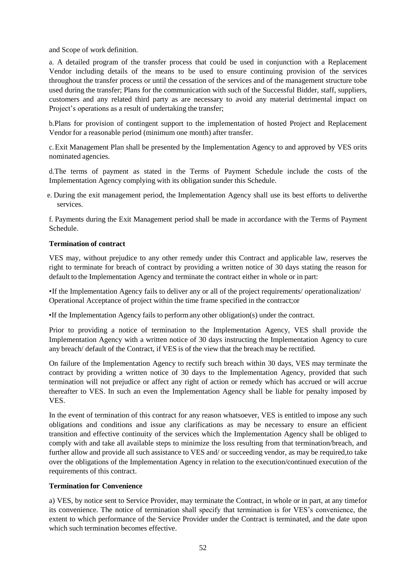and Scope of work definition.

a. A detailed program of the transfer process that could be used in conjunction with a Replacement Vendor including details of the means to be used to ensure continuing provision of the services throughout the transfer process or until the cessation of the services and of the management structure tobe used during the transfer; Plans for the communication with such of the Successful Bidder, staff, suppliers, customers and any related third party as are necessary to avoid any material detrimental impact on Project's operations as a result of undertaking the transfer;

b.Plans for provision of contingent support to the implementation of hosted Project and Replacement Vendor for a reasonable period (minimum one month) after transfer.

c. Exit Management Plan shall be presented by the Implementation Agency to and approved by VES orits nominated agencies.

d.The terms of payment as stated in the Terms of Payment Schedule include the costs of the Implementation Agency complying with its obligation sunder this Schedule.

e. During the exit management period, the Implementation Agency shall use its best efforts to deliverthe services.

f. Payments during the Exit Management period shall be made in accordance with the Terms of Payment Schedule.

### **Termination of contract**

VES may, without prejudice to any other remedy under this Contract and applicable law, reserves the right to terminate for breach of contract by providing a written notice of 30 days stating the reason for default to the Implementation Agency and terminate the contract either in whole or in part:

•If the Implementation Agency fails to deliver any or all of the project requirements/ operationalization/ Operational Acceptance of project within the time frame specified in the contract;or

•If the Implementation Agency fails to performany other obligation(s) under the contract.

Prior to providing a notice of termination to the Implementation Agency, VES shall provide the Implementation Agency with a written notice of 30 days instructing the Implementation Agency to cure any breach/ default of the Contract, if VES is of the view that the breach may be rectified.

On failure of the Implementation Agency to rectify such breach within 30 days, VES may terminate the contract by providing a written notice of 30 days to the Implementation Agency, provided that such termination will not prejudice or affect any right of action or remedy which has accrued or will accrue thereafter to VES. In such an even the Implementation Agency shall be liable for penalty imposed by VES.

In the event of termination of this contract for any reason whatsoever, VES is entitled to impose any such obligations and conditions and issue any clarifications as may be necessary to ensure an efficient transition and effective continuity of the services which the Implementation Agency shall be obliged to comply with and take all available steps to minimize the loss resulting from that termination/breach, and further allow and provide all such assistance to VES and/ or succeeding vendor, as may be required,to take over the obligations of the Implementation Agency in relation to the execution/continued execution of the requirements of this contract.

#### **Termination for Convenience**

a) VES, by notice sent to Service Provider, may terminate the Contract, in whole or in part, at any timefor its convenience. The notice of termination shall specify that termination is for VES's convenience, the extent to which performance of the Service Provider under the Contract is terminated, and the date upon which such termination becomes effective.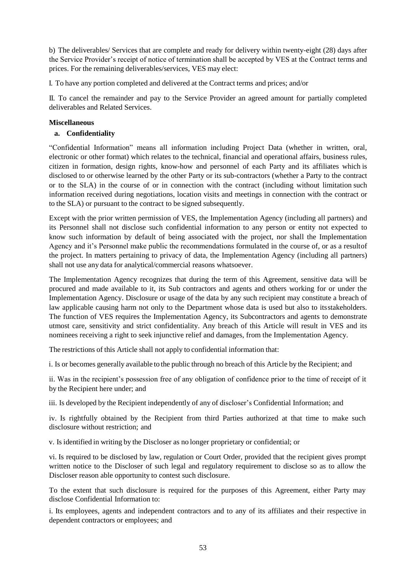b) The deliverables/ Services that are complete and ready for delivery within twenty-eight (28) days after the Service Provider's receipt of notice of termination shall be accepted by VES at the Contract terms and prices. For the remaining deliverables/services, VES may elect:

I. To have any portion completed and delivered at the Contract terms and prices; and/or

II. To cancel the remainder and pay to the Service Provider an agreed amount for partially completed deliverables and Related Services.

#### **Miscellaneous**

## **a. Confidentiality**

"Confidential Information" means all information including Project Data (whether in written, oral, electronic or other format) which relates to the technical, financial and operational affairs, business rules, citizen in formation, design rights, know-how and personnel of each Party and its affiliates which is disclosed to or otherwise learned by the other Party or its sub-contractors (whether a Party to the contract or to the SLA) in the course of or in connection with the contract (including without limitation such information received during negotiations, location visits and meetings in connection with the contract or to the SLA) or pursuant to the contract to be signed subsequently.

Except with the prior written permission of VES, the Implementation Agency (including all partners) and its Personnel shall not disclose such confidential information to any person or entity not expected to know such information by default of being associated with the project, nor shall the Implementation Agency and it's Personnel make public the recommendations formulated in the course of, or as a resultof the project. In matters pertaining to privacy of data, the Implementation Agency (including all partners) shall not use any data for analytical/commercial reasons whatsoever.

The Implementation Agency recognizes that during the term of this Agreement, sensitive data will be procured and made available to it, its Sub contractors and agents and others working for or under the Implementation Agency. Disclosure or usage of the data by any such recipient may constitute a breach of law applicable causing harm not only to the Department whose data is used but also to itsstakeholders. The function of VES requires the Implementation Agency, its Subcontractors and agents to demonstrate utmost care, sensitivity and strict confidentiality. Any breach of this Article will result in VES and its nominees receiving a right to seek injunctive relief and damages, from the Implementation Agency.

The restrictions of this Article shall not apply to confidential information that:

i. Is or becomes generally available to the public through no breach of this Article by the Recipient; and

ii. Was in the recipient's possession free of any obligation of confidence prior to the time of receipt of it by the Recipient here under; and

iii. Is developed by the Recipient independently of any of discloser's Confidential Information; and

iv. Is rightfully obtained by the Recipient from third Parties authorized at that time to make such disclosure without restriction; and

v. Is identified in writing by the Discloser as no longer proprietary or confidential; or

vi. Is required to be disclosed by law, regulation or Court Order, provided that the recipient gives prompt written notice to the Discloser of such legal and regulatory requirement to disclose so as to allow the Discloser reason able opportunity to contest such disclosure.

To the extent that such disclosure is required for the purposes of this Agreement, either Party may disclose Confidential Information to:

i. Its employees, agents and independent contractors and to any of its affiliates and their respective in dependent contractors or employees; and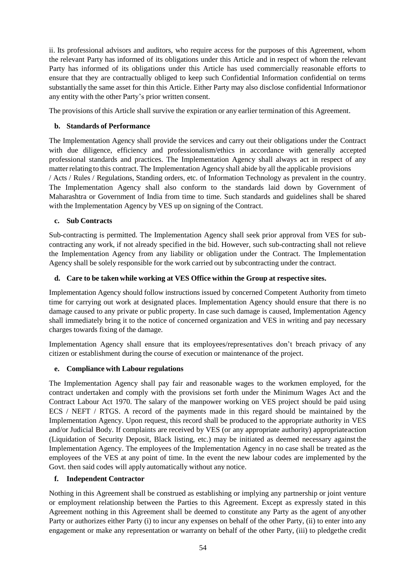ii. Its professional advisors and auditors, who require access for the purposes of this Agreement, whom the relevant Party has informed of its obligations under this Article and in respect of whom the relevant Party has informed of its obligations under this Article has used commercially reasonable efforts to ensure that they are contractually obliged to keep such Confidential Information confidential on terms substantially the same asset for thin this Article. Either Party may also disclose confidential Informationor any entity with the other Party's prior written consent.

The provisions of this Article shall survive the expiration or any earlier termination of this Agreement.

## **b. Standards of Performance**

The Implementation Agency shall provide the services and carry out their obligations under the Contract with due diligence, efficiency and professionalism/ethics in accordance with generally accepted professional standards and practices. The Implementation Agency shall always act in respect of any matter relating to this contract. The Implementation Agency shall abide by all the applicable provisions / Acts / Rules / Regulations, Standing orders, etc. of Information Technology as prevalent in the country. The Implementation Agency shall also conform to the standards laid down by Government of Maharashtra or Government of India from time to time. Such standards and guidelines shall be shared with the Implementation Agency by VES up on signing of the Contract.

## **c. Sub Contracts**

Sub-contracting is permitted. The Implementation Agency shall seek prior approval from VES for subcontracting any work, if not already specified in the bid. However, such sub-contracting shall not relieve the Implementation Agency from any liability or obligation under the Contract. The Implementation Agency shall be solely responsible for the work carried out by subcontracting under the contract.

## **d. Care to be taken while working at VES Office within the Group at respective sites.**

Implementation Agency should follow instructions issued by concerned Competent Authority from timeto time for carrying out work at designated places. Implementation Agency should ensure that there is no damage caused to any private or public property. In case such damage is caused, Implementation Agency shall immediately bring it to the notice of concerned organization and VES in writing and pay necessary charges towards fixing of the damage.

Implementation Agency shall ensure that its employees/representatives don't breach privacy of any citizen or establishment during the course of execution or maintenance of the project.

## **e. Compliance with Labour regulations**

The Implementation Agency shall pay fair and reasonable wages to the workmen employed, for the contract undertaken and comply with the provisions set forth under the Minimum Wages Act and the Contract Labour Act 1970. The salary of the manpower working on VES project should be paid using ECS / NEFT / RTGS. A record of the payments made in this regard should be maintained by the Implementation Agency. Upon request, this record shall be produced to the appropriate authority in VES and/or Judicial Body. If complaints are received by VES (or any appropriate authority) appropriateaction (Liquidation of Security Deposit, Black listing, etc.) may be initiated as deemed necessary against the Implementation Agency. The employees of the Implementation Agency in no case shall be treated as the employees of the VES at any point of time. In the event the new labour codes are implemented by the Govt. then said codes will apply automatically without any notice.

## **f. Independent Contractor**

Nothing in this Agreement shall be construed as establishing or implying any partnership or joint venture or employment relationship between the Parties to this Agreement. Except as expressly stated in this Agreement nothing in this Agreement shall be deemed to constitute any Party as the agent of anyother Party or authorizes either Party (i) to incur any expenses on behalf of the other Party, (ii) to enter into any engagement or make any representation or warranty on behalf of the other Party, (iii) to pledgethe credit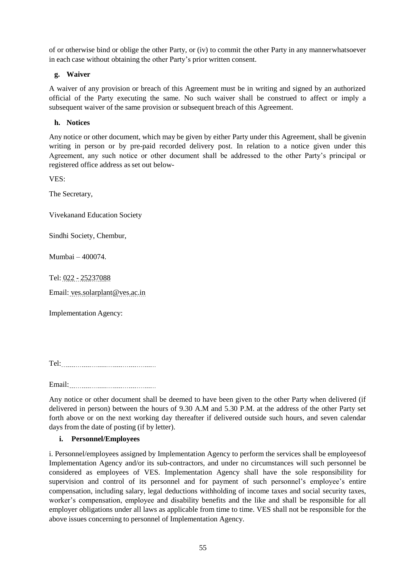of or otherwise bind or oblige the other Party, or (iv) to commit the other Party in any mannerwhatsoever in each case without obtaining the other Party's prior written consent.

## **g. Waiver**

A waiver of any provision or breach of this Agreement must be in writing and signed by an authorized official of the Party executing the same. No such waiver shall be construed to affect or imply a subsequent waiver of the same provision or subsequent breach of this Agreement.

### **h. Notices**

Any notice or other document, which may be given by either Party under this Agreement, shall be givenin writing in person or by pre-paid recorded delivery post. In relation to a notice given under this Agreement, any such notice or other document shall be addressed to the other Party's principal or registered office address as set out below-

VES:

The Secretary,

Vivekanand Education Society

Sindhi Society, Chembur,

Mumbai – 400074.

Tel: 022 - 25237088

Email: ves.solarplant@ves.ac.in

Implementation Agency:

Tel:

Email:

Any notice or other document shall be deemed to have been given to the other Party when delivered (if delivered in person) between the hours of 9.30 A.M and 5.30 P.M. at the address of the other Party set forth above or on the next working day thereafter if delivered outside such hours, and seven calendar days from the date of posting (if by letter).

#### **i. Personnel/Employees**

i. Personnel/employees assigned by Implementation Agency to perform the services shall be employeesof Implementation Agency and/or its sub-contractors, and under no circumstances will such personnel be considered as employees of VES. Implementation Agency shall have the sole responsibility for supervision and control of its personnel and for payment of such personnel's employee's entire compensation, including salary, legal deductions withholding of income taxes and social security taxes, worker's compensation, employee and disability benefits and the like and shall be responsible for all employer obligations under all laws as applicable from time to time. VES shall not be responsible for the above issues concerning to personnel of Implementation Agency.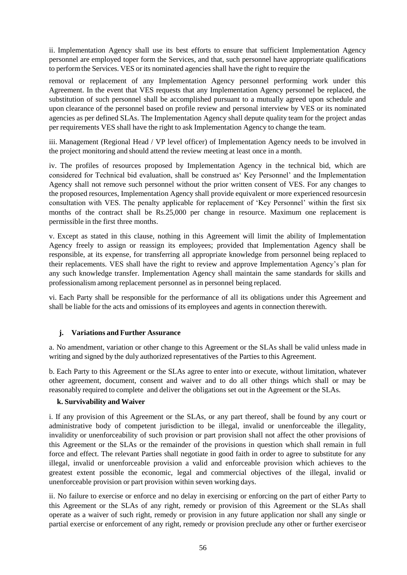ii. Implementation Agency shall use its best efforts to ensure that sufficient Implementation Agency personnel are employed toper form the Services, and that, such personnel have appropriate qualifications to performthe Services. VES or its nominated agencies shall have the right to require the

removal or replacement of any Implementation Agency personnel performing work under this Agreement. In the event that VES requests that any Implementation Agency personnel be replaced, the substitution of such personnel shall be accomplished pursuant to a mutually agreed upon schedule and upon clearance of the personnel based on profile review and personal interview by VES or its nominated agencies as per defined SLAs. The Implementation Agency shall depute quality team for the project andas per requirements VES shall have the right to ask Implementation Agency to change the team.

iii. Management (Regional Head / VP level officer) of Implementation Agency needs to be involved in the project monitoring and should attend the review meeting at least once in a month.

iv. The profiles of resources proposed by Implementation Agency in the technical bid, which are considered for Technical bid evaluation, shall be construed as' Key Personnel' and the Implementation Agency shall not remove such personnel without the prior written consent of VES. For any changes to the proposed resources, Implementation Agency shall provide equivalent or more experienced resourcesin consultation with VES. The penalty applicable for replacement of 'Key Personnel' within the first six months of the contract shall be Rs.25,000 per change in resource. Maximum one replacement is permissible in the first three months.

v. Except as stated in this clause, nothing in this Agreement will limit the ability of Implementation Agency freely to assign or reassign its employees; provided that Implementation Agency shall be responsible, at its expense, for transferring all appropriate knowledge from personnel being replaced to their replacements. VES shall have the right to review and approve Implementation Agency's plan for any such knowledge transfer. Implementation Agency shall maintain the same standards for skills and professionalism among replacement personnel as in personnel being replaced.

vi. Each Party shall be responsible for the performance of all its obligations under this Agreement and shall be liable for the acts and omissions of its employees and agents in connection therewith.

#### **j. Variations and Further Assurance**

a. No amendment, variation or other change to this Agreement or the SLAs shall be valid unless made in writing and signed by the duly authorized representatives of the Parties to this Agreement.

b. Each Party to this Agreement or the SLAs agree to enter into or execute, without limitation, whatever other agreement, document, consent and waiver and to do all other things which shall or may be reasonably required to complete and deliver the obligations set out in the Agreement or the SLAs.

#### **k. Survivability and Waiver**

i. If any provision of this Agreement or the SLAs, or any part thereof, shall be found by any court or administrative body of competent jurisdiction to be illegal, invalid or unenforceable the illegality, invalidity or unenforceability of such provision or part provision shall not affect the other provisions of this Agreement or the SLAs or the remainder of the provisions in question which shall remain in full force and effect. The relevant Parties shall negotiate in good faith in order to agree to substitute for any illegal, invalid or unenforceable provision a valid and enforceable provision which achieves to the greatest extent possible the economic, legal and commercial objectives of the illegal, invalid or unenforceable provision or part provision within seven working days.

ii. No failure to exercise or enforce and no delay in exercising or enforcing on the part of either Party to this Agreement or the SLAs of any right, remedy or provision of this Agreement or the SLAs shall operate as a waiver of such right, remedy or provision in any future application nor shall any single or partial exercise or enforcement of any right, remedy or provision preclude any other or further exerciseor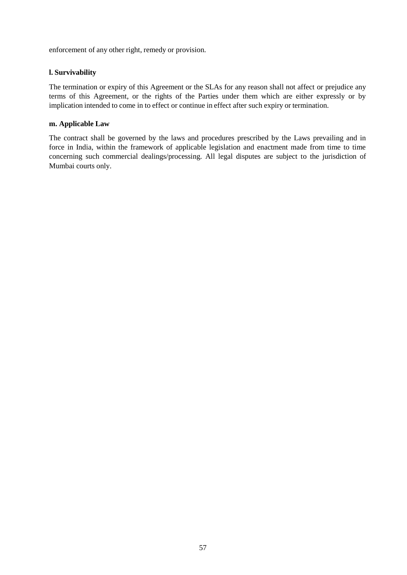enforcement of any other right, remedy or provision.

## **l. Survivability**

The termination or expiry of this Agreement or the SLAs for any reason shall not affect or prejudice any terms of this Agreement, or the rights of the Parties under them which are either expressly or by implication intended to come in to effect or continue in effect after such expiry or termination.

#### **m. Applicable Law**

The contract shall be governed by the laws and procedures prescribed by the Laws prevailing and in force in India, within the framework of applicable legislation and enactment made from time to time concerning such commercial dealings/processing. All legal disputes are subject to the jurisdiction of Mumbai courts only.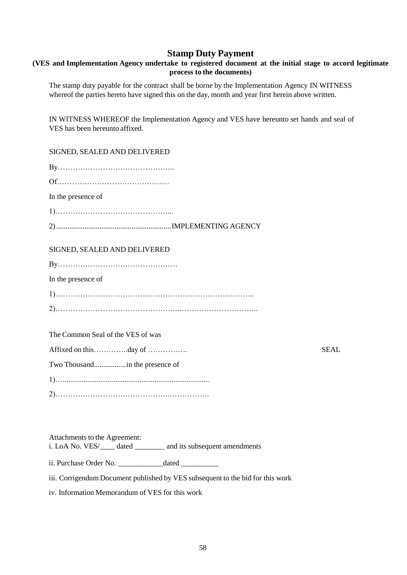## **Stamp Duty Payment**

## **(VES and Implementation Agency undertake to registered document at the initial stage to accord legitimate process to the documents)**

The stamp duty payable for the contract shall be borne by the Implementation Agency IN WITNESS whereof the parties hereto have signed this on the day, month and year first herein above written.

IN WITNESS WHEREOF the Implementation Agency and VES have hereunto set hands and seal of VES has been hereunto affixed.

### SIGNED, SEALED AND DELIVERED

| In the presence of                |      |
|-----------------------------------|------|
|                                   |      |
|                                   |      |
| SIGNED, SEALED AND DELIVERED      |      |
|                                   |      |
| In the presence of                |      |
|                                   |      |
|                                   |      |
|                                   |      |
| The Common Seal of the VES of was |      |
|                                   | SEAL |

Two Thousand.................in the presence of

2)……………………………………….…………….

Attachments to the Agreement: i. LoA No. VES/\_\_\_\_ dated \_\_\_\_\_\_\_\_ and its subsequent amendments

ii. Purchase Order No. \_\_\_\_\_\_\_\_\_\_\_\_dated \_\_\_\_\_\_\_\_\_\_

iii. Corrigendum Document published by VES subsequent to the bid for this work

iv. Information Memorandum of VES for this work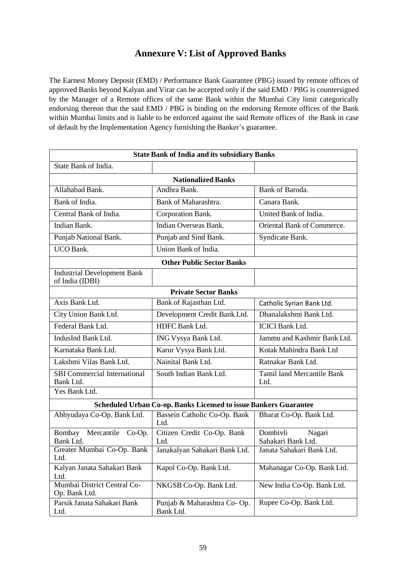# **Annexure V: List of Approved Banks**

The Earnest Money Deposit (EMD) / Performance Bank Guarantee (PBG) issued by remote offices of approved Banks beyond Kalyan and Virar can be accepted only if the said EMD / PBG is countersigned by the Manager of a Remote offices of the same Bank within the Mumbai City limit categorically endorsing thereon that the said EMD / PBG is binding on the endorsing Remote offices of the Bank within Mumbai limits and is liable to be enforced against the said Remote offices of the Bank in case of default by the Implementation Agency furnishing the Banker's guarantee.

| <b>State Bank of India and its subsidiary Banks</b>              |                                          |                                           |  |  |  |
|------------------------------------------------------------------|------------------------------------------|-------------------------------------------|--|--|--|
| State Bank of India.                                             |                                          |                                           |  |  |  |
|                                                                  | <b>Nationalized Banks</b>                |                                           |  |  |  |
| Allahabad Bank.                                                  | Andhra Bank.                             | Bank of Baroda.                           |  |  |  |
| Bank of India.                                                   | Bank of Maharashtra.                     | Canara Bank.                              |  |  |  |
| Central Bank of India.                                           | Corporation Bank.                        | United Bank of India.                     |  |  |  |
| Indian Bank.                                                     | Indian Overseas Bank.                    | Oriental Bank of Commerce.                |  |  |  |
| Punjab National Bank.                                            | Punjab and Sind Bank.                    | Syndicate Bank.                           |  |  |  |
| <b>UCO</b> Bank.                                                 | Union Bank of India.                     |                                           |  |  |  |
|                                                                  | <b>Other Public Sector Banks</b>         |                                           |  |  |  |
| <b>Industrial Development Bank</b><br>of India (IDBI)            |                                          |                                           |  |  |  |
| <b>Private Sector Banks</b>                                      |                                          |                                           |  |  |  |
| Axis Bank Ltd.                                                   | Bank of Rajasthan Ltd.                   | Catholic Syrian Bank Ltd.                 |  |  |  |
| City Union Bank Ltd.                                             | Development Credit Bank Ltd.             | Dhanalakshmi Bank Ltd.                    |  |  |  |
| Federal Bank Ltd.                                                | HDFC Bank Ltd.                           | <b>ICICI</b> Bank Ltd.                    |  |  |  |
| IndusInd Bank Ltd.                                               | ING Vysya Bank Ltd.                      | Jammu and Kashmir Bank Ltd.               |  |  |  |
| Karnataka Bank Ltd.                                              | Karur Vysya Bank Ltd.                    | Kotak Mahindra Bank Ltd                   |  |  |  |
| Lakshmi Vilas Bank Ltd.                                          | Nainital Bank Ltd.                       | Ratnakar Bank Ltd.                        |  |  |  |
| <b>SBI</b> Commercial International<br>Bank Ltd.                 | South Indian Bank Ltd.                   | <b>Tamil land Mercantile Bank</b><br>Ltd. |  |  |  |
| Yes Bank Ltd.                                                    |                                          |                                           |  |  |  |
| Scheduled Urban Co-op. Banks Licensed to issue Bankers Guarantee |                                          |                                           |  |  |  |
| Abhyudaya Co-Op. Bank Ltd.                                       | Bassein Catholic Co-Op. Bank<br>Ltd.     | Bharat Co-Op. Bank Ltd.                   |  |  |  |
| Mercantile<br>Bombay<br>Co-Op.                                   | Citizen Credit Co-Op. Bank               | Dombivli<br>Nagari                        |  |  |  |
| Bank Ltd.                                                        | Ltd.                                     | Sahakari Bank Ltd.                        |  |  |  |
| Greater Mumbai Co-Op. Bank<br>Ltd.                               | Janakalyan Sahakari Bank Ltd.            | Janata Sahakari Bank Ltd.                 |  |  |  |
| Kalyan Janata Sahakari Bank<br>Ltd.                              | Kapol Co-Op. Bank Ltd.                   | Mahanagar Co-Op. Bank Ltd.                |  |  |  |
| Mumbai District Central Co-<br>Op. Bank Ltd.                     | NKGSB Co-Op. Bank Ltd.                   | New India Co-Op. Bank Ltd.                |  |  |  |
| Parsik Janata Sahakari Bank<br>Ltd.                              | Punjab & Maharashtra Co-Op.<br>Bank Ltd. | Rupee Co-Op. Bank Ltd.                    |  |  |  |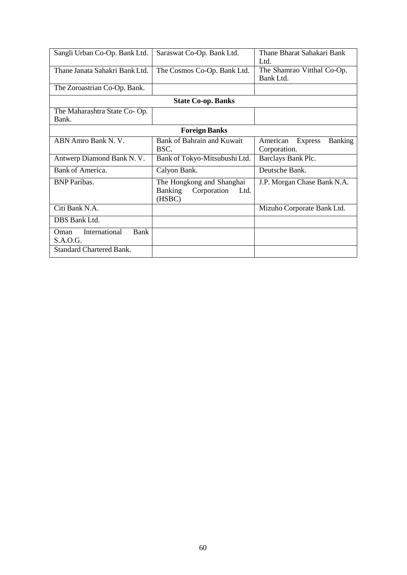| Sangli Urban Co-Op. Bank Ltd.   | Saraswat Co-Op. Bank Ltd.             | Thane Bharat Sahakari Bank                   |  |  |
|---------------------------------|---------------------------------------|----------------------------------------------|--|--|
|                                 |                                       | Ltd.                                         |  |  |
| Thane Janata Sahakri Bank Ltd.  | The Cosmos Co-Op. Bank Ltd.           | The Shamrao Vitthal Co-Op.                   |  |  |
|                                 |                                       | Bank Ltd.                                    |  |  |
| The Zoroastrian Co-Op. Bank.    |                                       |                                              |  |  |
| <b>State Co-op. Banks</b>       |                                       |                                              |  |  |
| The Maharashtra State Co-Op.    |                                       |                                              |  |  |
| Bank.                           |                                       |                                              |  |  |
| <b>Foreign Banks</b>            |                                       |                                              |  |  |
| ABN Amro Bank N. V.             | Bank of Bahrain and Kuwait            | <b>Banking</b><br>American<br><b>Express</b> |  |  |
|                                 | BSC.                                  | Corporation.                                 |  |  |
| Antwerp Diamond Bank N. V.      | Bank of Tokyo-Mitsubushi Ltd.         | Barclays Bank Plc.                           |  |  |
| Bank of America.                | Calyon Bank.                          | Deutsche Bank.                               |  |  |
| <b>BNP</b> Paribas.             | The Hongkong and Shanghai             | J.P. Morgan Chase Bank N.A.                  |  |  |
|                                 | <b>Banking</b><br>Corporation<br>Ltd. |                                              |  |  |
|                                 | (HSBC)                                |                                              |  |  |
| Citi Bank N.A.                  |                                       | Mizuho Corporate Bank Ltd.                   |  |  |
| DBS Bank Ltd.                   |                                       |                                              |  |  |
| International<br>Bank<br>Oman   |                                       |                                              |  |  |
| S.A.O.G.                        |                                       |                                              |  |  |
| <b>Standard Chartered Bank.</b> |                                       |                                              |  |  |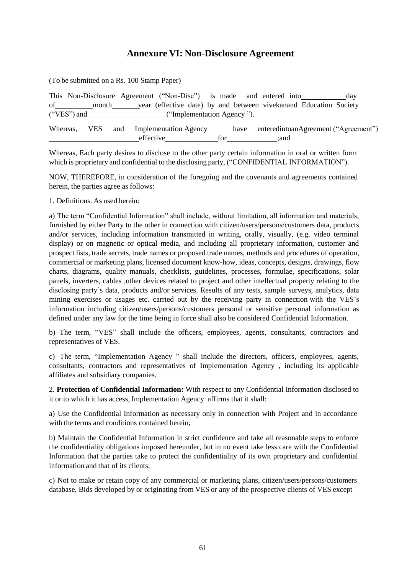## **Annexure VI: Non-Disclosure Agreement**

(To be submitted on a Rs. 100 Stamp Paper) This Non-Disclosure Agreement ("Non-Disc") is made and entered into day of month year (effective date) by and between vivekanand Education Society ("VES") and ("Implementation Agency "). Whereas, VES and Implementation Agency have enteredintoanAgreement ("Agreement") effective for ;and

Whereas, Each party desires to disclose to the other party certain information in oral or written form which is proprietary and confidential to the disclosing party, ("CONFIDENTIAL INFORMATION").

NOW, THEREFORE, in consideration of the foregoing and the covenants and agreements contained herein, the parties agree as follows:

1. Definitions. As used herein:

a) The term "Confidential Information" shall include, without limitation, all information and materials, furnished by either Party to the other in connection with citizen/users/persons/customers data, products and/or services, including information transmitted in writing, orally, visually, (e.g. video terminal display) or on magnetic or optical media, and including all proprietary information, customer and prospect lists, trade secrets, trade names or proposed trade names, methods and procedures of operation, commercial or marketing plans, licensed document know-how, ideas, concepts, designs, drawings, flow charts, diagrams, quality manuals, checklists, guidelines, processes, formulae, specifications, solar panels, inverters, cables ,other devices related to project and other intellectual property relating to the disclosing party's data, products and/or services. Results of any tests, sample surveys, analytics, data mining exercises or usages etc. carried out by the receiving party in connection with the VES's information including citizen/users/persons/customers personal or sensitive personal information as defined under any law for the time being in force shall also be considered Confidential Information.

b) The term, "VES" shall include the officers, employees, agents, consultants, contractors and representatives of VES.

c) The term, "Implementation Agency " shall include the directors, officers, employees, agents, consultants, contractors and representatives of Implementation Agency , including its applicable affiliates and subsidiary companies.

2. **Protection of Confidential Information:** With respect to any Confidential Information disclosed to it or to which it has access, Implementation Agency affirms that it shall:

a) Use the Confidential Information as necessary only in connection with Project and in accordance with the terms and conditions contained herein;

b) Maintain the Confidential Information in strict confidence and take all reasonable steps to enforce the confidentiality obligations imposed hereunder, but in no event take less care with the Confidential Information that the parties take to protect the confidentiality of its own proprietary and confidential information and that of its clients;

c) Not to make or retain copy of any commercial or marketing plans, citizen/users/persons/customers database, Bids developed by or originating from VES or any of the prospective clients of VES except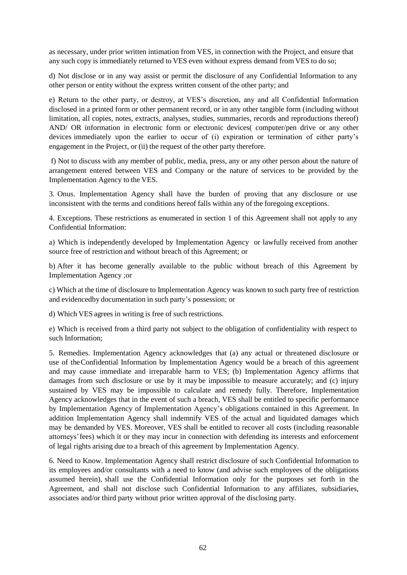as necessary, under prior written intimation from VES, in connection with the Project, and ensure that any such copy is immediately returned to VES even without express demand from VES to do so;

d) Not disclose or in any way assist or permit the disclosure of any Confidential Information to any other person or entity without the express written consent of the other party; and

e) Return to the other party, or destroy, at VES's discretion, any and all Confidential Information disclosed in a printed form or other permanent record, or in any other tangible form (including without limitation, all copies, notes, extracts, analyses, studies, summaries, records and reproductions thereof) AND/ OR information in electronic form or electronic devices( computer/pen drive or any other devices immediately upon the earlier to occur of (i) expiration or termination of either party's engagement in the Project, or (ii) the request of the other party therefore.

f) Not to discuss with any member of public, media, press, any or any other person about the nature of arrangement entered between VES and Company or the nature of services to be provided by the Implementation Agency to the VES.

3. Onus. Implementation Agency shall have the burden of proving that any disclosure or use inconsistent with the terms and conditions hereof falls within any of the foregoing exceptions.

4. Exceptions. These restrictions as enumerated in section 1 of this Agreement shall not apply to any Confidential Information:

a) Which is independently developed by Implementation Agency or lawfully received from another source free of restriction and without breach of this Agreement; or

b) After it has become generally available to the public without breach of this Agreement by Implementation Agency ;or

c) Which at the time of disclosure to Implementation Agency was known to such party free of restriction and evidencedby documentation in such party's possession; or

d) Which VES agrees in writing is free of such restrictions.

e) Which is received from a third party not subject to the obligation of confidentiality with respect to such Information;

5. Remedies. Implementation Agency acknowledges that (a) any actual or threatened disclosure or use of theConfidential Information by Implementation Agency would be a breach of this agreement and may cause immediate and irreparable harm to VES; (b) Implementation Agency affirms that damages from such disclosure or use by it may be impossible to measure accurately; and (c) injury sustained by VES may be impossible to calculate and remedy fully. Therefore, Implementation Agency acknowledges that in the event of such a breach, VES shall be entitled to specific performance by Implementation Agency of Implementation Agency's obligations contained in this Agreement. In addition Implementation Agency shall indemnify VES of the actual and liquidated damages which may be demanded by VES. Moreover, VES shall be entitled to recover all costs (including reasonable attorneys'fees) which it or they may incur in connection with defending its interests and enforcement of legal rights arising due to a breach of this agreement by Implementation Agency.

6. Need to Know. Implementation Agency shall restrict disclosure of such Confidential Information to its employees and/or consultants with a need to know (and advise such employees of the obligations assumed herein), shall use the Confidential Information only for the purposes set forth in the Agreement, and shall not disclose such Confidential Information to any affiliates, subsidiaries, associates and/or third party without prior written approval of the disclosing party.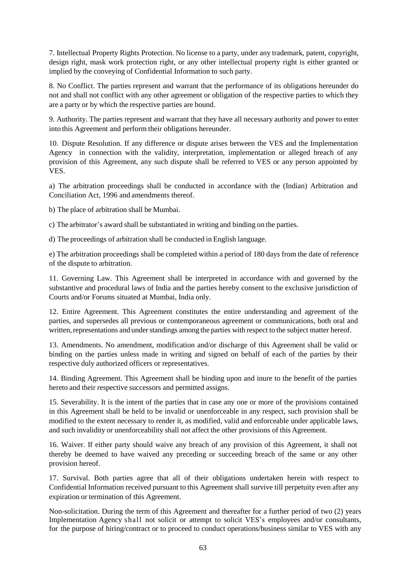7. Intellectual Property Rights Protection. No license to a party, under any trademark, patent, copyright, design right, mask work protection right, or any other intellectual property right is either granted or implied by the conveying of Confidential Information to such party.

8. No Conflict. The parties represent and warrant that the performance of its obligations hereunder do not and shall not conflict with any other agreement or obligation of the respective parties to which they are a party or by which the respective parties are bound.

9. Authority. The parties represent and warrant that they have all necessary authority and power to enter into this Agreement and perform their obligations hereunder.

10. Dispute Resolution. If any difference or dispute arises between the VES and the Implementation Agency in connection with the validity, interpretation, implementation or alleged breach of any provision of this Agreement, any such dispute shall be referred to VES or any person appointed by VES.

a) The arbitration proceedings shall be conducted in accordance with the (Indian) Arbitration and Conciliation Act, 1996 and amendments thereof.

b) The place of arbitration shall be Mumbai.

c) The arbitrator's award shall be substantiated in writing and binding on the parties.

d) The proceedings of arbitration shall be conducted in English language.

e) The arbitration proceedings shall be completed within a period of 180 days from the date of reference of the dispute to arbitration.

11. Governing Law. This Agreement shall be interpreted in accordance with and governed by the substantive and procedural laws of India and the parties hereby consent to the exclusive jurisdiction of Courts and/or Forums situated at Mumbai, India only.

12. Entire Agreement. This Agreement constitutes the entire understanding and agreement of the parties, and supersedes all previous or contemporaneous agreement or communications, both oral and written, representations and under standings among the parties with respect to the subject matter hereof.

13. Amendments. No amendment, modification and/or discharge of this Agreement shall be valid or binding on the parties unless made in writing and signed on behalf of each of the parties by their respective duly authorized officers or representatives.

14. Binding Agreement. This Agreement shall be binding upon and inure to the benefit of the parties hereto and their respective successors and permitted assigns.

15. Severability. It is the intent of the parties that in case any one or more of the provisions contained in this Agreement shall be held to be invalid or unenforceable in any respect, such provision shall be modified to the extent necessary to render it, as modified, valid and enforceable under applicable laws, and such invalidity or unenforceability shall not affect the other provisions of this Agreement.

16. Waiver. If either party should waive any breach of any provision of this Agreement, it shall not thereby be deemed to have waived any preceding or succeeding breach of the same or any other provision hereof.

17. Survival. Both parties agree that all of their obligations undertaken herein with respect to Confidential Information received pursuant to this Agreement shall survive till perpetuity even after any expiration or termination of this Agreement.

Non-solicitation. During the term of this Agreement and thereafter for a further period of two (2) years Implementation Agency shall not solicit or attempt to solicit VES's employees and/or consultants, for the purpose of hiring/contract or to proceed to conduct operations/business similar to VES with any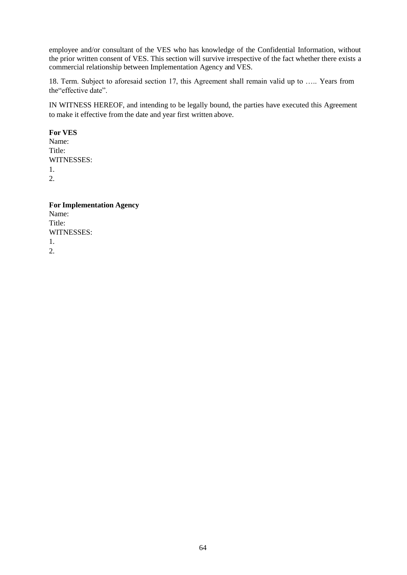employee and/or consultant of the VES who has knowledge of the Confidential Information, without the prior written consent of VES. This section will survive irrespective of the fact whether there exists a commercial relationship between Implementation Agency and VES.

18. Term. Subject to aforesaid section 17, this Agreement shall remain valid up to ….. Years from the"effective date".

IN WITNESS HEREOF, and intending to be legally bound, the parties have executed this Agreement to make it effective from the date and year first written above.

**For VES** Name: Title: WITNESSES: 1. 2.

**For Implementation Agency**  Name: Title: WITNESSES: 1. 2.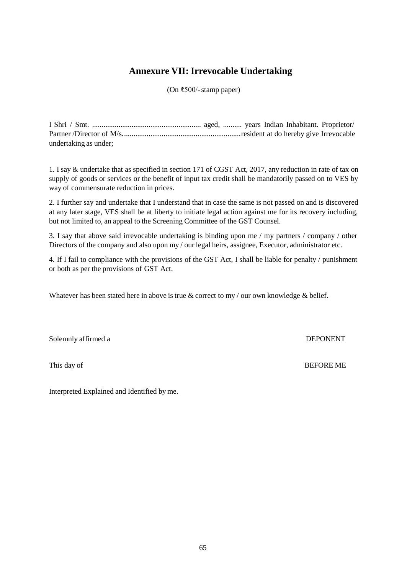# **Annexure VII: Irrevocable Undertaking**

(On ₹500/-stamp paper)

| undertaking as under; |  |  |  |
|-----------------------|--|--|--|

1. I say & undertake that as specified in section 171 of CGST Act, 2017, any reduction in rate of tax on supply of goods or services or the benefit of input tax credit shall be mandatorily passed on to VES by way of commensurate reduction in prices.

2. I further say and undertake that I understand that in case the same is not passed on and is discovered at any later stage, VES shall be at liberty to initiate legal action against me for its recovery including, but not limited to, an appeal to the Screening Committee of the GST Counsel.

3. I say that above said irrevocable undertaking is binding upon me / my partners / company / other Directors of the company and also upon my / our legal heirs, assignee, Executor, administrator etc.

4. If I fail to compliance with the provisions of the GST Act, I shall be liable for penalty / punishment or both as per the provisions of GST Act.

Whatever has been stated here in above is true & correct to my / our own knowledge & belief.

Solemnly affirmed a DEPONENT

This day of BEFORE ME

Interpreted Explained and Identified by me.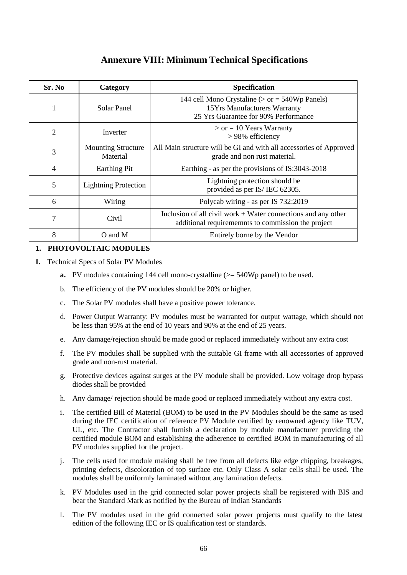# **Annexure VIII: Minimum Technical Specifications**

| Sr. No | Category                              | <b>Specification</b>                                                                                                      |
|--------|---------------------------------------|---------------------------------------------------------------------------------------------------------------------------|
|        | Solar Panel                           | 144 cell Mono Crystaline ( $>$ or = 540Wp Panels)<br>15Yrs Manufacturers Warranty<br>25 Yrs Guarantee for 90% Performance |
| 2      | Inverter                              | $>$ or = 10 Years Warranty<br>> 98% efficiency                                                                            |
| 3      | <b>Mounting Structure</b><br>Material | All Main structure will be GI and with all accessories of Approved<br>grade and non rust material.                        |
| 4      | <b>Earthing Pit</b>                   | Earthing - as per the provisions of IS:3043-2018                                                                          |
| 5      | <b>Lightning Protection</b>           | Lightning protection should be<br>provided as per IS/IEC 62305.                                                           |
| 6      | Wiring                                | Polycab wiring - as per IS 732:2019                                                                                       |
| 7      | Civil                                 | Inclusion of all civil work $+$ Water connections and any other<br>additional requirememnts to commission the project     |
| 8      | O and M                               | Entirely borne by the Vendor                                                                                              |

## **1. PHOTOVOLTAIC MODULES**

- **1.** Technical Specs of Solar PV Modules
	- **a.** PV modules containing 144 cell mono-crystalline ( $\geq$  540Wp panel) to be used.
	- b. The efficiency of the PV modules should be 20% or higher.
	- c. The Solar PV modules shall have a positive power tolerance.
	- d. Power Output Warranty: PV modules must be warranted for output wattage, which should not be less than 95% at the end of 10 years and 90% at the end of 25 years.
	- e. Any damage/rejection should be made good or replaced immediately without any extra cost
	- f. The PV modules shall be supplied with the suitable GI frame with all accessories of approved grade and non-rust material.
	- g. Protective devices against surges at the PV module shall be provided. Low voltage drop bypass diodes shall be provided
	- h. Any damage/ rejection should be made good or replaced immediately without any extra cost.
	- i. The certified Bill of Material (BOM) to be used in the PV Modules should be the same as used during the IEC certification of reference PV Module certified by renowned agency like TUV, UL, etc. The Contractor shall furnish a declaration by module manufacturer providing the certified module BOM and establishing the adherence to certified BOM in manufacturing of all PV modules supplied for the project.
	- j. The cells used for module making shall be free from all defects like edge chipping, breakages, printing defects, discoloration of top surface etc. Only Class A solar cells shall be used. The modules shall be uniformly laminated without any lamination defects.
	- k. PV Modules used in the grid connected solar power projects shall be registered with BIS and bear the Standard Mark as notified by the Bureau of Indian Standards
	- l. The PV modules used in the grid connected solar power projects must qualify to the latest edition of the following IEC or IS qualification test or standards.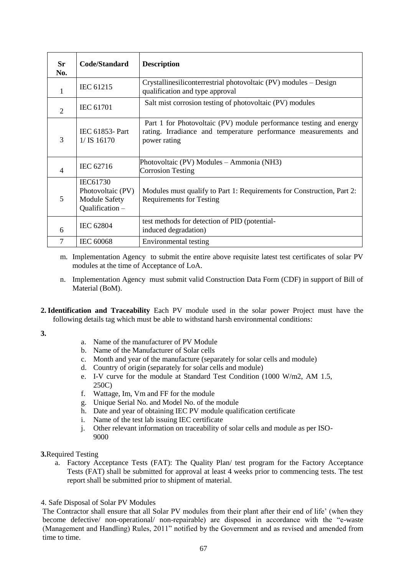| Sr<br>No.      | Code/Standard                                                            | <b>Description</b>                                                                                                                                    |
|----------------|--------------------------------------------------------------------------|-------------------------------------------------------------------------------------------------------------------------------------------------------|
| 1              | <b>IEC 61215</b>                                                         | Crystallinesiliconterrestrial photovoltaic (PV) modules – Design<br>qualification and type approval                                                   |
| $\overline{2}$ | <b>IEC 61701</b>                                                         | Salt mist corrosion testing of photovoltaic (PV) modules                                                                                              |
| 3              | <b>IEC 61853- Part</b><br>$1/$ IS 16170                                  | Part 1 for Photovoltaic (PV) module performance testing and energy<br>rating. Irradiance and temperature performance measurements and<br>power rating |
| $\overline{4}$ | IEC 62716                                                                | Photovoltaic (PV) Modules – Ammonia (NH3)<br><b>Corrosion Testing</b>                                                                                 |
| 5              | IEC61730<br>Photovoltaic (PV)<br><b>Module Safety</b><br>Qualification - | Modules must qualify to Part 1: Requirements for Construction, Part 2:<br><b>Requirements for Testing</b>                                             |
| 6              | <b>IEC 62804</b>                                                         | test methods for detection of PID (potential-<br>induced degradation)                                                                                 |
| 7              | <b>IEC 60068</b>                                                         | Environmental testing                                                                                                                                 |

- m. Implementation Agency to submit the entire above requisite latest test certificates of solar PV modules at the time of Acceptance of LoA.
- n. Implementation Agency must submit valid Construction Data Form (CDF) in support of Bill of Material (BoM).
- **2. Identification and Traceability** Each PV module used in the solar power Project must have the following details tag which must be able to withstand harsh environmental conditions:

**3.**

- a. Name of the manufacturer of PV Module
- b. Name of the Manufacturer of Solar cells
- c. Month and year of the manufacture (separately for solar cells and module)
- d. Country of origin (separately for solar cells and module)
- e. I-V curve for the module at Standard Test Condition (1000 W/m2, AM 1.5, 250C)
- f. Wattage, Im, Vm and FF for the module
- g. Unique Serial No. and Model No. of the module
- h. Date and year of obtaining IEC PV module qualification certificate
- i. Name of the test lab issuing IEC certificate
- j. Other relevant information on traceability of solar cells and module as per ISO-9000

**3.**Required Testing

a. Factory Acceptance Tests (FAT): The Quality Plan/ test program for the Factory Acceptance Tests (FAT) shall be submitted for approval at least 4 weeks prior to commencing tests. The test report shall be submitted prior to shipment of material.

## 4. Safe Disposal of Solar PV Modules

The Contractor shall ensure that all Solar PV modules from their plant after their end of life' (when they become defective/ non-operational/ non-repairable) are disposed in accordance with the "e-waste (Management and Handling) Rules, 2011" notified by the Government and as revised and amended from time to time.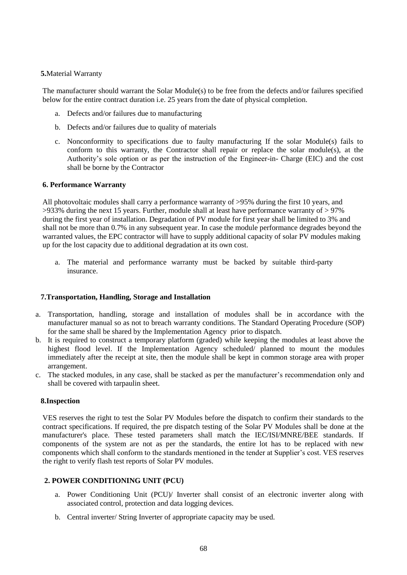## **5.**Material Warranty

The manufacturer should warrant the Solar Module(s) to be free from the defects and/or failures specified below for the entire contract duration i.e. 25 years from the date of physical completion.

- a. Defects and/or failures due to manufacturing
- b. Defects and/or failures due to quality of materials
- c. Nonconformity to specifications due to faulty manufacturing If the solar Module(s) fails to conform to this warranty, the Contractor shall repair or replace the solar module(s), at the Authority's sole option or as per the instruction of the Engineer-in- Charge (EIC) and the cost shall be borne by the Contractor

## **6. Performance Warranty**

All photovoltaic modules shall carry a performance warranty of >95% during the first 10 years, and  $>933\%$  during the next 15 years. Further, module shall at least have performance warranty of  $>97\%$ during the first year of installation. Degradation of PV module for first year shall be limited to 3% and shall not be more than 0.7% in any subsequent year. In case the module performance degrades beyond the warranted values, the EPC contractor will have to supply additional capacity of solar PV modules making up for the lost capacity due to additional degradation at its own cost.

a. The material and performance warranty must be backed by suitable third-party insurance.

## **7.Transportation, Handling, Storage and Installation**

- a. Transportation, handling, storage and installation of modules shall be in accordance with the manufacturer manual so as not to breach warranty conditions. The Standard Operating Procedure (SOP) for the same shall be shared by the Implementation Agency prior to dispatch.
- b. It is required to construct a temporary platform (graded) while keeping the modules at least above the highest flood level. If the Implementation Agency scheduled/ planned to mount the modules immediately after the receipt at site, then the module shall be kept in common storage area with proper arrangement.
- c. The stacked modules, in any case, shall be stacked as per the manufacturer's recommendation only and shall be covered with tarpaulin sheet.

## **8.Inspection**

VES reserves the right to test the Solar PV Modules before the dispatch to confirm their standards to the contract specifications. If required, the pre dispatch testing of the Solar PV Modules shall be done at the manufacturer's place. These tested parameters shall match the IEC/ISI/MNRE/BEE standards. If components of the system are not as per the standards, the entire lot has to be replaced with new components which shall conform to the standards mentioned in the tender at Supplier's cost. VES reserves the right to verify flash test reports of Solar PV modules.

## **2. POWER CONDITIONING UNIT (PCU)**

- a. Power Conditioning Unit (PCU)/ Inverter shall consist of an electronic inverter along with associated control, protection and data logging devices.
- b. Central inverter/ String Inverter of appropriate capacity may be used.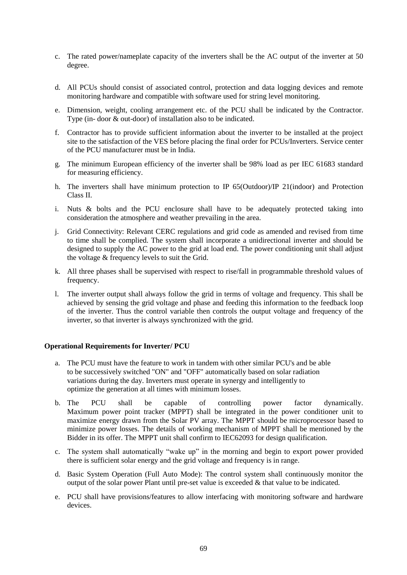- c. The rated power/nameplate capacity of the inverters shall be the AC output of the inverter at 50 degree.
- d. All PCUs should consist of associated control, protection and data logging devices and remote monitoring hardware and compatible with software used for string level monitoring.
- e. Dimension, weight, cooling arrangement etc. of the PCU shall be indicated by the Contractor. Type (in- door & out-door) of installation also to be indicated.
- f. Contractor has to provide sufficient information about the inverter to be installed at the project site to the satisfaction of the VES before placing the final order for PCUs/Inverters. Service center of the PCU manufacturer must be in India.
- g. The minimum European efficiency of the inverter shall be 98% load as per IEC 61683 standard for measuring efficiency.
- h. The inverters shall have minimum protection to IP 65(Outdoor)/IP 21(indoor) and Protection Class II.
- i. Nuts & bolts and the PCU enclosure shall have to be adequately protected taking into consideration the atmosphere and weather prevailing in the area.
- j. Grid Connectivity: Relevant CERC regulations and grid code as amended and revised from time to time shall be complied. The system shall incorporate a unidirectional inverter and should be designed to supply the AC power to the grid at load end. The power conditioning unit shall adjust the voltage & frequency levels to suit the Grid.
- k. All three phases shall be supervised with respect to rise/fall in programmable threshold values of frequency.
- l. The inverter output shall always follow the grid in terms of voltage and frequency. This shall be achieved by sensing the grid voltage and phase and feeding this information to the feedback loop of the inverter. Thus the control variable then controls the output voltage and frequency of the inverter, so that inverter is always synchronized with the grid.

## **Operational Requirements for Inverter/ PCU**

- a. The PCU must have the feature to work in tandem with other similar PCU's and be able to be successively switched "ON" and "OFF" automatically based on solar radiation variations during the day. Inverters must operate in synergy and intelligently to optimize the generation at all times with minimum losses.
- b. The PCU shall be capable of controlling power factor dynamically. Maximum power point tracker (MPPT) shall be integrated in the power conditioner unit to maximize energy drawn from the Solar PV array. The MPPT should be microprocessor based to minimize power losses. The details of working mechanism of MPPT shall be mentioned by the Bidder in its offer. The MPPT unit shall confirm to IEC62093 for design qualification.
- c. The system shall automatically "wake up" in the morning and begin to export power provided there is sufficient solar energy and the grid voltage and frequency is in range.
- d. Basic System Operation (Full Auto Mode): The control system shall continuously monitor the output of the solar power Plant until pre-set value is exceeded  $&$  that value to be indicated.
- e. PCU shall have provisions/features to allow interfacing with monitoring software and hardware devices.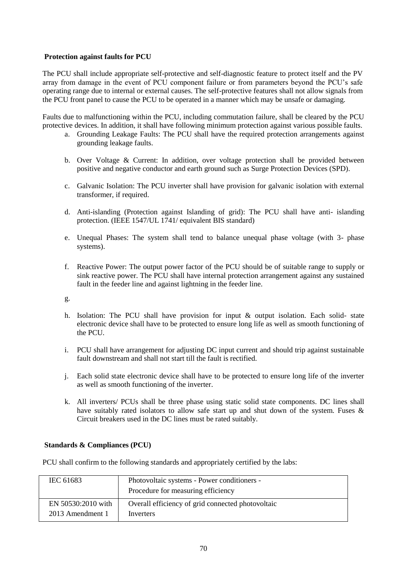## **Protection against faults for PCU**

The PCU shall include appropriate self-protective and self-diagnostic feature to protect itself and the PV array from damage in the event of PCU component failure or from parameters beyond the PCU's safe operating range due to internal or external causes. The self-protective features shall not allow signals from the PCU front panel to cause the PCU to be operated in a manner which may be unsafe or damaging.

Faults due to malfunctioning within the PCU, including commutation failure, shall be cleared by the PCU protective devices. In addition, it shall have following minimum protection against various possible faults.

- a. Grounding Leakage Faults: The PCU shall have the required protection arrangements against grounding leakage faults.
- b. Over Voltage & Current: In addition, over voltage protection shall be provided between positive and negative conductor and earth ground such as Surge Protection Devices (SPD).
- c. Galvanic Isolation: The PCU inverter shall have provision for galvanic isolation with external transformer, if required.
- d. Anti-islanding (Protection against Islanding of grid): The PCU shall have anti- islanding protection. (IEEE 1547/UL 1741/ equivalent BIS standard)
- e. Unequal Phases: The system shall tend to balance unequal phase voltage (with 3- phase systems).
- f. Reactive Power: The output power factor of the PCU should be of suitable range to supply or sink reactive power. The PCU shall have internal protection arrangement against any sustained fault in the feeder line and against lightning in the feeder line.

g.

- h. Isolation: The PCU shall have provision for input & output isolation. Each solid- state electronic device shall have to be protected to ensure long life as well as smooth functioning of the PCU.
- i. PCU shall have arrangement for adjusting DC input current and should trip against sustainable fault downstream and shall not start till the fault is rectified.
- j. Each solid state electronic device shall have to be protected to ensure long life of the inverter as well as smooth functioning of the inverter.
- k. All inverters/ PCUs shall be three phase using static solid state components. DC lines shall have suitably rated isolators to allow safe start up and shut down of the system. Fuses & Circuit breakers used in the DC lines must be rated suitably.

## **Standards & Compliances (PCU)**

PCU shall confirm to the following standards and appropriately certified by the labs:

| Procedure for measuring efficiency                |
|---------------------------------------------------|
| Overall efficiency of grid connected photovoltaic |
|                                                   |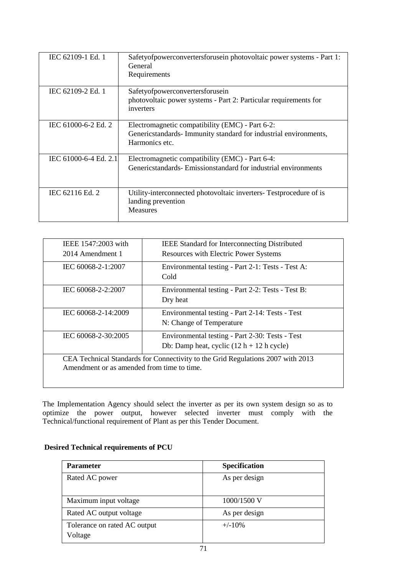| IEC 62109-1 Ed. 1     | Safetyofpowerconvertersforusein photovoltaic power systems - Part 1:<br>General<br>Requirements                                       |
|-----------------------|---------------------------------------------------------------------------------------------------------------------------------------|
| IEC 62109-2 Ed. 1     | Safetyofpowerconvertersforusein<br>photovoltaic power systems - Part 2: Particular requirements for<br>inverters                      |
| IEC 61000-6-2 Ed. 2   | Electromagnetic compatibility (EMC) - Part 6-2:<br>Genericstandards- Immunity standard for industrial environments,<br>Harmonics etc. |
| IEC 61000-6-4 Ed. 2.1 | Electromagnetic compatibility (EMC) - Part 6-4:<br>Genericstandards-Emissionstandard for industrial environments                      |
| IEC 62116 Ed. 2       | Utility-interconnected photovoltaic inverters- Testprocedure of is<br>landing prevention<br><b>Measures</b>                           |

| IEEE 1547:2003 with<br>2014 Amendment 1    | <b>IEEE Standard for Interconnecting Distributed</b><br><b>Resources with Electric Power Systems</b> |
|--------------------------------------------|------------------------------------------------------------------------------------------------------|
| IEC 60068-2-1:2007                         | Environmental testing - Part 2-1: Tests - Test A:<br>Cold                                            |
| IEC 60068-2-2:2007                         | Environmental testing - Part 2-2: Tests - Test B:<br>Dry heat                                        |
| IEC 60068-2-14:2009                        | Environmental testing - Part 2-14: Tests - Test<br>N: Change of Temperature                          |
| IEC 60068-2-30:2005                        | Environmental testing - Part 2-30: Tests - Test<br>Db: Damp heat, cyclic $(12 h + 12 h$ cycle)       |
| Amendment or as amended from time to time. | CEA Technical Standards for Connectivity to the Grid Regulations 2007 with 2013                      |

The Implementation Agency should select the inverter as per its own system design so as to optimize the power output, however selected inverter must comply with the Technical/functional requirement of Plant as per this Tender Document.

|  |  | <b>Desired Technical requirements of PCU</b> |  |
|--|--|----------------------------------------------|--|
|--|--|----------------------------------------------|--|

| <b>Parameter</b>             | <b>Specification</b> |
|------------------------------|----------------------|
| Rated AC power               | As per design        |
|                              |                      |
| Maximum input voltage        | $1000/1500$ V        |
| Rated AC output voltage      | As per design        |
| Tolerance on rated AC output | $+/-10%$             |
| Voltage                      |                      |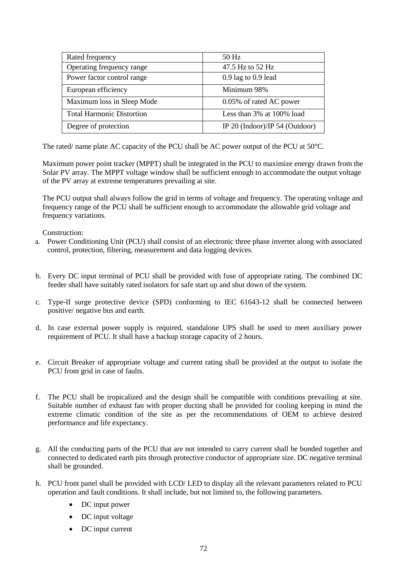| Rated frequency                  | $50$ Hz                        |
|----------------------------------|--------------------------------|
| Operating frequency range        | 47.5 Hz to 52 Hz               |
| Power factor control range       | $0.9$ lag to $0.9$ lead        |
| European efficiency              | Minimum 98%                    |
| Maximum loss in Sleep Mode       | 0.05% of rated AC power        |
| <b>Total Harmonic Distortion</b> | Less than 3% at 100% load      |
| Degree of protection             | IP 20 (Indoor)/IP 54 (Outdoor) |

The rated/ name plate AC capacity of the PCU shall be AC power output of the PCU at 50°C.

Maximum power point tracker (MPPT) shall be integrated in the PCU to maximize energy drawn from the Solar PV array. The MPPT voltage window shall be sufficient enough to accommodate the output voltage of the PV array at extreme temperatures prevailing at site.

The PCU output shall always follow the grid in terms of voltage and frequency. The operating voltage and frequency range of the PCU shall be sufficient enough to accommodate the allowable grid voltage and frequency variations.

Construction:

- a. Power Conditioning Unit (PCU) shall consist of an electronic three phase inverter along with associated control, protection, filtering, measurement and data logging devices.
- b. Every DC input terminal of PCU shall be provided with fuse of appropriate rating. The combined DC feeder shall have suitably rated isolators for safe start up and shut down of the system.
- c. Type-II surge protective device (SPD) conforming to IEC 61643-12 shall be connected between positive/ negative bus and earth.
- d. In case external power supply is required, standalone UPS shall be used to meet auxiliary power requirement of PCU. It shall have a backup storage capacity of 2 hours.
- e. Circuit Breaker of appropriate voltage and current rating shall be provided at the output to isolate the PCU from grid in case of faults.
- f. The PCU shall be tropicalized and the design shall be compatible with conditions prevailing at site. Suitable number of exhaust fan with proper ducting shall be provided for cooling keeping in mind the extreme climatic condition of the site as per the recommendations of OEM to achieve desired performance and life expectancy.
- g. All the conducting parts of the PCU that are not intended to carry current shall be bonded together and connected to dedicated earth pits through protective conductor of appropriate size. DC negative terminal shall be grounded.
- h. PCU front panel shall be provided with LCD/ LED to display all the relevant parameters related to PCU operation and fault conditions. It shall include, but not limited to, the following parameters.
	- DC input power
	- DC input voltage
	- DC input current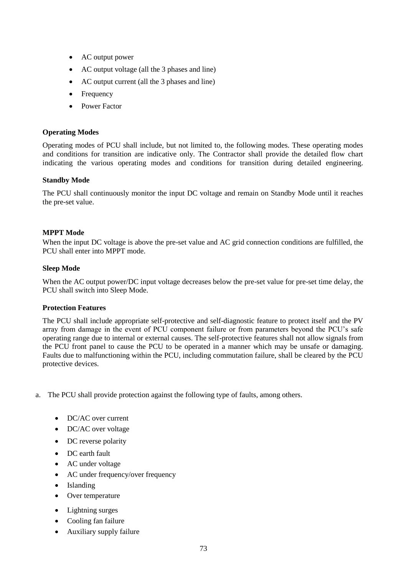- AC output power
- AC output voltage (all the 3 phases and line)
- AC output current (all the 3 phases and line)
- Frequency
- Power Factor

## **Operating Modes**

Operating modes of PCU shall include, but not limited to, the following modes. These operating modes and conditions for transition are indicative only. The Contractor shall provide the detailed flow chart indicating the various operating modes and conditions for transition during detailed engineering.

## **Standby Mode**

The PCU shall continuously monitor the input DC voltage and remain on Standby Mode until it reaches the pre-set value.

## **MPPT Mode**

When the input DC voltage is above the pre-set value and AC grid connection conditions are fulfilled, the PCU shall enter into MPPT mode.

## **Sleep Mode**

When the AC output power/DC input voltage decreases below the pre-set value for pre-set time delay, the PCU shall switch into Sleep Mode.

## **Protection Features**

The PCU shall include appropriate self-protective and self-diagnostic feature to protect itself and the PV array from damage in the event of PCU component failure or from parameters beyond the PCU's safe operating range due to internal or external causes. The self-protective features shall not allow signals from the PCU front panel to cause the PCU to be operated in a manner which may be unsafe or damaging. Faults due to malfunctioning within the PCU, including commutation failure, shall be cleared by the PCU protective devices.

- a. The PCU shall provide protection against the following type of faults, among others.
	- DC/AC over current
	- DC/AC over voltage
	- DC reverse polarity
	- DC earth fault
	- AC under voltage
	- AC under frequency/over frequency
	- Islanding
	- Over temperature
	- Lightning surges
	- Cooling fan failure
	- Auxiliary supply failure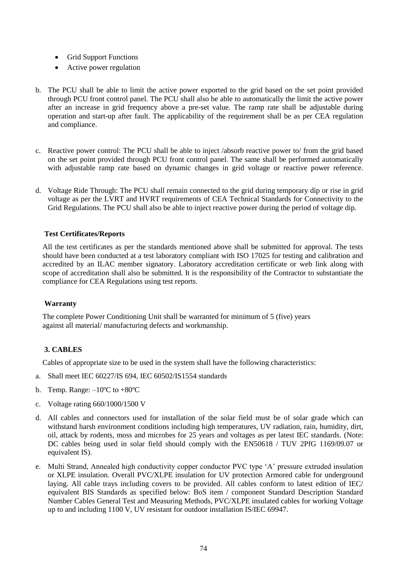- Grid Support Functions
- Active power regulation
- b. The PCU shall be able to limit the active power exported to the grid based on the set point provided through PCU front control panel. The PCU shall also be able to automatically the limit the active power after an increase in grid frequency above a pre-set value. The ramp rate shall be adjustable during operation and start-up after fault. The applicability of the requirement shall be as per CEA regulation and compliance.
- c. Reactive power control: The PCU shall be able to inject /absorb reactive power to/ from the grid based on the set point provided through PCU front control panel. The same shall be performed automatically with adjustable ramp rate based on dynamic changes in grid voltage or reactive power reference.
- d. Voltage Ride Through: The PCU shall remain connected to the grid during temporary dip or rise in grid voltage as per the LVRT and HVRT requirements of CEA Technical Standards for Connectivity to the Grid Regulations. The PCU shall also be able to inject reactive power during the period of voltage dip.

# **Test Certificates/Reports**

All the test certificates as per the standards mentioned above shall be submitted for approval. The tests should have been conducted at a test laboratory compliant with ISO 17025 for testing and calibration and accredited by an ILAC member signatory. Laboratory accreditation certificate or web link along with scope of accreditation shall also be submitted. It is the responsibility of the Contractor to substantiate the compliance for CEA Regulations using test reports.

## **Warranty**

The complete Power Conditioning Unit shall be warranted for minimum of 5 (five) years against all material/ manufacturing defects and workmanship.

# **3. CABLES**

Cables of appropriate size to be used in the system shall have the following characteristics:

- a. Shall meet IEC 60227/IS 694, IEC 60502/IS1554 standards
- b. Temp. Range:  $-10^{\circ}$ C to  $+80^{\circ}$ C
- c. Voltage rating 660/1000/1500 V
- d. All cables and connectors used for installation of the solar field must be of solar grade which can withstand harsh environment conditions including high temperatures, UV radiation, rain, humidity, dirt, oil, attack by rodents, moss and microbes for 25 years and voltages as per latest IEC standards. (Note: DC cables being used in solar field should comply with the EN50618 / TUV 2PfG 1169/09.07 or equivalent IS).
- e. Multi Strand, Annealed high conductivity copper conductor PVC type 'A' pressure extruded insulation or XLPE insulation. Overall PVC/XLPE insulation for UV protection Armored cable for underground laying. All cable trays including covers to be provided. All cables conform to latest edition of IEC/ equivalent BIS Standards as specified below: BoS item / component Standard Description Standard Number Cables General Test and Measuring Methods, PVC/XLPE insulated cables for working Voltage up to and including 1100 V, UV resistant for outdoor installation IS/IEC 69947.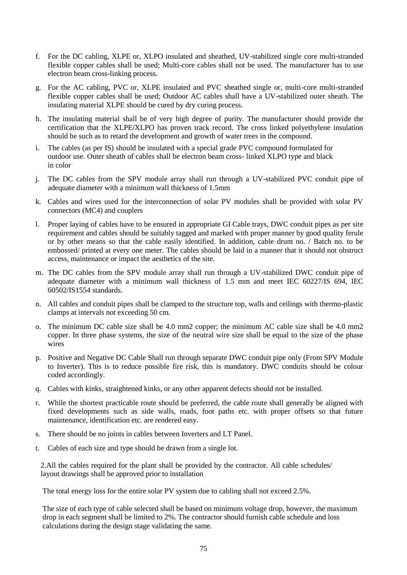- f. For the DC cabling, XLPE or, XLPO insulated and sheathed, UV-stabilized single core multi-stranded flexible copper cables shall be used; Multi-core cables shall not be used. The manufacturer has to use electron beam cross-linking process.
- g. For the AC cabling, PVC or, XLPE insulated and PVC sheathed single or, multi-core multi-stranded flexible copper cables shall be used; Outdoor AC cables shall have a UV-stabilized outer sheath. The insulating material XLPE should be cured by dry curing process.
- h. The insulating material shall be of very high degree of purity. The manufacturer should provide the certification that the XLPE/XLPO has proven track record. The cross linked polyethylene insulation should be such as to retard the development and growth of water trees in the compound.
- i. The cables (as per IS) should be insulated with a special grade PVC compound formulated for outdoor use. Outer sheath of cables shall be electron beam cross- linked XLPO type and black in color
- j. The DC cables from the SPV module array shall run through a UV-stabilized PVC conduit pipe of adequate diameter with a minimum wall thickness of 1.5mm
- k. Cables and wires used for the interconnection of solar PV modules shall be provided with solar PV connectors (MC4) and couplers
- l. Proper laying of cables have to be ensured in appropriate GI Cable trays, DWC conduit pipes as per site requirement and cables should be suitably tagged and marked with proper manner by good quality ferule or by other means so that the cable easily identified. In addition, cable drum no. / Batch no. to be embossed/ printed at every one meter. The cables should be laid in a manner that it should not obstruct access, maintenance or impact the aesthetics of the site.
- m. The DC cables from the SPV module array shall run through a UV-stabilized DWC conduit pipe of adequate diameter with a minimum wall thickness of 1.5 mm and meet IEC 60227/IS 694, IEC 60502/IS1554 standards.
- n. All cables and conduit pipes shall be clamped to the structure top, walls and ceilings with thermo-plastic clamps at intervals not exceeding 50 cm.
- o. The minimum DC cable size shall be 4.0 mm2 copper; the minimum AC cable size shall be 4.0 mm2 copper. In three phase systems, the size of the neutral wire size shall be equal to the size of the phase wires
- p. Positive and Negative DC Cable Shall run through separate DWC conduit pipe only (From SPV Module to Inverter). This is to reduce possible fire risk, this is mandatory. DWC conduits should be colour coded accordingly.
- q. Cables with kinks, straightened kinks, or any other apparent defects should not be installed.
- r. While the shortest practicable route should be preferred, the cable route shall generally be aligned with fixed developments such as side walls, roads, foot paths etc. with proper offsets so that future maintenance, identification etc. are rendered easy.
- s. There should be no joints in cables between Inverters and LT Panel.
- t. Cables of each size and type should be drawn from a single lot.

2.All the cables required for the plant shall be provided by the contractor. All cable schedules/ layout drawings shall be approved prior to installation

The total energy loss for the entire solar PV system due to cabling shall not exceed 2.5%.

The size of each type of cable selected shall be based on minimum voltage drop, however, the maximum drop in each segment shall be limited to 2%. The contractor should furnish cable schedule and loss calculations during the design stage validating the same.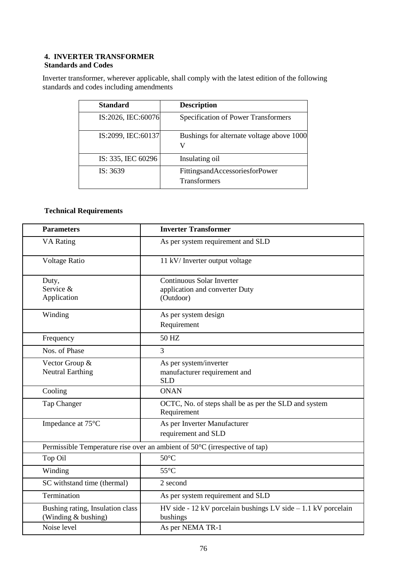### **4. INVERTER TRANSFORMER Standards and Codes**

Inverter transformer, wherever applicable, shall comply with the latest edition of the following standards and codes including amendments

| <b>Standard</b>    | <b>Description</b>                                    |
|--------------------|-------------------------------------------------------|
| IS:2026, IEC:60076 | <b>Specification of Power Transformers</b>            |
| IS:2099, IEC:60137 | Bushings for alternate voltage above 1000<br>V        |
| IS: 335, IEC 60296 | Insulating oil                                        |
| IS: 3639           | FittingsandAccessoriesforPower<br><b>Transformers</b> |

# **Technical Requirements**

| <b>Parameters</b>                                       | <b>Inverter Transformer</b>                                                    |
|---------------------------------------------------------|--------------------------------------------------------------------------------|
| <b>VA Rating</b>                                        | As per system requirement and SLD                                              |
| <b>Voltage Ratio</b>                                    | 11 kV/ Inverter output voltage                                                 |
| Duty,<br>Service &<br>Application                       | Continuous Solar Inverter<br>application and converter Duty<br>(Outdoor)       |
| Winding                                                 | As per system design<br>Requirement                                            |
| Frequency                                               | 50 HZ                                                                          |
| Nos. of Phase                                           | $\overline{3}$                                                                 |
| Vector Group &<br><b>Neutral Earthing</b>               | As per system/inverter<br>manufacturer requirement and<br><b>SLD</b>           |
| Cooling                                                 | <b>ONAN</b>                                                                    |
| Tap Changer                                             | OCTC, No. of steps shall be as per the SLD and system<br>Requirement           |
| Impedance at 75°C                                       | As per Inverter Manufacturer<br>requirement and SLD                            |
|                                                         | Permissible Temperature rise over an ambient of 50°C (irrespective of tap)     |
| Top Oil                                                 | $50^{\circ}$ C                                                                 |
| Winding                                                 | $55^{\circ}$ C                                                                 |
| SC withstand time (thermal)                             | 2 second                                                                       |
| Termination                                             | As per system requirement and SLD                                              |
| Bushing rating, Insulation class<br>(Winding & bushing) | $HV$ side - 12 kV porcelain bushings $LV$ side $-1.1$ kV porcelain<br>bushings |
| Noise level                                             | As per NEMA TR-1                                                               |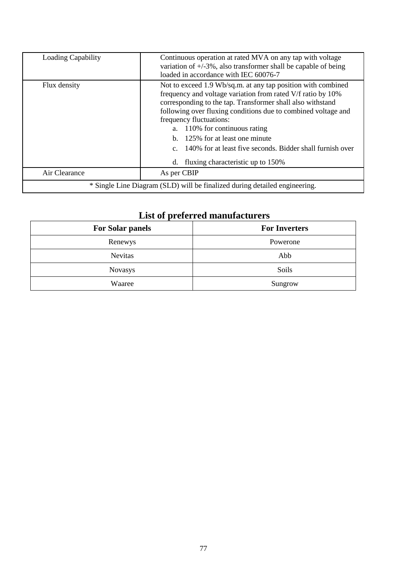| <b>Loading Capability</b>                                                  | Continuous operation at rated MVA on any tap with voltage<br>variation of $+/-3\%$ , also transformer shall be capable of being<br>loaded in accordance with IEC 60076-7                                                                                                                                                                                                                                                                                             |
|----------------------------------------------------------------------------|----------------------------------------------------------------------------------------------------------------------------------------------------------------------------------------------------------------------------------------------------------------------------------------------------------------------------------------------------------------------------------------------------------------------------------------------------------------------|
| Flux density                                                               | Not to exceed 1.9 Wb/sq.m. at any tap position with combined<br>frequency and voltage variation from rated V/f ratio by 10%<br>corresponding to the tap. Transformer shall also withstand<br>following over fluxing conditions due to combined voltage and<br>frequency fluctuations:<br>a. 110% for continuous rating<br>b. 125% for at least one minute<br>c. 140% for at least five seconds. Bidder shall furnish over<br>fluxing characteristic up to 150%<br>d. |
| Air Clearance                                                              | As per CBIP                                                                                                                                                                                                                                                                                                                                                                                                                                                          |
| * Single Line Diagram (SLD) will be finalized during detailed engineering. |                                                                                                                                                                                                                                                                                                                                                                                                                                                                      |

# **List of preferred manufacturers**

| <b>For Solar panels</b> | <b>For Inverters</b> |  |  |  |
|-------------------------|----------------------|--|--|--|
| Renewys                 | Powerone             |  |  |  |
| <b>Nevitas</b>          | Abb                  |  |  |  |
| <b>Novasys</b>          | Soils                |  |  |  |
| Waaree                  | Sungrow              |  |  |  |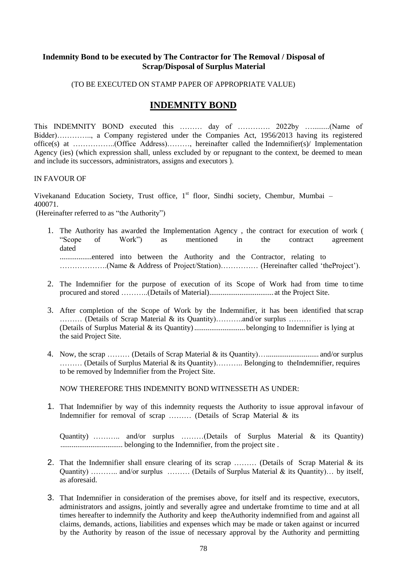# **Indemnity Bond to be executed by The Contractor for The Removal / Disposal of Scrap/Disposal of Surplus Material**

## (TO BE EXECUTED ON STAMP PAPER OF APPROPRIATE VALUE)

# **INDEMNITY BOND**

This INDEMNITY BOND executed this ……… day of …………. 2022by ….........(Name of Bidder)………….., a Company registered under the Companies Act, 1956/2013 having its registered office(s) at ……………..(Office Address)………, hereinafter called the Indemnifier(s)/ Implementation Agency (ies) (which expression shall, unless excluded by or repugnant to the context, be deemed to mean and include its successors, administrators, assigns and executors ).

### IN FAVOUR OF

Vivekanand Education Society, Trust office, 1<sup>st</sup> floor, Sindhi society, Chembur, Mumbai – 400071.

(Hereinafter referred to as "the Authority")

- 1. The Authority has awarded the Implementation Agency , the contract for execution of work ( "Scope of Work") as mentioned in the contract agreement dated .................entered into between the Authority and the Contractor, relating to ……………….(Name & Address of Project/Station)…………… (Hereinafter called 'theProject').
- 2. The Indemnifier for the purpose of execution of its Scope of Work had from time to time procured and stored ………..(Details of Material).................................. at the Project Site.
- 3. After completion of the Scope of Work by the Indemnifier, it has been identified that scrap ……… (Details of Scrap Material & its Quantity)………..and/or surplus ……… (Details of Surplus Material & its Quantity)........................... belonging to Indemnifier is lying at the said Project Site.
- 4. Now, the scrap ……… (Details of Scrap Material & its Quantity)…............................ and/or surplus ……… (Details of Surplus Material & its Quantity)……….. Belonging to theIndemnifier, requires to be removed by Indemnifier from the Project Site.

NOW THEREFORE THIS INDEMNITY BOND WITNESSETH AS UNDER:

1. That Indemnifier by way of this indemnity requests the Authority to issue approval infavour of Indemnifier for removal of scrap ……… (Details of Scrap Material & its

Quantity) ……….. and/or surplus ………(Details of Surplus Material & its Quantity) ................................. belonging to the Indemnifier, from the project site .

- 2. That the Indemnifier shall ensure clearing of its scrap ........ (Details of Scrap Material & its Quantity) ……….. and/or surplus ……… (Details of Surplus Material & its Quantity)… by itself, as aforesaid.
- 3. That Indemnifier in consideration of the premises above, for itself and its respective, executors, administrators and assigns, jointly and severally agree and undertake fromtime to time and at all times hereafter to indemnify the Authority and keep theAuthority indemnified from and against all claims, demands, actions, liabilities and expenses which may be made or taken against or incurred by the Authority by reason of the issue of necessary approval by the Authority and permitting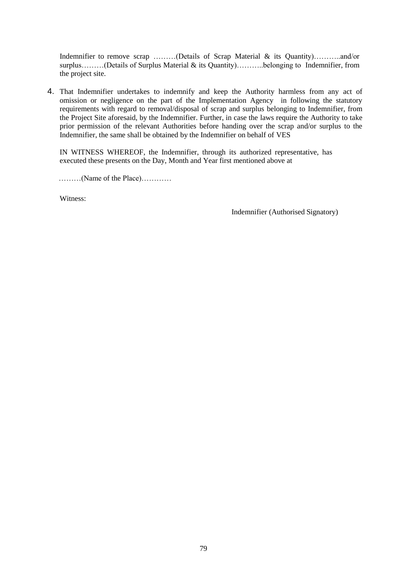Indemnifier to remove scrap ………(Details of Scrap Material & its Quantity)………..and/or surplus………(Details of Surplus Material & its Quantity)………..belonging to Indemnifier, from the project site.

4. That Indemnifier undertakes to indemnify and keep the Authority harmless from any act of omission or negligence on the part of the Implementation Agency in following the statutory requirements with regard to removal/disposal of scrap and surplus belonging to Indemnifier, from the Project Site aforesaid, by the Indemnifier. Further, in case the laws require the Authority to take prior permission of the relevant Authorities before handing over the scrap and/or surplus to the Indemnifier, the same shall be obtained by the Indemnifier on behalf of VES

IN WITNESS WHEREOF, the Indemnifier, through its authorized representative, has executed these presents on the Day, Month and Year first mentioned above at

………(Name of the Place)…………

Witness:

Indemnifier (Authorised Signatory)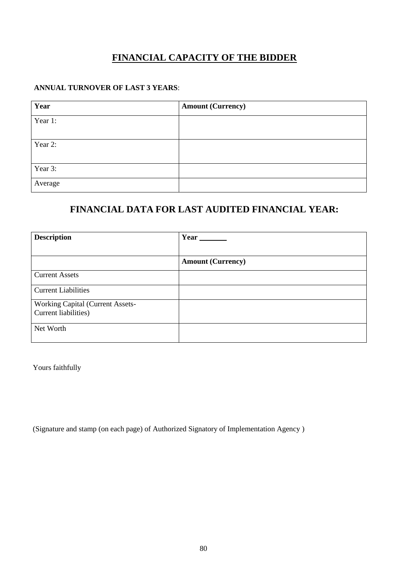# **FINANCIAL CAPACITY OF THE BIDDER**

# **ANNUAL TURNOVER OF LAST 3 YEARS**:

| Year    | <b>Amount (Currency)</b> |
|---------|--------------------------|
| Year 1: |                          |
|         |                          |
| Year 2: |                          |
|         |                          |
| Year 3: |                          |
| Average |                          |

# **FINANCIAL DATA FOR LAST AUDITED FINANCIAL YEAR:**

| <b>Description</b>               | Year                     |
|----------------------------------|--------------------------|
|                                  |                          |
|                                  | <b>Amount (Currency)</b> |
| <b>Current Assets</b>            |                          |
| <b>Current Liabilities</b>       |                          |
| Working Capital (Current Assets- |                          |
| Current liabilities)             |                          |
| Net Worth                        |                          |

Yours faithfully

(Signature and stamp (on each page) of Authorized Signatory of Implementation Agency )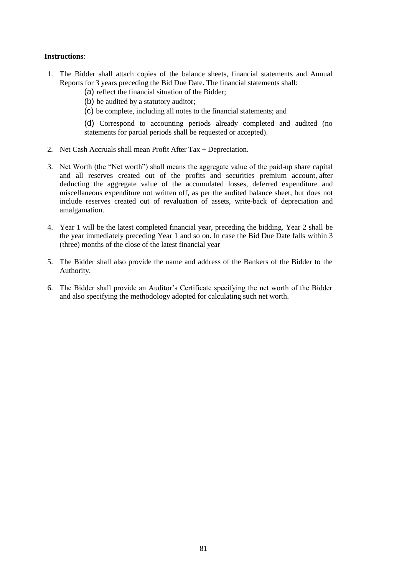## **Instructions**:

- 1. The Bidder shall attach copies of the balance sheets, financial statements and Annual Reports for 3 years preceding the Bid Due Date. The financial statements shall:
	- (a) reflect the financial situation of the Bidder;
	- (b) be audited by a statutory auditor;
	- (c) be complete, including all notes to the financial statements; and

(d) Correspond to accounting periods already completed and audited (no statements for partial periods shall be requested or accepted).

- 2. Net Cash Accruals shall mean Profit After Tax + Depreciation.
- 3. Net Worth (the "Net worth") shall means the aggregate value of the paid-up share capital and all reserves created out of the profits and securities premium account, after deducting the aggregate value of the accumulated losses, deferred expenditure and miscellaneous expenditure not written off, as per the audited balance sheet, but does not include reserves created out of revaluation of assets, write-back of depreciation and amalgamation.
- 4. Year 1 will be the latest completed financial year, preceding the bidding. Year 2 shall be the year immediately preceding Year 1 and so on. In case the Bid Due Date falls within 3 (three) months of the close of the latest financial year
- 5. The Bidder shall also provide the name and address of the Bankers of the Bidder to the Authority.
- 6. The Bidder shall provide an Auditor's Certificate specifying the net worth of the Bidder and also specifying the methodology adopted for calculating such net worth.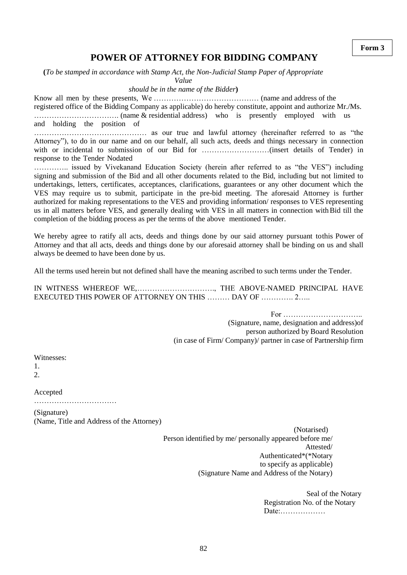# **POWER OF ATTORNEY FOR BIDDING COMPANY**

**(***To be stamped in accordance with Stamp Act, the Non-Judicial Stamp Paper of Appropriate*

*Value*

*should be in the name of the Bidder***)**

Know all men by these presents, We …………………………………… (name and address of the registered office of the Bidding Company as applicable) do hereby constitute, appoint and authorize Mr./Ms. ……………………………. (name & residential address) who is presently employed with us and holding the position of

……………………………………… as our true and lawful attorney (hereinafter referred to as "the Attorney"), to do in our name and on our behalf, all such acts, deeds and things necessary in connection with or incidental to submission of our Bid for ………………………(insert details of Tender) in response to the Tender Nodated

………….. issued by Vivekanand Education Society (herein after referred to as "the VES") including signing and submission of the Bid and all other documents related to the Bid, including but not limited to undertakings, letters, certificates, acceptances, clarifications, guarantees or any other document which the VES may require us to submit, participate in the pre-bid meeting. The aforesaid Attorney is further authorized for making representations to the VES and providing information/ responses to VES representing us in all matters before VES, and generally dealing with VES in all matters in connection withBid till the completion of the bidding process as per the terms of the above mentioned Tender.

We hereby agree to ratify all acts, deeds and things done by our said attorney pursuant tothis Power of Attorney and that all acts, deeds and things done by our aforesaid attorney shall be binding on us and shall always be deemed to have been done by us.

All the terms used herein but not defined shall have the meaning ascribed to such terms under the Tender.

IN WITNESS WHEREOF WE,…………………………., THE ABOVE-NAMED PRINCIPAL HAVE EXECUTED THIS POWER OF ATTORNEY ON THIS ……… DAY OF …………. 2…..

> For ………………………….. (Signature, name, designation and address)of person authorized by Board Resolution (in case of Firm/ Company)/ partner in case of Partnership firm

Witnesses:

1.

2.

Accepted

……………………………

(Signature) (Name, Title and Address of the Attorney)

> (Notarised) Person identified by me/ personally appeared before me/ Attested/ Authenticated\*(\*Notary to specify as applicable) (Signature Name and Address of the Notary)

> > Seal of the Notary Registration No. of the Notary Date:………………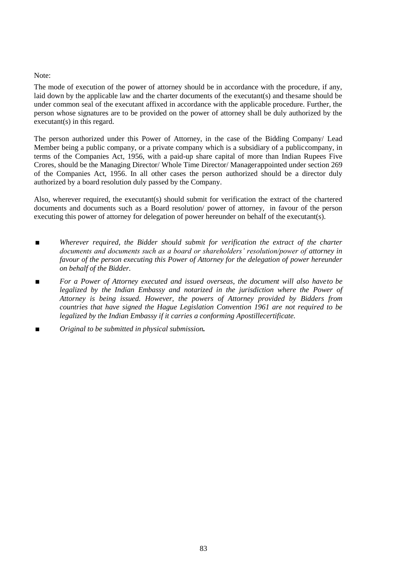### Note:

The mode of execution of the power of attorney should be in accordance with the procedure, if any, laid down by the applicable law and the charter documents of the executant(s) and thesame should be under common seal of the executant affixed in accordance with the applicable procedure. Further, the person whose signatures are to be provided on the power of attorney shall be duly authorized by the executant(s) in this regard.

The person authorized under this Power of Attorney, in the case of the Bidding Company/ Lead Member being a public company, or a private company which is a subsidiary of a publiccompany, in terms of the Companies Act, 1956, with a paid-up share capital of more than Indian Rupees Five Crores, should be the Managing Director/ Whole Time Director/ Managerappointed under section 269 of the Companies Act, 1956. In all other cases the person authorized should be a director duly authorized by a board resolution duly passed by the Company.

Also, wherever required, the executant(s) should submit for verification the extract of the chartered documents and documents such as a Board resolution/ power of attorney, in favour of the person executing this power of attorney for delegation of power hereunder on behalf of the executant(s).

- *■ Wherever required, the Bidder should submit for verification the extract of the charter documents and documents such as a board or shareholders' resolution/power of attorney in favour of the person executing this Power of Attorney for the delegation of power hereunder on behalf of the Bidder.*
- *■ For a Power of Attorney executed and issued overseas, the document will also haveto be legalized by the Indian Embassy and notarized in the jurisdiction where the Power of Attorney is being issued. However, the powers of Attorney provided by Bidders from countries that have signed the Hague Legislation Convention 1961 are not required to be legalized by the Indian Embassy if it carries a conforming Apostillecertificate.*
- *■ Original to be submitted in physical submission.*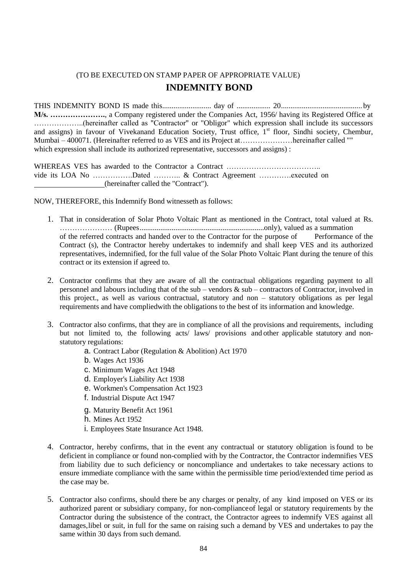# (TO BE EXECUTED ON STAMP PAPER OF APPROPRIATE VALUE) **INDEMNITY BOND**

THIS INDEMNITY BOND IS made this.......................... day of .................. 20........................................... by **M/s. ………………….**, a Company registered under the Companies Act, 1956/ having its Registered Office at ………………..(hereinafter called as "Contractor" or "Obligor" which expression shall include its successors and assigns) in favour of Vivekanand Education Society, Trust office, 1<sup>st</sup> floor, Sindhi society, Chembur, Mumbai – 400071. (Hereinafter referred to as VES and its Project at…………………hereinafter called "" which expression shall include its authorized representative, successors and assigns) :

WHEREAS VES has awarded to the Contractor a Contract ………………………………………………………………………… vide its LOA No …………….Dated ……….. & Contract Agreement ………….executed on (hereinafter called the "Contract").

NOW, THEREFORE, this Indemnify Bond witnesseth as follows:

- 1. That in consideration of Solar Photo Voltaic Plant as mentioned in the Contract, total valued at Rs. ………………… (Rupees..................................................................only), valued as a summation of the referred contracts and handed over to the Contractor for the purpose of Performance of the Contract (s), the Contractor hereby undertakes to indemnify and shall keep VES and its authorized representatives, indemnified, for the full value of the Solar Photo Voltaic Plant during the tenure of this contract or its extension if agreed to.
- 2. Contractor confirms that they are aware of all the contractual obligations regarding payment to all personnel and labours including that of the sub – vendors & sub – contractors of Contractor, involved in this project., as well as various contractual, statutory and non – statutory obligations as per legal requirements and have compliedwith the obligations to the best of its information and knowledge.
- 3. Contractor also confirms, that they are in compliance of all the provisions and requirements, including but not limited to, the following acts/ laws/ provisions and other applicable statutory and nonstatutory regulations:
	- a. Contract Labor (Regulation & Abolition) Act 1970
	- b. Wages Act 1936
	- c. Minimum Wages Act 1948
	- d. Employer's Liability Act 1938
	- e. Workmen's Compensation Act 1923
	- f. Industrial Dispute Act 1947
	- g. Maturity Benefit Act 1961
	- h. Mines Act 1952
	- i. Employees State Insurance Act 1948.
- 4. Contractor, hereby confirms, that in the event any contractual or statutory obligation isfound to be deficient in compliance or found non-complied with by the Contractor, the Contractor indemnifies VES from liability due to such deficiency or noncompliance and undertakes to take necessary actions to ensure immediate compliance with the same within the permissible time period/extended time period as the case may be.
- 5. Contractor also confirms, should there be any charges or penalty, of any kind imposed on VES or its authorized parent or subsidiary company, for non-complianceof legal or statutory requirements by the Contractor during the subsistence of the contract, the Contractor agrees to indemnify VES against all damages,libel or suit, in full for the same on raising such a demand by VES and undertakes to pay the same within 30 days from such demand.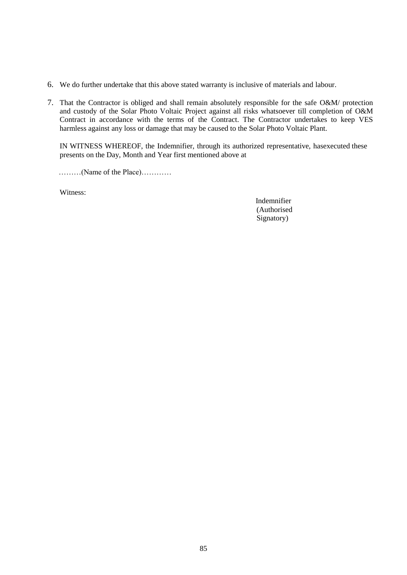- 6. We do further undertake that this above stated warranty is inclusive of materials and labour.
- 7. That the Contractor is obliged and shall remain absolutely responsible for the safe O&M/ protection and custody of the Solar Photo Voltaic Project against all risks whatsoever till completion of O&M Contract in accordance with the terms of the Contract. The Contractor undertakes to keep VES harmless against any loss or damage that may be caused to the Solar Photo Voltaic Plant.

IN WITNESS WHEREOF, the Indemnifier, through its authorized representative, hasexecuted these presents on the Day, Month and Year first mentioned above at

………(Name of the Place)…………

Witness:

Indemnifier (Authorised Signatory)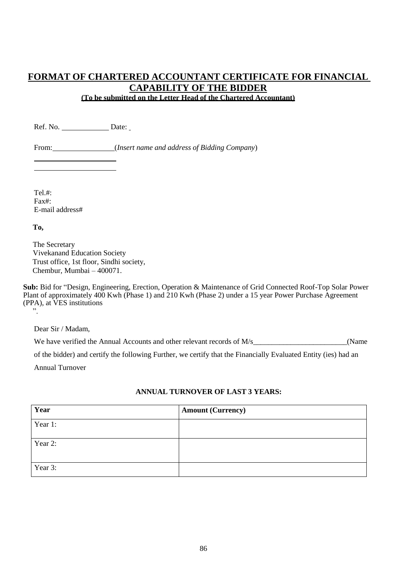# **FORMAT OF CHARTERED ACCOUNTANT CERTIFICATE FOR FINANCIAL CAPABILITY OF THE BIDDER (To be submitted on the Letter Head of the Chartered Accountant)**

Ref. No. Date:

From: (*Insert name and address of Bidding Company*)

Tel.# $\cdot$ Fax#: E-mail address#

**To,**

The Secretary Vivekanand Education Society Trust office, 1st floor, Sindhi society, Chembur, Mumbai – 400071.

**Sub:** Bid for "Design, Engineering, Erection, Operation & Maintenance of Grid Connected Roof-Top Solar Power Plant of approximately 400 Kwh (Phase 1) and 210 Kwh (Phase 2) under a 15 year Power Purchase Agreement (PPA), at VES institutions ".

Dear Sir / Madam,

We have verified the Annual Accounts and other relevant records of M/s (Name

of the bidder) and certify the following Further, we certify that the Financially Evaluated Entity (ies) had an

Annual Turnover

# **ANNUAL TURNOVER OF LAST 3 YEARS:**

| Year    | <b>Amount (Currency)</b> |
|---------|--------------------------|
| Year 1: |                          |
| Year 2: |                          |
| Year 3: |                          |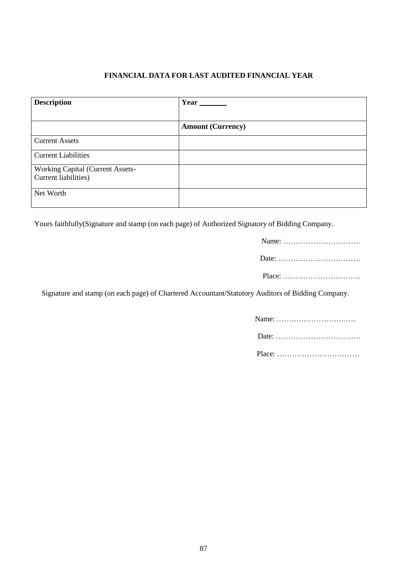# **FINANCIAL DATA FOR LAST AUDITED FINANCIAL YEAR**

| <b>Description</b>               | Year                     |
|----------------------------------|--------------------------|
|                                  |                          |
|                                  | <b>Amount (Currency)</b> |
| <b>Current Assets</b>            |                          |
| <b>Current Liabilities</b>       |                          |
| Working Capital (Current Assets- |                          |
| Current liabilities)             |                          |
| Net Worth                        |                          |
|                                  |                          |

Yours faithfully(Signature and stamp (on each page) of Authorized Signatory of Bidding Company.

| $Place: \ldots \ldots \ldots \ldots \ldots \ldots \ldots \ldots \ldots$ |
|-------------------------------------------------------------------------|

Signature and stamp (on each page) of Chartered Accountant/Statutory Auditors of Bidding Company.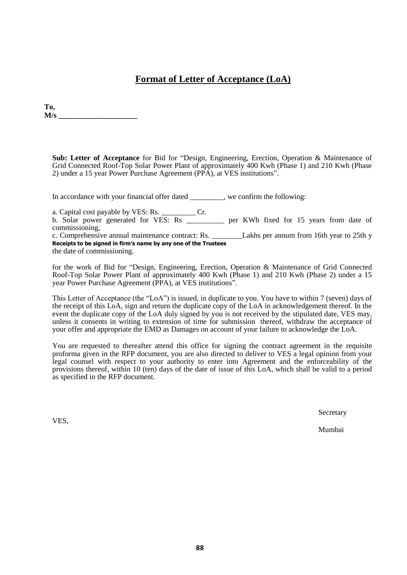# **Format of Letter of Acceptance (LoA)**

**To,**  $M/s$ 

**Sub: Letter of Acceptance** for Bid for "Design, Engineering, Erection, Operation & Maintenance of Grid Connected Roof-Top Solar Power Plant of approximately 400 Kwh (Phase 1) and 210 Kwh (Phase 2) under a 15 year Power Purchase Agreement (PPA), at VES institutions".

In accordance with your financial offer dated \_\_\_\_\_\_\_\_, we confirm the following:

a. Capital cost payable by VES: Rs. \_\_\_\_\_\_\_\_\_ Cr.

b. Solar power generated for VES: Rs \_\_\_\_\_\_\_\_\_\_ per KWh fixed for 15 years from date of commissioning,<br>c. Comprehensive annual maintenance contract: Rs.

Lakhs per annum from 16th year to 25th y **Receipts to be signed in firm's name by any one of the Trustees**

the date of commissioning.

for the work of Bid for "Design, Engineering, Erection, Operation & Maintenance of Grid Connected Roof-Top Solar Power Plant of approximately 400 Kwh (Phase 1) and 210 Kwh (Phase 2) under a 15 year Power Purchase Agreement (PPA), at VES institutions".

This Letter of Acceptance (the "LoA") is issued, in duplicate to you. You have to within 7 (seven) days of the receipt of this LoA, sign and return the duplicate copy of the LoA in acknowledgement thereof. In the event the duplicate copy of the LoA duly signed by you is not received by the stipulated date, VES may, unless it consents in writing to extension of time for submission thereof, withdraw the acceptance of your offer and appropriate the EMD as Damages on account of your failure to acknowledge the LoA.

You are requested to thereafter attend this office for signing the contract agreement in the requisite proforma given in the RFP document, you are also directed to deliver to VES a legal opinion from your legal counsel with respect to your authority to enter into Agreement and the enforceability of the provisions thereof, within 10 (ten) days of the date of issue of this LoA, which shall be valid to a period as specified in the RFP document.

**Secretary** 

Mumbai

VES,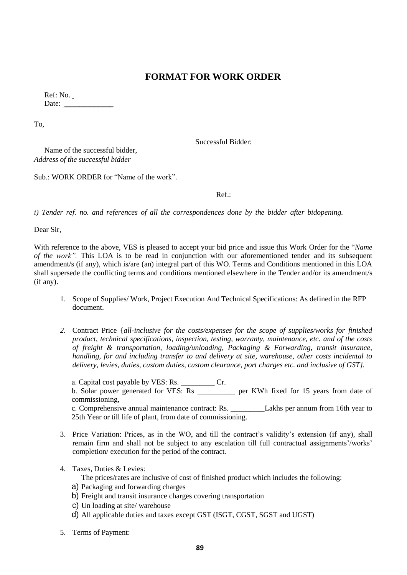# **FORMAT FOR WORK ORDER**

Ref: No. Date:  $\frac{1}{\sqrt{1-\frac{1}{2}}\cdot\frac{1}{\sqrt{1-\frac{1}{2}}}}$ 

To,

Successful Bidder:

Name of the successful bidder, *Address of the successful bidder*

Sub.: WORK ORDER for "Name of the work".

Ref.:

*i) Tender ref. no. and references of all the correspondences done by the bidder after bidopening.*

Dear Sir,

With reference to the above, VES is pleased to accept your bid price and issue this Work Order for the "*Name of the work".* This LOA is to be read in conjunction with our aforementioned tender and its subsequent amendment/s (if any), which is/are (an) integral part of this WO. Terms and Conditions mentioned in this LOA shall supersede the conflicting terms and conditions mentioned elsewhere in the Tender and/or its amendment/s (if any).

- 1. Scope of Supplies/ Work, Project Execution And Technical Specifications: As defined in the RFP document.
- *2.* Contract Price {*all-inclusive for the costs/expenses for the scope of supplies/works for finished product, technical specifications, inspection, testing, warranty, maintenance, etc. and of the costs of freight & transportation, loading/unloading, Packaging & Forwarding, transit insurance, handling, for and including transfer to and delivery at site, warehouse, other costs incidental to delivery, levies, duties, custom duties, custom clearance, port charges etc. and inclusive of GST}.*

a. Capital cost payable by VES: Rs. \_\_\_\_\_\_\_\_\_ Cr. b. Solar power generated for VES: Rs \_\_\_\_\_\_\_\_\_\_ per KWh fixed for 15 years from date of commissioning, c. Comprehensive annual maintenance contract: Rs. \_\_\_\_\_\_\_\_\_Lakhs per annum from 16th year to 25th Year or till life of plant, from date of commissioning.

- 3. Price Variation: Prices, as in the WO, and till the contract's validity's extension (if any), shall remain firm and shall not be subject to any escalation till full contractual assignments'/works' completion/ execution for the period of the contract.
- 4. Taxes, Duties & Levies:

The prices/rates are inclusive of cost of finished product which includes the following:

- a) Packaging and forwarding charges
- b) Freight and transit insurance charges covering transportation
- c) Un loading at site/ warehouse
- d) All applicable duties and taxes except GST (ISGT, CGST, SGST and UGST)
- 5. Terms of Payment: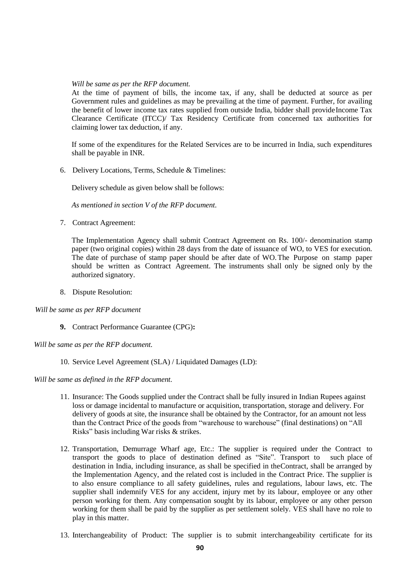### *Will be same as per the RFP document.*

At the time of payment of bills, the income tax, if any, shall be deducted at source as per Government rules and guidelines as may be prevailing at the time of payment. Further, for availing the benefit of lower income tax rates supplied from outside India, bidder shall provide Income Tax Clearance Certificate (ITCC)/ Tax Residency Certificate from concerned tax authorities for claiming lower tax deduction, if any.

If some of the expenditures for the Related Services are to be incurred in India, such expenditures shall be payable in INR.

6. Delivery Locations, Terms, Schedule & Timelines:

Delivery schedule as given below shall be follows:

*As mentioned in section V of the RFP document.*

7. Contract Agreement:

The Implementation Agency shall submit Contract Agreement on Rs. 100/- denomination stamp paper (two original copies) within 28 days from the date of issuance of WO, to VES for execution. The date of purchase of stamp paper should be after date of WO.The Purpose on stamp paper should be written as Contract Agreement. The instruments shall only be signed only by the authorized signatory.

8. Dispute Resolution:

### *Will be same as per RFP document*

- **9.** Contract Performance Guarantee (CPG)**:**
- *Will be same as per the RFP document.*
	- 10. Service Level Agreement (SLA) / Liquidated Damages (LD):

*Will be same as defined in the RFP document.*

- 11. Insurance: The Goods supplied under the Contract shall be fully insured in Indian Rupees against loss or damage incidental to manufacture or acquisition, transportation, storage and delivery. For delivery of goods at site, the insurance shall be obtained by the Contractor, for an amount not less than the Contract Price of the goods from "warehouse to warehouse" (final destinations) on "All Risks" basis including War risks & strikes.
- 12. Transportation, Demurrage Wharf age, Etc.: The supplier is required under the Contract to transport the goods to place of destination defined as "Site". Transport to such place of destination in India, including insurance, as shall be specified in theContract, shall be arranged by the Implementation Agency, and the related cost is included in the Contract Price. The supplier is to also ensure compliance to all safety guidelines, rules and regulations, labour laws, etc. The supplier shall indemnify VES for any accident, injury met by its labour, employee or any other person working for them. Any compensation sought by its labour, employee or any other person working for them shall be paid by the supplier as per settlement solely. VES shall have no role to play in this matter.
- 13. Interchangeability of Product: The supplier is to submit interchangeability certificate for its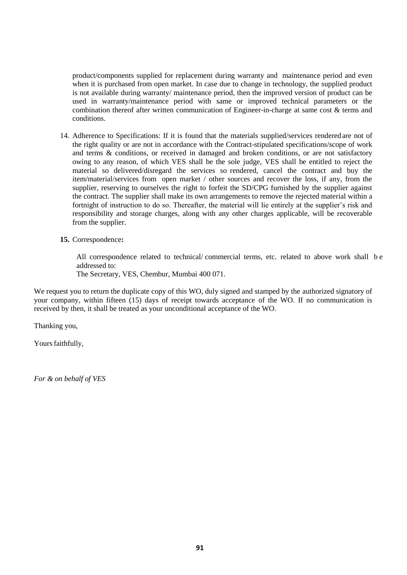product/components supplied for replacement during warranty and maintenance period and even when it is purchased from open market. In case due to change in technology, the supplied product is not available during warranty/ maintenance period, then the improved version of product can be used in warranty/maintenance period with same or improved technical parameters or the combination thereof after written communication of Engineer-in-charge at same cost & terms and conditions.

- 14. Adherence to Specifications: If it is found that the materials supplied/services renderedare not of the right quality or are not in accordance with the Contract-stipulated specifications/scope of work and terms & conditions, or received in damaged and broken conditions, or are not satisfactory owing to any reason, of which VES shall be the sole judge, VES shall be entitled to reject the material so delivered/disregard the services so rendered, cancel the contract and buy the item/material/services from open market / other sources and recover the loss, if any, from the supplier, reserving to ourselves the right to forfeit the SD/CPG furnished by the supplier against the contract. The supplier shall make its own arrangements to remove the rejected material within a fortnight of instruction to do so. Thereafter, the material will lie entirely at the supplier's risk and responsibility and storage charges, along with any other charges applicable, will be recoverable from the supplier.
- **15.** Correspondence**:**

All correspondence related to technical/ commercial terms, etc. related to above work shall b e addressed to:

The Secretary, VES, Chembur, Mumbai 400 071.

We request you to return the duplicate copy of this WO, duly signed and stamped by the authorized signatory of your company, within fifteen (15) days of receipt towards acceptance of the WO. If no communication is received by then, it shall be treated as your unconditional acceptance of the WO.

Thanking you,

Yours faithfully,

*For & on behalf of VES*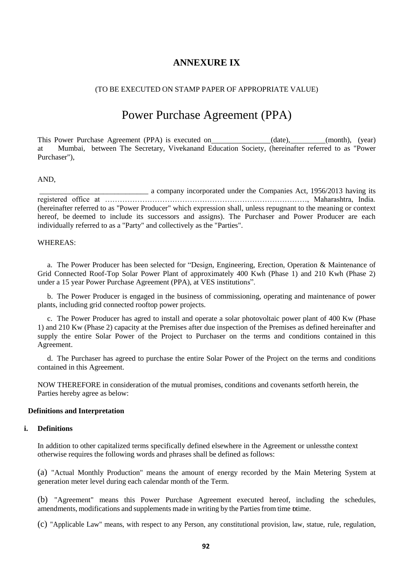# **ANNEXURE IX**

### (TO BE EXECUTED ON STAMP PAPER OF APPROPRIATE VALUE)

# Power Purchase Agreement (PPA)

This Power Purchase Agreement (PPA) is executed on (date), (month), (year) at Mumbai, between The Secretary, Vivekanand Education Society, (hereinafter referred to as "Power Purchaser"),

### AND,

\_\_\_\_\_\_\_\_\_\_\_\_\_\_\_\_\_\_\_\_\_\_\_\_\_\_\_\_\_ a company incorporated under the Companies Act, 1956/2013 having its registered office at ………………………………………………………………………, Maharashtra, India. (hereinafter referred to as "Power Producer" which expression shall, unless repugnant to the meaning or context hereof, be deemed to include its successors and assigns). The Purchaser and Power Producer are each individually referred to as a "Party" and collectively as the "Parties".

### WHEREAS:

a. The Power Producer has been selected for "Design, Engineering, Erection, Operation & Maintenance of Grid Connected Roof-Top Solar Power Plant of approximately 400 Kwh (Phase 1) and 210 Kwh (Phase 2) under a 15 year Power Purchase Agreement (PPA), at VES institutions".

b. The Power Producer is engaged in the business of commissioning, operating and maintenance of power plants, including grid connected rooftop power projects.

c. The Power Producer has agred to install and operate a solar photovoltaic power plant of 400 Kw (Phase 1) and 210 Kw (Phase 2) capacity at the Premises after due inspection of the Premises as defined hereinafter and supply the entire Solar Power of the Project to Purchaser on the terms and conditions contained in this Agreement.

d. The Purchaser has agreed to purchase the entire Solar Power of the Project on the terms and conditions contained in this Agreement.

NOW THEREFORE in consideration of the mutual promises, conditions and covenants setforth herein, the Parties hereby agree as below:

#### **Definitions and Interpretation**

### **i. Definitions**

In addition to other capitalized terms specifically defined elsewhere in the Agreement or unlessthe context otherwise requires the following words and phrases shall be defined as follows:

(a) "Actual Monthly Production" means the amount of energy recorded by the Main Metering System at generation meter level during each calendar month of the Term.

(b) "Agreement" means this Power Purchase Agreement executed hereof, including the schedules, amendments, modifications and supplements made in writing by the Parties from time otime.

(c) "Applicable Law" means, with respect to any Person, any constitutional provision, law, statue, rule, regulation,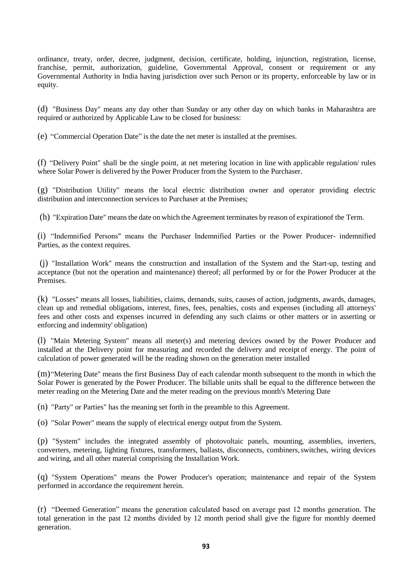ordinance, treaty, order, decree, judgment, decision, certificate, holding, injunction, registration, license, franchise, permit, authorization, guideline, Governmental Approval, consent or requirement or any Governmental Authority in India having jurisdiction over such Person or its property, enforceable by law or in equity.

(d) "Business Day" means any day other than Sunday or any other day on which banks in Maharashtra are required or authorized by Applicable Law to be closed for business:

(e) "Commercial Operation Date" is the date the net meter is installed at the premises.

(f) "Delivery Point" shall be the single point, at net metering location in line with applicable regulation/ rules where Solar Power is delivered by the Power Producer from the System to the Purchaser.

(g) "Distribution Utility" means the local electric distribution owner and operator providing electric distribution and interconnection services to Purchaser at the Premises;

(h) "Expiration Date" meansthe date on which the Agreement terminates by reason of expirationof the Term.

(i) "Indemnified Persons" means the Purchaser Indemnified Parties or the Power Producer- indemnified Parties, as the context requires.

(j) "Installation Work" means the construction and installation of the System and the Start-up, testing and acceptance (but not the operation and maintenance) thereof; all performed by or for the Power Producer at the Premises.

(k) "Losses" means all losses, liabilities, claims, demands, suits, causes of action, judgments, awards, damages, clean up and remedial obligations, interest, fines, fees, penalties, costs and expenses (including all attorneys' fees and other costs and expenses incurred in defending any such claims or other matters or in asserting or enforcing and indemnity' obligation)

(l) "Main Metering System" means all meter(s) and metering devices owned by the Power Producer and installed at the Delivery point for measuring and recorded the delivery and receipt of energy. The point of calculation of power generated will be the reading shown on the generation meter installed

(m)"Metering Date" means the first Business Day of each calendar month subsequent to the month in which the Solar Power is generated by the Power Producer. The billable units shall be equal to the difference between the meter reading on the Metering Date and the meter reading on the previous month's Metering Date

(n) "Party" or Parties" has the meaning set forth in the preamble to this Agreement.

(o) "Solar Power" means the supply of electrical energy output from the System.

(p) "System" includes the integrated assembly of photovoltaic panels, mounting, assemblies, inverters, converters, metering, lighting fixtures, transformers, ballasts, disconnects, combiners,switches, wiring devices and wiring, and all other material comprising the Installation Work.

(q) "System Operations" means the Power Producer's operation; maintenance and repair of the System performed in accordance the requirement herein.

(r) "Deemed Generation" means the generation calculated based on average past 12 months generation. The total generation in the past 12 months divided by 12 month period shall give the figure for monthly deemed generation.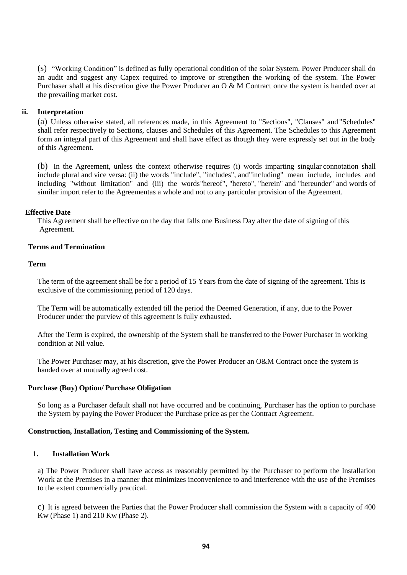(s) "Working Condition" is defined as fully operational condition of the solar System. Power Producer shall do an audit and suggest any Capex required to improve or strengthen the working of the system. The Power Purchaser shall at his discretion give the Power Producer an O & M Contract once the system is handed over at the prevailing market cost.

## **ii. Interpretation**

(a) Unless otherwise stated, all references made, in this Agreement to "Sections", "Clauses" and "Schedules" shall refer respectively to Sections, clauses and Schedules of this Agreement. The Schedules to this Agreement form an integral part of this Agreement and shall have effect as though they were expressly set out in the body of this Agreement.

(b) In the Agreement, unless the context otherwise requires (i) words imparting singular connotation shall include plural and vice versa: (ii) the words "include", "includes", and"including" mean include, includes and including "without limitation" and (iii) the words"hereof", "hereto", "herein" and "hereunder" and words of similar import refer to the Agreementas a whole and not to any particular provision of the Agreement.

### **Effective Date**

This Agreement shall be effective on the day that falls one Business Day after the date of signing of this Agreement.

## **Terms and Termination**

### **Term**

The term of the agreement shall be for a period of 15 Years from the date of signing of the agreement. This is exclusive of the commissioning period of 120 days.

The Term will be automatically extended till the period the Deemed Generation, if any, due to the Power Producer under the purview of this agreement is fully exhausted.

After the Term is expired, the ownership of the System shall be transferred to the Power Purchaser in working condition at Nil value.

The Power Purchaser may, at his discretion, give the Power Producer an O&M Contract once the system is handed over at mutually agreed cost.

### **Purchase (Buy) Option/ Purchase Obligation**

So long as a Purchaser default shall not have occurred and be continuing, Purchaser has the option to purchase the System by paying the Power Producer the Purchase price as per the Contract Agreement.

### **Construction, Installation, Testing and Commissioning of the System.**

## **1. Installation Work**

a) The Power Producer shall have access as reasonably permitted by the Purchaser to perform the Installation Work at the Premises in a manner that minimizes inconvenience to and interference with the use of the Premises to the extent commercially practical.

c) It is agreed between the Parties that the Power Producer shall commission the System with a capacity of 400 Kw (Phase 1) and 210 Kw (Phase 2).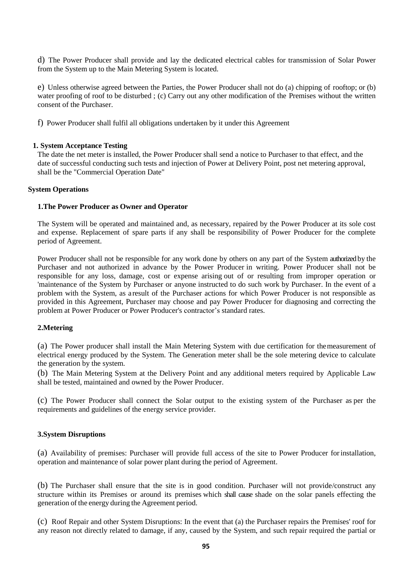d) The Power Producer shall provide and lay the dedicated electrical cables for transmission of Solar Power from the System up to the Main Metering System is located.

e) Unless otherwise agreed between the Parties, the Power Producer shall not do (a) chipping of rooftop; or (b) water proofing of roof to be disturbed; (c) Carry out any other modification of the Premises without the written consent of the Purchaser.

f) Power Producer shall fulfil all obligations undertaken by it under this Agreement

### **1. System Acceptance Testing**

The date the net meter is installed, the Power Producer shall send a notice to Purchaser to that effect, and the date of successful conducting such tests and injection of Power at Delivery Point, post net metering approval, shall be the "Commercial Operation Date"

### **System Operations**

### **1.The Power Producer as Owner and Operator**

The System will be operated and maintained and, as necessary, repaired by the Power Producer at its sole cost and expense. Replacement of spare parts if any shall be responsibility of Power Producer for the complete period of Agreement.

Power Producer shall not be responsible for any work done by others on any part of the System authorized by the Purchaser and not authorized in advance by the Power Producer in writing. Power Producer shall not be responsible for any loss, damage, cost or expense arising out of or resulting from improper operation or 'maintenance of the System by Purchaser or anyone instructed to do such work by Purchaser. In the event of a problem with the System, as aresult of the Purchaser actions for which Power Producer is not responsible as provided in this Agreement, Purchaser may choose and pay Power Producer for diagnosing and correcting the problem at Power Producer or Power Producer's contractor's standard rates.

### **2.Metering**

(a) The Power producer shall install the Main Metering System with due certification for themeasurement of electrical energy produced by the System. The Generation meter shall be the sole metering device to calculate the generation by the system.

(b) The Main Metering System at the Delivery Point and any additional meters required by Applicable Law shall be tested, maintained and owned by the Power Producer.

(c) The Power Producer shall connect the Solar output to the existing system of the Purchaser as per the requirements and guidelines of the energy service provider.

### **3.System Disruptions**

(a) Availability of premises: Purchaser will provide full access of the site to Power Producer forinstallation, operation and maintenance of solar power plant during the period of Agreement.

(b) The Purchaser shall ensure that the site is in good condition. Purchaser will not provide/construct any structure within its Premises or around its premises which shall cause shade on the solar panels effecting the generation of the energy during the Agreement period.

(c) Roof Repair and other System Disruptions: In the event that (a) the Purchaser repairs the Premises' roof for any reason not directly related to damage, if any, caused by the System, and such repair required the partial or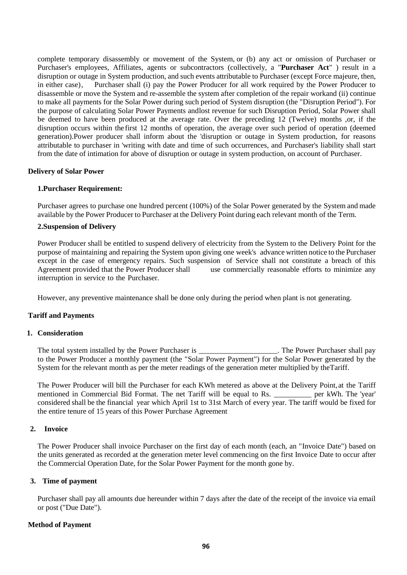complete temporary disassembly or movement of the System, or (b) any act or omission of Purchaser or Purchaser's employees, Affiliates, agents or subcontractors (collectively, a "**Purchaser Act**" ) result in a disruption or outage in System production, and such events attributable to Purchaser (except Force majeure, then, in either case), Purchaser shall (i) pay the Power Producer for all work required by the Power Producer to disassemble or move the System and re-assemble the system after completion of the repair workand (ii) continue to make all payments for the Solar Power during such period of System disruption (the "Disruption Period"). For the purpose of calculating Solar Power Payments andlost revenue for such Disruption Period, Solar Power shall be deemed to have been produced at the average rate. Over the preceding 12 (Twelve) months ,or, if the disruption occurs within the first 12 months of operation, the average over such period of operation (deemed generation).Power producer shall inform about the 'disruption or outage in System production, for reasons attributable to purchaser in 'writing with date and time of such occurrences, and Purchaser's liability shall start from the date of intimation for above of disruption or outage in system production, on account of Purchaser.

### **Delivery of Solar Power**

### **1.Purchaser Requirement:**

Purchaser agrees to purchase one hundred percent (100%) of the Solar Power generated by the System and made available by the Power Producer to Purchaser at the Delivery Point during each relevant month of the Term.

### **2.Suspension of Delivery**

Power Producer shall be entitled to suspend delivery of electricity from the System to the Delivery Point for the purpose of maintaining and repairing the System upon giving one week's advance written notice to the Purchaser except in the case of emergency repairs. Such suspension of Service shall not constitute a breach of this Agreement provided that the Power Producer shall use commercially reasonable efforts to minimize any interruption in service to the Purchaser.

However, any preventive maintenance shall be done only during the period when plant is not generating.

### **Tariff and Payments**

### **1. Consideration**

The total system installed by the Power Purchaser is  $\blacksquare$  The Power Purchaser shall pay to the Power Producer a monthly payment (the "Solar Power Payment") for the Solar Power generated by the System for the relevant month as per the meter readings of the generation meter multiplied by theTariff.

The Power Producer will bill the Purchaser for each KWh metered as above at the Delivery Point,at the Tariff mentioned in Commercial Bid Format. The net Tariff will be equal to Rs. \_\_\_\_\_\_\_\_\_\_ per kWh. The 'year' considered shall be the financial year which April 1st to 31st March of every year. The tariff would be fixed for the entire tenure of 15 years of this Power Purchase Agreement

### **2. Invoice**

The Power Producer shall invoice Purchaser on the first day of each month (each, an "Invoice Date") based on the units generated as recorded at the generation meter level commencing on the first Invoice Date to occur after the Commercial Operation Date, for the Solar Power Payment for the month gone by.

## **3. Time of payment**

Purchaser shall pay all amounts due hereunder within 7 days after the date of the receipt of the invoice via email or post ("Due Date").

## **Method of Payment**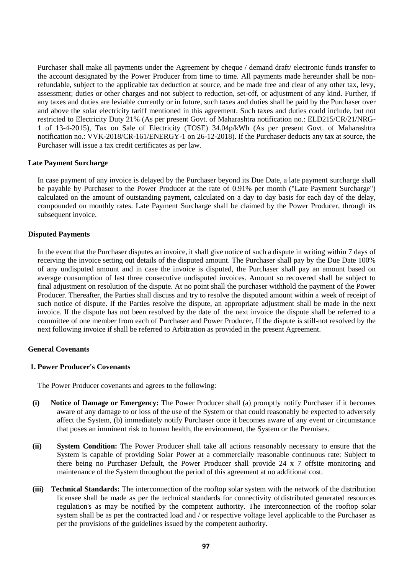Purchaser shall make all payments under the Agreement by cheque / demand draft/ electronic funds transfer to the account designated by the Power Producer from time to time. All payments made hereunder shall be nonrefundable, subject to the applicable tax deduction at source, and be made free and clear of any other tax, levy, assessment; duties or other charges and not subject to reduction, set-off, or adjustment of any kind. Further, if any taxes and duties are leviable currently or in future, such taxes and duties shall be paid by the Purchaser over and above the solar electricity tariff mentioned in this agreement. Such taxes and duties could include, but not restricted to Electricity Duty 21% (As per present Govt. of Maharashtra notification no.: ELD215/CR/21/NRG-1 of 13-4-2015), Tax on Sale of Electricity (TOSE) 34.04p/kWh (As per present Govt. of Maharashtra notification no.: VVK-2018/CR-161/ENERGY-1 on 26-12-2018). If the Purchaser deducts any tax at source, the Purchaser will issue a tax credit certificates as per law.

## **Late Payment Surcharge**

In case payment of any invoice is delayed by the Purchaser beyond its Due Date, a late payment surcharge shall be payable by Purchaser to the Power Producer at the rate of 0.91% per month ("Late Payment Surcharge") calculated on the amount of outstanding payment, calculated on a day to day basis for each day of the delay, compounded on monthly rates. Late Payment Surcharge shall be claimed by the Power Producer, through its subsequent invoice.

### **Disputed Payments**

In the event that the Purchaser disputes an invoice, it shall give notice of such a dispute in writing within 7 days of receiving the invoice setting out details of the disputed amount. The Purchaser shall pay by the Due Date 100% of any undisputed amount and in case the invoice is disputed, the Purchaser shall pay an amount based on average consumption of last three consecutive undisputed invoices. Amount so recovered shall be subject to final adjustment on resolution of the dispute. At no point shall the purchaser withhold the payment of the Power Producer. Thereafter, the Parties shall discuss and try to resolve the disputed amount within a week of receipt of such notice of dispute. If the Parties resolve the dispute, an appropriate adjustment shall be made in the next invoice. If the dispute has not been resolved by the date of the next invoice the dispute shall be referred to a committee of one member from each of Purchaser and Power Producer, If the dispute is still-not resolved by the next following invoice if shall be referred to Arbitration as provided in the present Agreement.

### **General Covenants**

### **1. Power Producer's Covenants**

The Power Producer covenants and agrees to the following:

- **(i) Notice of Damage or Emergency:** The Power Producer shall (a) promptly notify Purchaser if it becomes aware of any damage to or loss of the use of the System or that could reasonably be expected to adversely affect the System, (b) immediately notify Purchaser once it becomes aware of any event or circumstance that poses an imminent risk to human health, the environment, the System or the Premises.
- **(ii) System Condition:** The Power Producer shall take all actions reasonably necessary to ensure that the System is capable of providing Solar Power at a commercially reasonable continuous rate: Subject to there being no Purchaser Default, the Power Producer shall provide 24 x 7 offsite monitoring and maintenance of the System throughout the period of this agreement at no additional cost.
- **(iii) Technical Standards:** The interconnection of the rooftop solar system with the network of the distribution licensee shall be made as per the technical standards for connectivity ofdistributed generated resources regulation's as may be notified by the competent authority. The interconnection of the rooftop solar system shall be as per the contracted load and / or respective voltage level applicable to the Purchaser as per the provisions of the guidelines issued by the competent authority.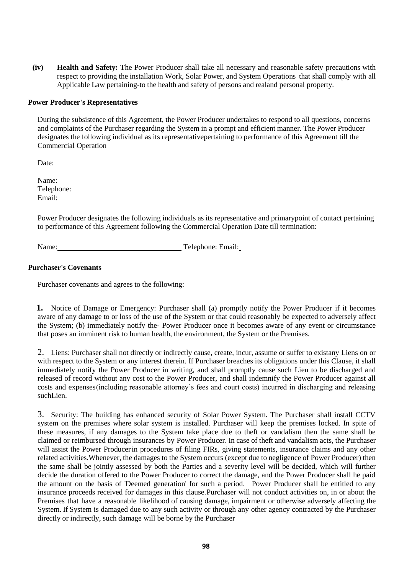**(iv) Health and Safety:** The Power Producer shall take all necessary and reasonable safety precautions with respect to providing the installation Work, Solar Power, and System Operations that shall comply with all Applicable Law pertaining-to the health and safety of persons and realand personal property.

## **Power Producer's Representatives**

During the subsistence of this Agreement, the Power Producer undertakes to respond to all questions, concerns and complaints of the Purchaser regarding the System in a prompt and efficient manner. The Power Producer designates the following individual as its representativepertaining to performance of this Agreement till the Commercial Operation

Date:

Name: Telephone: Email:

Power Producer designates the following individuals as its representative and primarypoint of contact pertaining to performance of this Agreement following the Commercial Operation Date till termination:

Name: Telephone: Email:

## **Purchaser's Covenants**

Purchaser covenants and agrees to the following:

**1.** Notice of Damage or Emergency: Purchaser shall (a) promptly notify the Power Producer if it becomes aware of any damage to or loss of the use of the System or that could reasonably be expected to adversely affect the System; (b) immediately notify the- Power Producer once it becomes aware of any event or circumstance that poses an imminent risk to human health, the environment, the System or the Premises.

2. Liens: Purchaser shall not directly or indirectly cause, create, incur, assume or suffer to existany Liens on or with respect to the System or any interest therein. If Purchaser breaches its obligations under this Clause, it shall immediately notify the Power Producer in writing, and shall promptly cause such Lien to be discharged and released of record without any cost to the Power Producer, and shall indemnify the Power Producer against all costs and expenses(including reasonable attorney's fees and court costs) incurred in discharging and releasing suchLien.

3. Security: The building has enhanced security of Solar Power System. The Purchaser shall install CCTV system on the premises where solar system is installed. Purchaser will keep the premises locked. In spite of these measures, if any damages to the System take place due to theft or vandalism then the same shall be claimed or reimbursed through insurances by Power Producer. In case of theft and vandalism acts, the Purchaser will assist the Power Producerin procedures of filing FIRs, giving statements, insurance claims and any other related activities.Whenever, the damages to the System occurs (except due to negligence of Power Producer) then the same shall be jointly assessed by both the Parties and a severity level will be decided, which will further decide the duration offered to the Power Producer to correct the damage, and the Power Producer shall he paid the amount on the basis of 'Deemed generation' for such a period. Power Producer shall be entitled to any insurance proceeds received for damages in this clause.Purchaser will not conduct activities on, in or about the Premises that have a reasonable likelihood of causing damage, impairment or otherwise adversely affecting the System. If System is damaged due to any such activity or through any other agency contracted by the Purchaser directly or indirectly, such damage will be borne by the Purchaser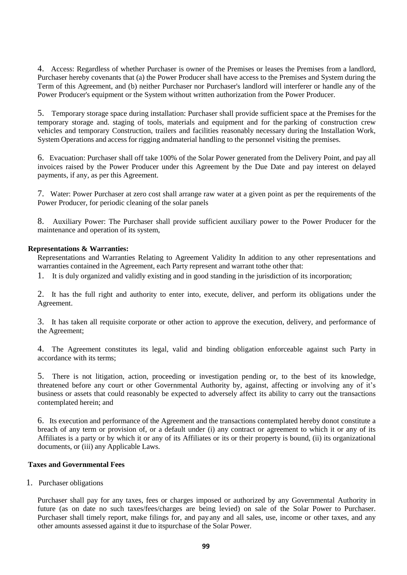4. Access: Regardless of whether Purchaser is owner of the Premises or leases the Premises from a landlord, Purchaser hereby covenants that (a) the Power Producer shall have access to the Premises and System during the Term of this Agreement, and (b) neither Purchaser nor Purchaser's landlord will interferer or handle any of the Power Producer's equipment or the System without written authorization from the Power Producer.

5. Temporary storage space during installation: Purchaser shall provide sufficient space at the Premises for the temporary storage and. staging of tools, materials and equipment and for the parking of construction crew vehicles and temporary Construction, trailers and facilities reasonably necessary during the Installation Work, System Operations and access for rigging andmaterial handling to the personnel visiting the premises.

6. Evacuation: Purchaser shall off take 100% of the Solar Power generated from the Delivery Point, and pay all invoices raised by the Power Producer under this Agreement by the Due Date and pay interest on delayed payments, if any, as per this Agreement.

7. Water: Power Purchaser at zero cost shall arrange raw water at a given point as per the requirements of the Power Producer, for periodic cleaning of the solar panels

8. Auxiliary Power: The Purchaser shall provide sufficient auxiliary power to the Power Producer for the maintenance and operation of its system,

## **Representations & Warranties:**

Representations and Warranties Relating to Agreement Validity In addition to any other representations and warranties contained in the Agreement, each Party represent and warrant tothe other that:

1. It is duly organized and validly existing and in good standing in the jurisdiction of its incorporation;

2. It has the full right and authority to enter into, execute, deliver, and perform its obligations under the Agreement.

3. It has taken all requisite corporate or other action to approve the execution, delivery, and performance of the Agreement;

4. The Agreement constitutes its legal, valid and binding obligation enforceable against such Party in accordance with its terms;

5. There is not litigation, action, proceeding or investigation pending or, to the best of its knowledge, threatened before any court or other Governmental Authority by, against, affecting or involving any of it's business or assets that could reasonably be expected to adversely affect its ability to carry out the transactions contemplated herein; and

6. Its execution and performance of the Agreement and the transactions contemplated hereby donot constitute a breach of any term or provision of, or a default under (i) any contract or agreement to which it or any of its Affiliates is a party or by which it or any of its Affiliates or its or their property is bound, (ii) its organizational documents, or (iii) any Applicable Laws.

## **Taxes and Governmental Fees**

1. Purchaser obligations

Purchaser shall pay for any taxes, fees or charges imposed or authorized by any Governmental Authority in future (as on date no such taxes/fees/charges are being levied) on sale of the Solar Power to Purchaser. Purchaser shall timely report, make filings for, and payany and all sales, use, income or other taxes, and any other amounts assessed against it due to itspurchase of the Solar Power.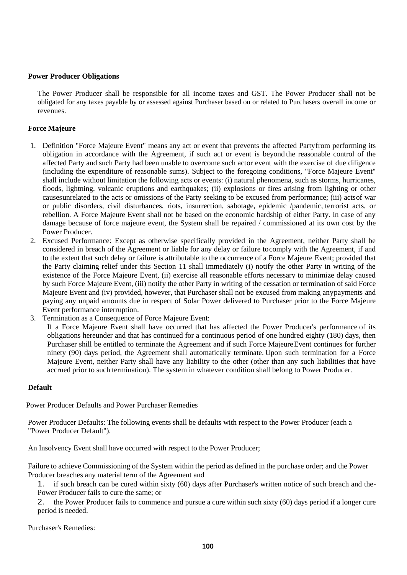### **Power Producer Obligations**

The Power Producer shall be responsible for all income taxes and GST. The Power Producer shall not be obligated for any taxes payable by or assessed against Purchaser based on or related to Purchasers overall income or revenues.

## **Force Majeure**

- 1. Definition "Force Majeure Event" means any act or event that prevents the affected Partyfrom performing its obligation in accordance with the Agreement, if such act or event is beyond the reasonable control of the affected Party and such Party had been unable to overcome such actor event with the exercise of due diligence (including the expenditure of reasonable sums). Subject to the foregoing conditions, "Force Majeure Event" shall include without limitation the following acts or events: (i) natural phenomena, such as storms, hurricanes, floods, lightning, volcanic eruptions and earthquakes; (ii) explosions or fires arising from lighting or other causesunrelated to the acts or omissions of the Party seeking to be excused from performance; (iii) actsof war or public disorders, civil disturbances, riots, insurrection, sabotage, epidemic /pandemic, terrorist acts, or rebellion. A Force Majeure Event shall not be based on the economic hardship of either Party. In case of any damage because of force majeure event, the System shall be repaired / commissioned at its own cost by the Power Producer.
- 2. Excused Performance: Except as otherwise specifically provided in the Agreement, neither Party shall be considered in breach of the Agreement or liable for any delay or failure tocomply with the Agreement, if and to the extent that such delay or failure is attributable to the occurrence of a Force Majeure Event; provided that the Party claiming relief under this Section 11 shall immediately (i) notify the other Party in writing of the existence of the Force Majeure Event, (ii) exercise all reasonable efforts necessary to minimize delay caused by such Force Majeure Event, (iii) notify the other Party in writing of the cessation or termination of said Force Majeure Event and (iv) provided, however, that Purchaser shall not be excused from making anypayments and paying any unpaid amounts due in respect of Solar Power delivered to Purchaser prior to the Force Majeure Event performance interruption.
- 3. Termination as a Consequence of Force Majeure Event:

If a Force Majeure Event shall have occurred that has affected the Power Producer's performance of its obligations hereunder and that has continued for a continuous period of one hundred eighty (180) days, then Purchaser shill be entitled to terminate the Agreement and if such Force MajeureEvent continues for further ninety (90) days period, the Agreement shall automatically terminate. Upon such termination for a Force Majeure Event, neither Party shall have any liability to the other (other than any such liabilities that have accrued prior to such termination). The system in whatever condition shall belong to Power Producer.

## **Default**

Power Producer Defaults and Power Purchaser Remedies

Power Producer Defaults: The following events shall be defaults with respect to the Power Producer (each a "Power Producer Default").

An Insolvency Event shall have occurred with respect to the Power Producer;

Failure to achieve Commissioning of the System within the period as defined in the purchase order; and the Power Producer breaches any material term of the Agreement and

1. if such breach can be cured within sixty (60) days after Purchaser's written notice of such breach and the-Power Producer fails to cure the same; or

2. the Power Producer fails to commence and pursue a cure within such sixty (60) days period if a longer cure period is needed.

Purchaser's Remedies: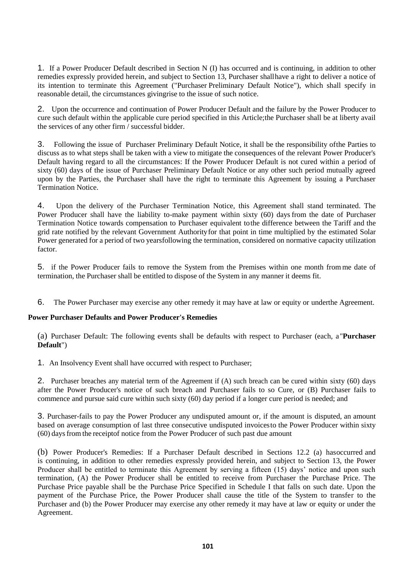1. If a Power Producer Default described in Section N (I) has occurred and is continuing, in addition to other remedies expressly provided herein, and subject to Section 13, Purchaser shallhave a right to deliver a notice of its intention to terminate this Agreement ("Purchaser Preliminary Default Notice"), which shall specify in reasonable detail, the circumstances givingrise to the issue of such notice.

2. Upon the occurrence and continuation of Power Producer Default and the failure by the Power Producer to cure such default within the applicable cure period specified in this Article;the Purchaser shall be at liberty avail the services of any other firm / successful bidder.

3. Following the issue of Purchaser Preliminary Default Notice, it shall be the responsibility ofthe Parties to discuss as to what steps shall be taken with a view to mitigate the consequences of the relevant Power Producer's Default having regard to all the circumstances: If the Power Producer Default is not cured within a period of sixty (60) days of the issue of Purchaser Preliminary Default Notice or any other such period mutually agreed upon by the Parties, the Purchaser shall have the right to terminate this Agreement by issuing a Purchaser Termination Notice.

4. Upon the delivery of the Purchaser Termination Notice, this Agreement shall stand terminated. The Power Producer shall have the liability to-make payment within sixty (60) daysfrom the date of Purchaser Termination Notice towards compensation to Purchaser equivalent tothe difference between the Tariff and the grid rate notified by the relevant Government Authorityfor that point in time multiplied by the estimated Solar Power generated for a period of two yearsfollowing the termination, considered on normative capacity utilization factor.

5. if the Power Producer fails to remove the System from the Premises within one month from me date of termination, the Purchaser shall be entitled to dispose of the System in any manner it deems fit.

6. The Power Purchaser may exercise any other remedy it may have at law or equity or underthe Agreement.

## **Power Purchaser Defaults and Power Producer's Remedies**

(a) Purchaser Default: The following events shall be defaults with respect to Purchaser (each, a"**Purchaser Default**")

1. An Insolvency Event shall have occurred with respect to Purchaser;

2. Purchaser breaches any material term of the Agreement if (A) such breach can be cured within sixty (60) days after the Power Producer's notice of such breach and Purchaser fails to so Cure, or (B) Purchaser fails to commence and pursue said cure within such sixty (60) day period if a longer cure period is needed; and

3. Purchaser-fails to pay the Power Producer any undisputed amount or, if the amount is disputed, an amount based on average consumption of last three consecutive undisputed invoicesto the Power Producer within sixty (60) daysfrom the receiptof notice from the Power Producer of such past due amount

(b) Power Producer's Remedies: If a Purchaser Default described in Sections 12.2 (a) hasoccurred and is continuing, in addition to other remedies expressly provided herein, and subject to Section 13, the Power Producer shall be entitled to terminate this Agreement by serving a fifteen (15) days' notice and upon such termination, (A) the Power Producer shall be entitled to receive from Purchaser the Purchase Price. The Purchase Price payable shall be the Purchase Price Specified in Schedule I that falls on such date. Upon the payment of the Purchase Price, the Power Producer shall cause the title of the System to transfer to the Purchaser and (b) the Power Producer may exercise any other remedy it may have at law or equity or under the Agreement.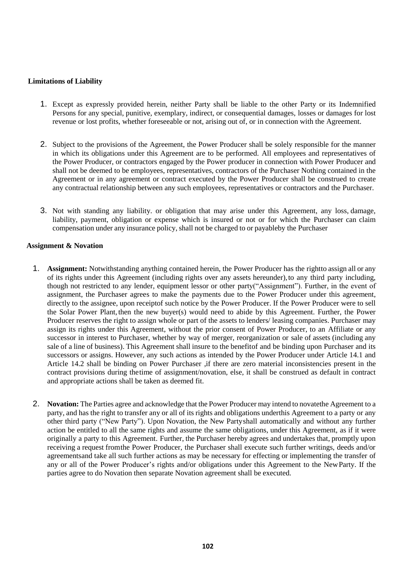# **Limitations of Liability**

- 1. Except as expressly provided herein, neither Party shall be liable to the other Party or its Indemnified Persons for any special, punitive, exemplary, indirect, or consequential damages, losses or damages for lost revenue or lost profits, whether foreseeable or not, arising out of, or in connection with the Agreement.
- 2. Subject to the provisions of the Agreement, the Power Producer shall be solely responsible for the manner in which its obligations under this Agreement are to be performed. All employees and representatives of the Power Producer, or contractors engaged by the Power producer in connection with Power Producer and shall not be deemed to be employees, representatives, contractors of the Purchaser Nothing contained in the Agreement or in any agreement or contract executed by the Power Producer shall be construed to create any contractual relationship between any such employees, representatives or contractors and the Purchaser.
- 3. Not with standing any liability. or obligation that may arise under this Agreement, any loss, damage, liability, payment, obligation or expense which is insured or not or for which the Purchaser can claim compensation under any insurance policy, shall not be charged to or payableby the Purchaser

## **Assignment & Novation**

- 1. **Assignment:** Notwithstanding anything contained herein, the Power Producer has the rightto assign all or any of its rights under this Agreement (including rights over any assets hereunder),to any third party including, though not restricted to any lender, equipment lessor or other party("Assignment"). Further, in the event of assignment, the Purchaser agrees to make the payments due to the Power Producer under this agreement, directly to the assignee, upon receiptof such notice by the Power Producer. If the Power Producer were to sell the Solar Power Plant, then the new buyer(s) would need to abide by this Agreement. Further, the Power Producer reserves the right to assign whole or part of the assets to lenders/ leasing companies. Purchaser may assign its rights under this Agreement, without the prior consent of Power Producer, to an Affiliate or any successor in interest to Purchaser, whether by way of merger, reorganization or sale of assets (including any sale of a line of business). This Agreement shall insure to the benefitof and be binding upon Purchaser and its successors or assigns. However, any such actions as intended by the Power Producer under Article 14.1 and Article 14.2 shall be binding on Power Purchaser ,if there are zero material inconsistencies present in the contract provisions during thetime of assignment/novation, else, it shall be construed as default in contract and appropriate actions shall be taken as deemed fit.
- 2. **Novation:** The Parties agree and acknowledge that the Power Producer may intend to novatethe Agreement to a party, and has the right to transfer any or all of its rights and obligations underthis Agreement to a party or any other third party ("New Party"). Upon Novation, the New Partyshall automatically and without any further action be entitled to all the same rights and assume the same obligations, under this Agreement, as if it were originally a party to this Agreement. Further, the Purchaser hereby agrees and undertakes that, promptly upon receiving a request fromthe Power Producer, the Purchaser shall execute such further writings, deeds and/or agreementsand take all such further actions as may be necessary for effecting or implementing the transfer of any or all of the Power Producer's rights and/or obligations under this Agreement to the NewParty. If the parties agree to do Novation then separate Novation agreement shall be executed.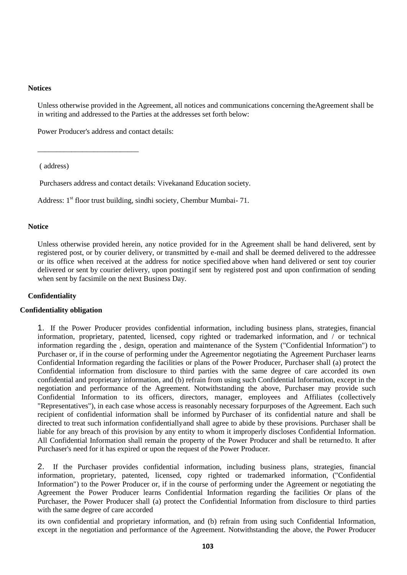### **Notices**

Unless otherwise provided in the Agreement, all notices and communications concerning theAgreement shall be in writing and addressed to the Parties at the addresses set forth below:

Power Producer's address and contact details:

\_\_\_\_\_\_\_\_\_\_\_\_\_\_\_\_\_\_\_\_\_\_\_\_\_\_\_

( address)

Purchasers address and contact details: Vivekanand Education society.

Address: 1<sup>st</sup> floor trust building, sindhi society, Chembur Mumbai- 71.

## **Notice**

Unless otherwise provided herein, any notice provided for in the Agreement shall be hand delivered, sent by registered post, or by courier delivery, or transmitted by e-mail and shall be deemed delivered to the addressee or its office when received at the address for notice specified above when hand delivered or sent toy courier delivered or sent by courier delivery, upon postingif sent by registered post and upon confirmation of sending when sent by facsimile on the next Business Day.

## **Confidentiality**

### **Confidentiality obligation**

1. If the Power Producer provides confidential information, including business plans, strategies, financial information, proprietary, patented, licensed, copy righted or trademarked information, and / or technical information regarding the , design, operation and maintenance of the System ("Confidential Information") to Purchaser or, if in the course of performing under the Agreementor negotiating the Agreement Purchaser learns Confidential Information regarding the facilities or plans of the Power Producer, Purchaser shall (a) protect the Confidential information from disclosure to third parties with the same degree of care accorded its own confidential and proprietary information, and (b) refrain from using such Confidential Information, except in the negotiation and performance of the Agreement. Notwithstanding the above, Purchaser may provide such Confidential Information to its officers, directors, manager, employees and Affiliates (collectively "Representatives"), in each case whose access is reasonably necessary forpurposes of the Agreement. Each such recipient of confidential information shall be informed by Purchaser of its confidential nature and shall be directed to treat such information confidentiallyand shall agree to abide by these provisions. Purchaser shall be liable for any breach of this provision by any entity to whom it improperly discloses Confidential Information. All Confidential Information shall remain the property of the Power Producer and shall be returnedto. It after Purchaser's need for it has expired or upon the request of the Power Producer.

2. If the Purchaser provides confidential information, including business plans, strategies, financial information, proprietary, patented, licensed, copy righted or trademarked information, ("Confidential Information") to the Power Producer or, if in the course of performing under the Agreement or negotiating the Agreement the Power Producer learns Confidential Information regarding the facilities Or plans of the Purchaser, the Power Producer shall (a) protect the Confidential Information from disclosure to third parties with the same degree of care accorded

its own confidential and proprietary information, and (b) refrain from using such Confidential Information, except in the negotiation and performance of the Agreement. Notwithstanding the above, the Power Producer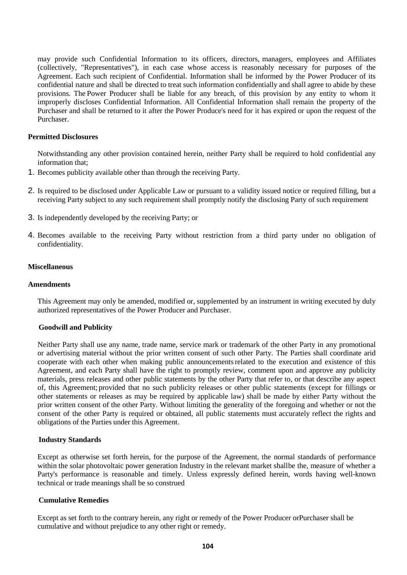may provide such Confidential Information to its officers, directors, managers, employees and Affiliates (collectively, "Representatives"), in each case whose access is reasonably necessary for purposes of the Agreement. Each such recipient of Confidential. Information shall be informed by the Power Producer of its confidential nature and shall be directed to treat such information confidentially and shall agree to abide by these provisions. The Power Producer shall be liable for any breach, of this provision by any entity to whom it improperly discloses Confidential Information. All Confidential Information shall remain the property of the Purchaser and shall be returned to it after the Power Produce's need for it has expired or upon the request of the Purchaser.

## **Permitted Disclosures**

Notwithstanding any other provision contained herein, neither Party shall be required to hold confidential any information that;

- 1. Becomes publicity available other than through the receiving Party.
- 2. Is required to be disclosed under Applicable Law or pursuant to a validity issued notice or required filling, but a receiving Party subject to any such requirement shall promptly notify the disclosing Party of such requirement
- 3. Is independently developed by the receiving Party; or
- 4. Becomes available to the receiving Party without restriction from a third party under no obligation of confidentiality.

### **Miscellaneous**

## **Amendments**

This Agreement may only be amended, modified or, supplemented by an instrument in writing executed by duly authorized representatives of the Power Producer and Purchaser.

### **Goodwill and Publicity**

Neither Party shall use any name, trade name, service mark or trademark of the other Party in any promotional or advertising material without the prior written consent of such other Party. The Parties shall coordinate arid cooperate with each other when making public announcementsrelated to the execution and existence of this Agreement, and each Party shall have the right to promptly review, comment upon and approve any publicity materials, press releases and other public statements by the other Party that refer to, or that describe any aspect of, this Agreement; provided that no such publicity releases or other public statements (except for fillings or other statements or releases as may be required by applicable law) shall be made by either Party without the prior written consent of the other Party. Without limiting the generality of the foregoing and whether or not the consent of the other Party is required or obtained, all public statements must accurately reflect the rights and obligations of the Parties under this Agreement.

### **Industry Standards**

Except as otherwise set forth herein, for the purpose of the Agreement, the normal standards of performance within the solar photovoltaic power generation Industry in the relevant market shallbe the, measure of whether a Party's performance is reasonable and timely. Unless expressly defined herein, words having well-known technical or trade meanings shall be so construed

### **Cumulative Remedies**

Except as set forth to the contrary herein, any right or remedy of the Power Producer orPurchaser shall be cumulative and without prejudice to any other right or remedy.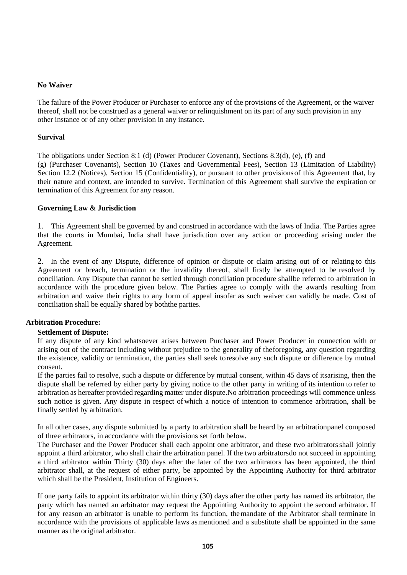## **No Waiver**

The failure of the Power Producer or Purchaser to enforce any of the provisions of the Agreement, or the waiver thereof, shall not be construed as a general waiver or relinquishment on its part of any such provision in any other instance or of any other provision in any instance.

## **Survival**

The obligations under Section 8:1 (d) (Power Producer Covenant), Sections 8.3(d), (e), (f) and (g) (Purchaser Covenants), Section 10 (Taxes and Governmental Fees), Section 13 (Limitation of Liability) Section 12.2 (Notices), Section 15 (Confidentiality), or pursuant to other provisionsof this Agreement that, by their nature and context, are intended to survive. Termination of this Agreement shall survive the expiration or termination of this Agreement for any reason.

# **Governing Law & Jurisdiction**

1. This Agreement shall be governed by and construed in accordance with the laws of India. The Parties agree that the courts in Mumbai, India shall have jurisdiction over any action or proceeding arising under the Agreement.

2. In the event of any Dispute, difference of opinion or dispute or claim arising out of or relating to this Agreement or breach, termination or the invalidity thereof, shall firstly be attempted to be resolved by conciliation. Any Dispute that cannot be settled through conciliation procedure shallbe referred to arbitration in accordance with the procedure given below. The Parties agree to comply with the awards resulting from arbitration and waive their rights to any form of appeal insofar as such waiver can validly be made. Cost of conciliation shall be equally shared by boththe parties.

# **Arbitration Procedure:**

## **Settlement of Dispute:**

If any dispute of any kind whatsoever arises between Purchaser and Power Producer in connection with or arising out of the contract including without prejudice to the generality of theforegoing, any question regarding the existence, validity or termination, the parties shall seek toresolve any such dispute or difference by mutual consent.

If the parties fail to resolve, such a dispute or difference by mutual consent, within 45 days of itsarising, then the dispute shall be referred by either party by giving notice to the other party in writing of its intention to refer to arbitration as hereafter provided regarding matter under dispute.No arbitration proceedings will commence unless such notice is given. Any dispute in respect of which a notice of intention to commence arbitration, shall be finally settled by arbitration.

In all other cases, any dispute submitted by a party to arbitration shall be heard by an arbitrationpanel composed of three arbitrators, in accordance with the provisions set forth below.

The Purchaser and the Power Producer shall each appoint one arbitrator, and these two arbitratorsshall jointly appoint a third arbitrator, who shall chair the arbitration panel. If the two arbitratorsdo not succeed in appointing a third arbitrator within Thirty (30) days after the later of the two arbitrators has been appointed, the third arbitrator shall, at the request of either party, be appointed by the Appointing Authority for third arbitrator which shall be the President, Institution of Engineers.

If one party fails to appoint its arbitrator within thirty (30) days after the other party has named its arbitrator, the party which has named an arbitrator may request the Appointing Authority to appoint the second arbitrator. If for any reason an arbitrator is unable to perform its function, themandate of the Arbitrator shall terminate in accordance with the provisions of applicable laws asmentioned and a substitute shall be appointed in the same manner as the original arbitrator.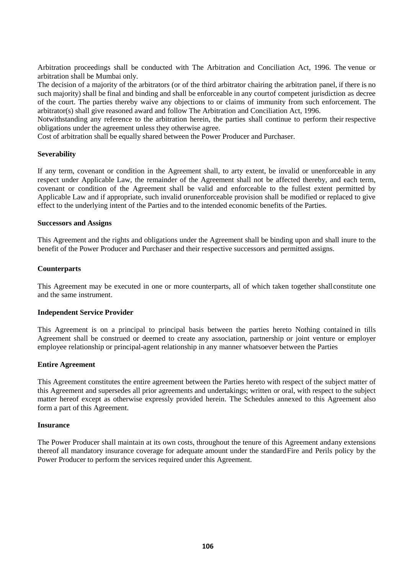Arbitration proceedings shall be conducted with The Arbitration and Conciliation Act, 1996. The venue or arbitration shall be Mumbai only.

The decision of a majority of the arbitrators (or of the third arbitrator chairing the arbitration panel, if there is no such majority) shall be final and binding and shall be enforceable in any courtof competent jurisdiction as decree of the court. The parties thereby waive any objections to or claims of immunity from such enforcement. The arbitrator(s) shall give reasoned award and follow The Arbitration and Conciliation Act, 1996.

Notwithstanding any reference to the arbitration herein, the parties shall continue to perform their respective obligations under the agreement unless they otherwise agree.

Cost of arbitration shall be equally shared between the Power Producer and Purchaser.

## **Severability**

If any term, covenant or condition in the Agreement shall, to arty extent, be invalid or unenforceable in any respect under Applicable Law, the remainder of the Agreement shall not be affected thereby, and each term, covenant or condition of the Agreement shall be valid and enforceable to the fullest extent permitted by Applicable Law and if appropriate, such invalid orunenforceable provision shall be modified or replaced to give effect to the underlying intent of the Parties and to the intended economic benefits of the Parties.

## **Successors and Assigns**

This Agreement and the rights and obligations under the Agreement shall be binding upon and shall inure to the benefit of the Power Producer and Purchaser and their respective successors and permitted assigns.

## **Counterparts**

This Agreement may be executed in one or more counterparts, all of which taken together shallconstitute one and the same instrument.

### **Independent Service Provider**

This Agreement is on a principal to principal basis between the parties hereto Nothing contained in tills Agreement shall be construed or deemed to create any association, partnership or joint venture or employer employee relationship or principal-agent relationship in any manner whatsoever between the Parties

### **Entire Agreement**

This Agreement constitutes the entire agreement between the Parties hereto with respect of the subject matter of this Agreement and supersedes all prior agreements and undertakings; written or oral, with respect to the subject matter hereof except as otherwise expressly provided herein. The Schedules annexed to this Agreement also form a part of this Agreement.

### **Insurance**

The Power Producer shall maintain at its own costs, throughout the tenure of this Agreement andany extensions thereof all mandatory insurance coverage for adequate amount under the standardFire and Perils policy by the Power Producer to perform the services required under this Agreement.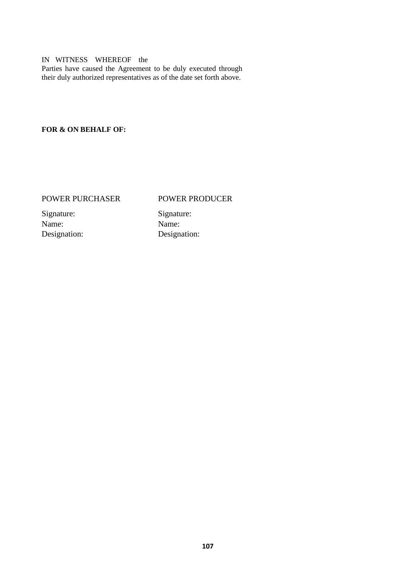## IN WITNESS WHEREOF the

Parties have caused the Agreement to be duly executed through their duly authorized representatives as of the date set forth above.

# **FOR & ON BEHALF OF:**

# POWER PURCHASER POWER PRODUCER

Signature: Signature: Name: Name:

Designation: Designation: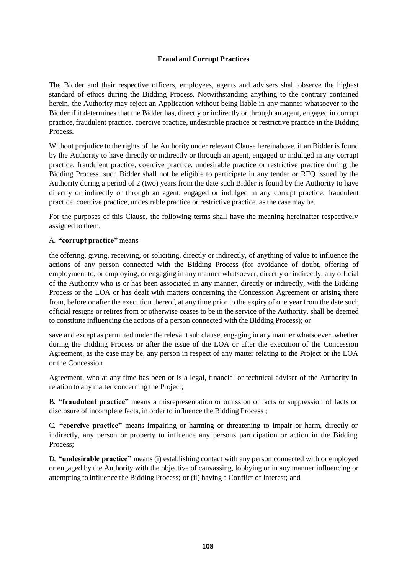# **Fraud and Corrupt Practices**

The Bidder and their respective officers, employees, agents and advisers shall observe the highest standard of ethics during the Bidding Process. Notwithstanding anything to the contrary contained herein, the Authority may reject an Application without being liable in any manner whatsoever to the Bidder if it determines that the Bidder has, directly or indirectly or through an agent, engaged in corrupt practice, fraudulent practice, coercive practice, undesirable practice or restrictive practice in the Bidding Process.

Without prejudice to the rights of the Authority under relevant Clause hereinabove, if an Bidder is found by the Authority to have directly or indirectly or through an agent, engaged or indulged in any corrupt practice, fraudulent practice, coercive practice, undesirable practice or restrictive practice during the Bidding Process, such Bidder shall not be eligible to participate in any tender or RFQ issued by the Authority during a period of 2 (two) years from the date such Bidder is found by the Authority to have directly or indirectly or through an agent, engaged or indulged in any corrupt practice, fraudulent practice, coercive practice, undesirable practice or restrictive practice, as the case may be.

For the purposes of this Clause, the following terms shall have the meaning hereinafter respectively assigned to them:

## A. **"corrupt practice"** means

the offering, giving, receiving, or soliciting, directly or indirectly, of anything of value to influence the actions of any person connected with the Bidding Process (for avoidance of doubt, offering of employment to, or employing, or engaging in any manner whatsoever, directly or indirectly, any official of the Authority who is or has been associated in any manner, directly or indirectly, with the Bidding Process or the LOA or has dealt with matters concerning the Concession Agreement or arising there from, before or after the execution thereof, at any time prior to the expiry of one year from the date such official resigns or retires from or otherwise ceases to be in the service of the Authority, shall be deemed to constitute influencing the actions of a person connected with the Bidding Process); or

save and except as permitted under the relevant sub clause, engaging in any manner whatsoever, whether during the Bidding Process or after the issue of the LOA or after the execution of the Concession Agreement, as the case may be, any person in respect of any matter relating to the Project or the LOA or the Concession

Agreement, who at any time has been or is a legal, financial or technical adviser of the Authority in relation to any matter concerning the Project;

B. **"fraudulent practice"** means a misrepresentation or omission of facts or suppression of facts or disclosure of incomplete facts, in order to influence the Bidding Process ;

C. **"coercive practice"** means impairing or harming or threatening to impair or harm, directly or indirectly, any person or property to influence any persons participation or action in the Bidding Process;

D. **"undesirable practice"** means (i) establishing contact with any person connected with or employed or engaged by the Authority with the objective of canvassing, lobbying or in any manner influencing or attempting to influence the Bidding Process; or (ii) having a Conflict of Interest; and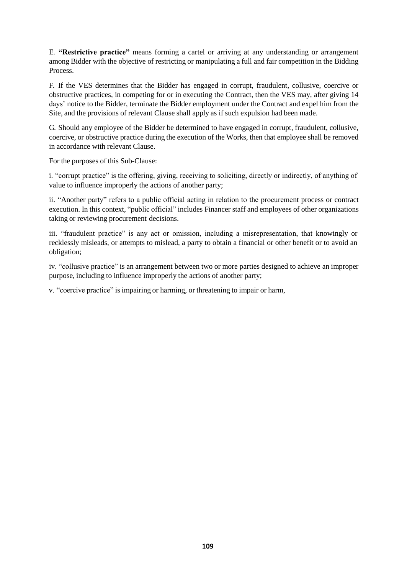E. **"Restrictive practice"** means forming a cartel or arriving at any understanding or arrangement among Bidder with the objective of restricting or manipulating a full and fair competition in the Bidding Process.

F. If the VES determines that the Bidder has engaged in corrupt, fraudulent, collusive, coercive or obstructive practices, in competing for or in executing the Contract, then the VES may, after giving 14 days' notice to the Bidder, terminate the Bidder employment under the Contract and expel him from the Site, and the provisions of relevant Clause shall apply as if such expulsion had been made.

G. Should any employee of the Bidder be determined to have engaged in corrupt, fraudulent, collusive, coercive, or obstructive practice during the execution of the Works, then that employee shall be removed in accordance with relevant Clause.

For the purposes of this Sub-Clause:

i. "corrupt practice" is the offering, giving, receiving to soliciting, directly or indirectly, of anything of value to influence improperly the actions of another party;

ii. "Another party" refers to a public official acting in relation to the procurement process or contract execution. In this context, "public official" includes Financer staff and employees of other organizations taking or reviewing procurement decisions.

iii. "fraudulent practice" is any act or omission, including a misrepresentation, that knowingly or recklessly misleads, or attempts to mislead, a party to obtain a financial or other benefit or to avoid an obligation;

iv. "collusive practice" is an arrangement between two or more parties designed to achieve an improper purpose, including to influence improperly the actions of another party;

v. "coercive practice" is impairing or harming, or threatening to impair or harm,